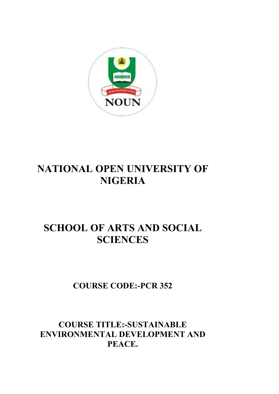

# **NATIONAL OPEN UNIVERSITY OF NIGERIA**

# **SCHOOL OF ARTS AND SOCIAL SCIENCES**

## **COURSE CODE:-PCR 352**

## **COURSE TITLE:-SUSTAINABLE ENVIRONMENTAL DEVELOPMENT AND PEACE.**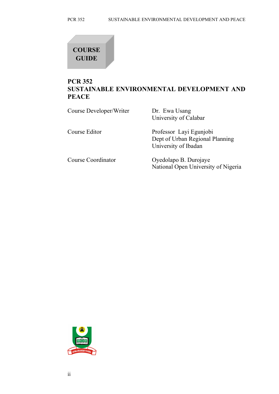## **COURSE GUIDE**

## **PCR 352 SUSTAINABLE ENVIRONMENTAL DEVELOPMENT AND PEACE**

| Course Developer/Writer | Dr. Ewa Usang<br>University of Calabar                                             |
|-------------------------|------------------------------------------------------------------------------------|
| Course Editor           | Professor Layi Egunjobi<br>Dept of Urban Regional Planning<br>University of Ibadan |
| Course Coordinator      | Oyedolapo B. Durojaye<br>National Open University of Nigeria                       |

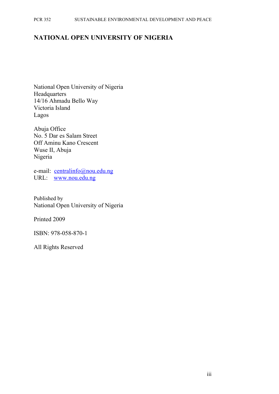#### PCR 352 SUSTAINABLE ENVIRONMENTAL DEVELOPMENT AND PEACE

#### **NATIONAL OPEN UNIVERSITY OF NIGERIA**

National Open University of Nigeria **Headquarters** 14/16 Ahmadu Bello Way Victoria Island Lagos

Abuja Office No. 5 Dar es Salam Street Off Aminu Kano Crescent Wuse II, Abuja Nigeria

e-mail: [centralinfo@nou.edu.ng](mailto:centralinfo@nou.edu.ng) URL: [www.nou.edu.ng](http://www.nou.edu.ng/)

Published by National Open University of Nigeria

Printed 2009

ISBN: 978-058-870-1

All Rights Reserved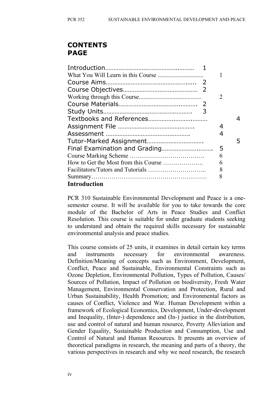## **CONTENTS PAGE**

|                     | 2 |  |
|---------------------|---|--|
|                     |   |  |
| 3                   |   |  |
|                     |   |  |
|                     | 4 |  |
|                     | 4 |  |
|                     |   |  |
|                     | 5 |  |
|                     | 6 |  |
|                     | 6 |  |
|                     | 8 |  |
|                     | 8 |  |
| <b>Introduction</b> |   |  |

PCR 310 Sustainable Environmental Development and Peace is a onesemester course. It will be available for you to take towards the core module of the Bachelor of Arts in Peace Studies and Conflict Resolution. This course is suitable for under graduate students seeking to understand and obtain the required skills necessary for sustainable environmental analysis and peace studies.

This course consists of 25 units, it examines in detail certain key terms and instruments necessary for environmental awareness. Definition/Meaning of concepts such as Environment, Development, Conflict, Peace and Sustainable, Environmental Constraints such as Ozone Depletion, Environmental Pollution, Types of Pollution, Causes/ Sources of Pollution, Impact of Pollution on biodiversity, Fresh Water Management, Environmental Conservation and Protection, Rural and Urban Sustainability, Health Promotion; and Environmental factors as causes of Conflict, Violence and War. Human Development within a framework of Ecological Economics, Development, Under-development and Inequality, (Inter-) dependence and (In-) justice in the distribution, use and control of natural and human resource, Poverty Alleviation and Gender Equality, Sustainable Production and Consumption, Use and Control of Natural and Human Resources. It presents an overview of theoretical paradigms in research, the meaning and parts of a theory, the various perspectives in research and why we need research, the research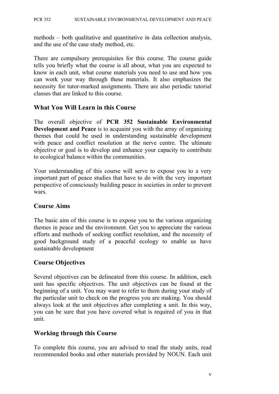methods – both qualitative and quantitative in data collection analysis, and the use of the case study method, etc.

There are compulsory prerequisites for this course. The course guide tells you briefly what the course is all about, what you are expected to know in each unit, what course materials you need to use and how you can work your way through these materials. It also emphasizes the necessity for tutor-marked assignments. There are also periodic tutorial classes that are linked to this course.

#### **What You Will Learn in this Course**

The overall objective of **PCR 352 Sustainable Environmental Development and Peace** is to acquaint you with the array of organizing themes that could be used in understanding sustainable development with peace and conflict resolution at the nerve centre. The ultimate objective or goal is to develop and enhance your capacity to contribute to ecological balance within the communities.

Your understanding of this course will serve to expose you to a very important part of peace studies that have to do with the very important perspective of consciously building peace in societies in order to prevent wars.

#### **Course Aims**

The basic aim of this course is to expose you to the various organizing themes in peace and the environment. Get you to appreciate the various efforts and methods of seeking conflict resolution, and the necessity of good background study of a peaceful ecology to enable us have sustainable development

#### **Course Objectives**

Several objectives can be delineated from this course. In addition, each unit has specific objectives. The unit objectives can be found at the beginning of a unit. You may want to refer to them during your study of the particular unit to check on the progress you are making. You should always look at the unit objectives after completing a unit. In this way, you can be sure that you have covered what is required of you in that unit.

#### **Working through this Course**

To complete this course, you are advised to read the study units, read recommended books and other materials provided by NOUN. Each unit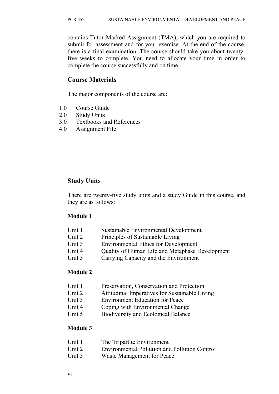contains Tutor Marked Assignment (TMA), which you are required to submit for assessment and for your exercise. At the end of the course, there is a final examination. The course should take you about twentyfive weeks to complete. You need to allocate your time in order to complete the course successfully and on time.

#### **Course Materials**

The major components of the course are:

- 1.0 Course Guide
- 2.0 Study Units
- 3.0 Textbooks and References
- 4.0 Assignment File

#### **Study Units**

There are twenty-five study units and a study Guide in this course, and they are as follows:

#### **Module 1**

- Unit 1 Sustainable Environmental Development
- Unit 2 Principles of Sustainable Living
- Unit 3 Environmental Ethics for Development
- Unit 4 Quality of Human Life and Metaphase Development
- Unit 5 Carrying Capacity and the Environment

#### **Module 2**

- Unit 1 Preservation, Conservation and Protection
- Unit 2 Attitudinal Imperatives for Sustainable Living
- Unit 3 Environment Education for Peace
- Unit 4 Coping with Environmental Change
- Unit 5 Biodiversity and Ecological Balance

#### **Module 3**

- Unit 2 Environmental Pollution and Pollution Control
- Unit 3 Waste Management for Peace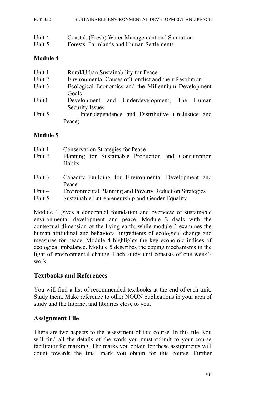|  | PCR 352 | SUSTAINABLE ENVIRONMENTAL DEVELOPMENT AND PEACE |
|--|---------|-------------------------------------------------|
|--|---------|-------------------------------------------------|

| Unit 4 | Coastal, (Fresh) Water Management and Sanitation |
|--------|--------------------------------------------------|
| Unit 5 | Forests, Farmlands and Human Settlements         |

#### **Module 4**

| Unit 1            | Rural/Urban Sustainability for Peace                  |
|-------------------|-------------------------------------------------------|
| Unit 2            | Environmental Causes of Conflict and their Resolution |
| Unit 3            | Ecological Economics and the Millennium Development   |
|                   | Goals                                                 |
| Unit <sub>4</sub> | Development and Underdevelopment; The Human           |
|                   | <b>Security Issues</b>                                |
| Unit 5            | Inter-dependence and Distributive (In-Justice and     |
|                   | Peace)                                                |

#### **Module 5**

| Unit 1 | <b>Conservation Strategies for Peace</b>                       |
|--------|----------------------------------------------------------------|
| Unit 2 | Planning for Sustainable Production and Consumption<br>Habits  |
| Unit 3 | Capacity Building for Environmental Development and<br>Peace   |
| Unit 4 | <b>Environmental Planning and Poverty Reduction Strategies</b> |
| Unit 5 | Sustainable Entrepreneurship and Gender Equality               |

Module 1 gives a conceptual foundation and overview of sustainable environmental development and peace. Module 2 deals with the contextual dimension of the living earth; while module 3 examines the human attitudinal and behavioral ingredients of ecological change and measures for peace. Module 4 highlights the key economic indices of ecological imbalance. Module 5 describes the coping mechanisms in the light of environmental change. Each study unit consists of one week's work.

#### **Textbooks and References**

You will find a list of recommended textbooks at the end of each unit. Study them. Make reference to other NOUN publications in your area of study and the Internet and libraries close to you.

#### **Assignment File**

There are two aspects to the assessment of this course. In this file, you will find all the details of the work you must submit to your course facilitator for marking: The marks you obtain for these assignments will count towards the final mark you obtain for this course. Further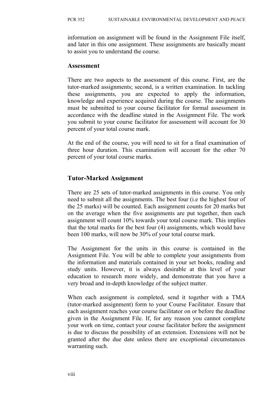information on assignment will be found in the Assignment File itself, and later in this one assignment. These assignments are basically meant to assist you to understand the course.

#### **Assessment**

There are two aspects to the assessment of this course. First, are the tutor-marked assignments; second, is a written examination. In tackling these assignments, you are expected to apply the information, knowledge and experience acquired during the course. The assignments must be submitted to your course facilitator for formal assessment in accordance with the deadline stated in the Assignment File. The work you submit to your course facilitator for assessment will account for 30 percent of your total course mark.

At the end of the course, you will need to sit for a final examination of three hour duration. This examination will account for the other 70 percent of your total course marks.

## **Tutor-Marked Assignment**

There are 25 sets of tutor-marked assignments in this course. You only need to submit all the assignments. The best four (i.e the highest four of the 25 marks) will be counted. Each assignment counts for 20 marks but on the average when the five assignments are put together, then each assignment will count 10% towards your total course mark. This implies that the total marks for the best four (4) assignments, which would have been 100 marks, will now be 30% of your total course mark.

The Assignment for the units in this course is contained in the Assignment File. You will be able to complete your assignments from the information and materials contained in your set books, reading and study units. However, it is always desirable at this level of your education to research more widely, and demonstrate that you have a very broad and in-depth knowledge of the subject matter.

When each assignment is completed, send it together with a TMA (tutor-marked assignment) form to your Course Facilitator. Ensure that each assignment reaches your course facilitator on or before the deadline given in the Assignment File. If, for any reason you cannot complete your work on time, contact your course facilitator before the assignment is due to discuss the possibility of an extension. Extensions will not be granted after the due date unless there are exceptional circumstances warranting such.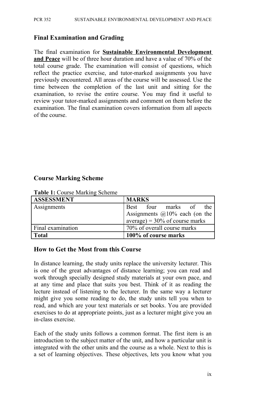#### **Final Examination and Grading**

The final examination for **Sustainable Environmental Development and Peace** will be of three hour duration and have a value of 70% of the total course grade. The examination will consist of questions, which reflect the practice exercise, and tutor-marked assignments you have previously encountered. All areas of the course will be assessed. Use the time between the completion of the last unit and sitting for the examination, to revise the entire course. You may find it useful to review your tutor-marked assignments and comment on them before the examination. The final examination covers information from all aspects of the course.

#### **Course Marking Scheme**

| <b>ASSESSMENT</b> | <b>MARKS</b>                      |  |  |
|-------------------|-----------------------------------|--|--|
| Assignments       | Best four marks of<br>the         |  |  |
|                   | Assignments @10% each (on the )   |  |  |
|                   | $average) = 30\%$ of course marks |  |  |
| Final examination | 70% of overall course marks       |  |  |
| <b>Total</b>      | 100% of course marks              |  |  |

**Table 1:** Course Marking Scheme

#### **How to Get the Most from this Course**

In distance learning, the study units replace the university lecturer. This is one of the great advantages of distance learning; you can read and work through specially designed study materials at your own pace, and at any time and place that suits you best. Think of it as reading the lecture instead of listening to the lecturer. In the same way a lecturer might give you some reading to do, the study units tell you when to read, and which are your text materials or set books. You are provided exercises to do at appropriate points, just as a lecturer might give you an in-class exercise.

Each of the study units follows a common format. The first item is an introduction to the subject matter of the unit, and how a particular unit is integrated with the other units and the course as a whole. Next to this is a set of learning objectives. These objectives, lets you know what you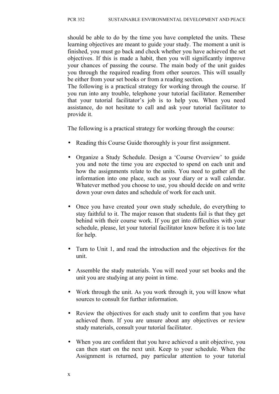should be able to do by the time you have completed the units. These learning objectives are meant to guide your study. The moment a unit is finished, you must go back and check whether you have achieved the set objectives. If this is made a habit, then you will significantly improve your chances of passing the course. The main body of the unit guides you through the required reading from other sources. This will usually be either from your set books or from a reading section.

The following is a practical strategy for working through the course. If you run into any trouble, telephone your tutorial facilitator. Remember that your tutorial facilitator's job is to help you. When you need assistance, do not hesitate to call and ask your tutorial facilitator to provide it.

The following is a practical strategy for working through the course:

- Reading this Course Guide thoroughly is your first assignment.
- Organize a Study Schedule. Design a 'Course Overview' to guide you and note the time you are expected to spend on each unit and how the assignments relate to the units. You need to gather all the information into one place, such as your diary or a wall calendar. Whatever method you choose to use, you should decide on and write down your own dates and schedule of work for each unit.
- Once you have created your own study schedule, do everything to stay faithful to it. The major reason that students fail is that they get behind with their course work. If you get into difficulties with your schedule, please, let your tutorial facilitator know before it is too late for help.
- Turn to Unit 1, and read the introduction and the objectives for the unit.
- Assemble the study materials. You will need your set books and the unit you are studying at any point in time.
- Work through the unit. As you work through it, you will know what sources to consult for further information.
- Review the objectives for each study unit to confirm that you have achieved them. If you are unsure about any objectives or review study materials, consult your tutorial facilitator.
- When you are confident that you have achieved a unit objective, you can then start on the next unit. Keep to your schedule. When the Assignment is returned, pay particular attention to your tutorial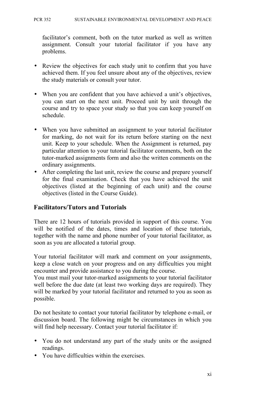facilitator's comment, both on the tutor marked as well as written assignment. Consult your tutorial facilitator if you have any problems.

- Review the objectives for each study unit to confirm that you have achieved them. If you feel unsure about any of the objectives, review the study materials or consult your tutor.
- When you are confident that you have achieved a unit's objectives, you can start on the next unit. Proceed unit by unit through the course and try to space your study so that you can keep yourself on schedule.
- When you have submitted an assignment to your tutorial facilitator for marking, do not wait for its return before starting on the next unit. Keep to your schedule. When the Assignment is returned, pay particular attention to your tutorial facilitator comments, both on the tutor-marked assignments form and also the written comments on the ordinary assignments.
- After completing the last unit, review the course and prepare yourself for the final examination. Check that you have achieved the unit objectives (listed at the beginning of each unit) and the course objectives (listed in the Course Guide).

#### **Facilitators/Tutors and Tutorials**

There are 12 hours of tutorials provided in support of this course. You will be notified of the dates, times and location of these tutorials, together with the name and phone number of your tutorial facilitator, as soon as you are allocated a tutorial group.

Your tutorial facilitator will mark and comment on your assignments, keep a close watch on your progress and on any difficulties you might encounter and provide assistance to you during the course.

You must mail your tutor-marked assignments to your tutorial facilitator well before the due date (at least two working days are required). They will be marked by your tutorial facilitator and returned to you as soon as possible.

Do not hesitate to contact your tutorial facilitator by telephone e-mail, or discussion board. The following might be circumstances in which you will find help necessary. Contact your tutorial facilitator if:

- You do not understand any part of the study units or the assigned readings.
- You have difficulties within the exercises.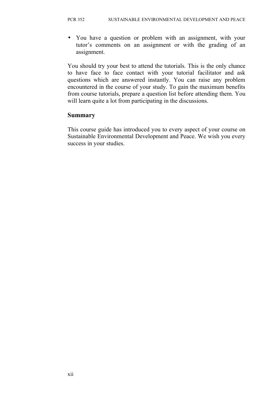• You have a question or problem with an assignment, with your tutor's comments on an assignment or with the grading of an assignment.

You should try your best to attend the tutorials. This is the only chance to have face to face contact with your tutorial facilitator and ask questions which are answered instantly. You can raise any problem encountered in the course of your study. To gain the maximum benefits from course tutorials, prepare a question list before attending them. You will learn quite a lot from participating in the discussions.

#### **Summary**

This course guide has introduced you to every aspect of your course on Sustainable Environmental Development and Peace. We wish you every success in your studies.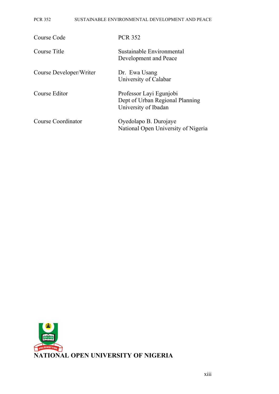#### PCR 352 SUSTAINABLE ENVIRONMENTAL DEVELOPMENT AND PEACE

| Course Code             | <b>PCR 352</b>                                                                     |
|-------------------------|------------------------------------------------------------------------------------|
| Course Title            | Sustainable Environmental<br>Development and Peace                                 |
| Course Developer/Writer | Dr. Ewa Usang<br>University of Calabar                                             |
| Course Editor           | Professor Layi Egunjobi<br>Dept of Urban Regional Planning<br>University of Ibadan |
| Course Coordinator      | Oyedolapo B. Durojaye<br>National Open University of Nigeria                       |

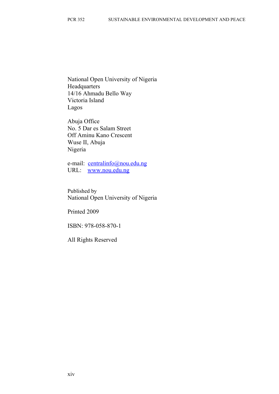National Open University of Nigeria **Headquarters** 14/16 Ahmadu Bello Way Victoria Island Lagos

Abuja Office No. 5 Dar es Salam Street Off Aminu Kano Crescent Wuse II, Abuja Nigeria

e-mail: [centralinfo@nou.edu.ng](mailto:centralinfo@nou.edu.ng) URL: [www.nou.edu.ng](http://www.nou.edu.ng/)

Published by National Open University of Nigeria

Printed 2009

ISBN: 978-058-870-1

All Rights Reserved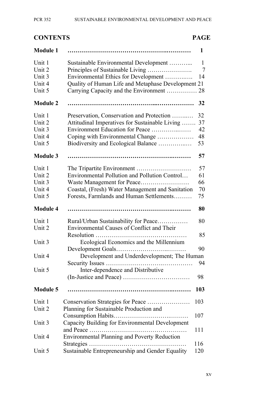| $\bigcap \mathbf{M}$ in Fig. |  |  |
|------------------------------|--|--|

#### **CONTENTS PAGE**

| <b>Module 1</b>                                |                                                                                                                                                                                                           | 1                          |
|------------------------------------------------|-----------------------------------------------------------------------------------------------------------------------------------------------------------------------------------------------------------|----------------------------|
| Unit 1<br>Unit 2<br>Unit 3                     | Sustainable Environmental Development<br>Principles of Sustainable Living<br>Environmental Ethics for Development                                                                                         | 1<br>$\overline{7}$<br>14  |
| Unit 4<br>Unit 5                               | Quality of Human Life and Metaphase Development 21<br>Carrying Capacity and the Environment                                                                                                               | 28                         |
| <b>Module 2</b>                                |                                                                                                                                                                                                           | 32                         |
| Unit 1<br>Unit 2<br>Unit 3<br>Unit 4<br>Unit 5 | Preservation, Conservation and Protection<br>Attitudinal Imperatives for Sustainable Living<br>Environment Education for Peace<br>Coping with Environmental Change<br>Biodiversity and Ecological Balance | 32<br>37<br>42<br>48<br>53 |
| <b>Module 3</b>                                |                                                                                                                                                                                                           | 57                         |
| Unit 1<br>Unit 2<br>Unit 3<br>Unit 4<br>Unit 5 | Environmental Pollution and Pollution Control<br>Waste Management for Peace<br>Coastal, (Fresh) Water Management and Sanitation<br>Forests, Farmlands and Human Settlements                               | 57<br>61<br>66<br>70<br>75 |
| <b>Module 4</b>                                |                                                                                                                                                                                                           | 80                         |
| Unit 1<br>Unit 2                               | Rural/Urban Sustainability for Peace<br><b>Environmental Causes of Conflict and Their</b>                                                                                                                 | 80                         |
| Unit 3                                         | Resolution<br>Ecological Economics and the Millennium                                                                                                                                                     | 85                         |
| Unit 4                                         | Development and Underdevelopment; The Human                                                                                                                                                               | 90<br>94                   |
| Unit 5                                         | Inter-dependence and Distributive                                                                                                                                                                         | 98                         |
| <b>Module 5</b>                                |                                                                                                                                                                                                           | 103                        |
| Unit 1<br>Unit 2                               | Conservation Strategies for Peace<br>Planning for Sustainable Production and                                                                                                                              | 103                        |
| Unit 3                                         | Capacity Building for Environmental Development                                                                                                                                                           | 107                        |
| Unit 4                                         | and Peace<br><b>Environmental Planning and Poverty Reduction</b>                                                                                                                                          | 111                        |
| Unit 5                                         | Sustainable Entrepreneurship and Gender Equality                                                                                                                                                          | 116<br>120                 |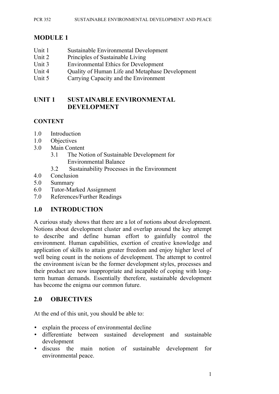#### PCR 352 SUSTAINABLE ENVIRONMENTAL DEVELOPMENT AND PEACE

#### **MODULE 1**

- Unit 1 Sustainable Environmental Development
- Unit 2 Principles of Sustainable Living
- Unit 3 Environmental Ethics for Development
- Unit 4 Ouality of Human Life and Metaphase Development
- Unit 5 Carrying Capacity and the Environment

#### **UNIT 1 SUSTAINABLE ENVIRONMENTAL DEVELOPMENT**

#### **CONTENT**

- 1.0 Introduction
- 1.0 Objectives
- 3.0 Main Content
	- 3.1 The Notion of Sustainable Development for Environmental Balance
	- 3.2 Sustainability Processes in the Environment
- 4.0 Conclusion
- 5.0 Summary
- 6.0 Tutor-Marked Assignment
- 7.0 References/Further Readings

#### **1.0 INTRODUCTION**

A curious study shows that there are a lot of notions about development. Notions about development cluster and overlap around the key attempt to describe and define human effort to gainfully control the environment. Human capabilities, exertion of creative knowledge and application of skills to attain greater freedom and enjoy higher level of well being count in the notions of development. The attempt to control the environment is/can be the former development styles, processes and their product are now inappropriate and incapable of coping with longterm human demands. Essentially therefore, sustainable development has become the enigma our common future.

#### **2.0 OBJECTIVES**

At the end of this unit, you should be able to:

- explain the process of environmental decline
- differentiate between sustained development and sustainable development
- discuss the main notion of sustainable development for environmental peace.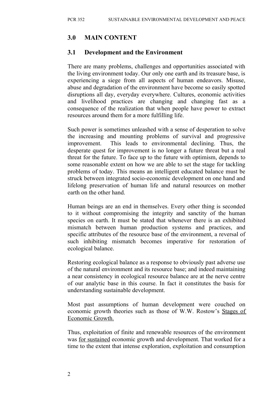#### **3.0 MAIN CONTENT**

#### **3.1 Development and the Environment**

There are many problems, challenges and opportunities associated with the living environment today. Our only one earth and its treasure base, is experiencing a siege from all aspects of human endeavors. Misuse, abuse and degradation of the environment have become so easily spotted disruptions all day, everyday everywhere. Cultures, economic activities and livelihood practices are changing and changing fast as a consequence of the realization that when people have power to extract resources around them for a more fulfilling life.

Such power is sometimes unleashed with a sense of desperation to solve the increasing and mounting problems of survival and progressive improvement. This leads to environmental declining. Thus, the desperate quest for improvement is no longer a future threat but a real threat for the future. To face up to the future with optimism, depends to some reasonable extent on how we are able to set the stage for tackling problems of today. This means an intelligent educated balance must be struck between integrated socio-economic development on one hand and lifelong preservation of human life and natural resources on mother earth on the other hand.

Human beings are an end in themselves. Every other thing is seconded to it without compromising the integrity and sanctity of the human species on earth. It must be stated that whenever there is an exhibited mismatch between human production systems and practices, and specific attributes of the resource base of the environment, a reversal of such inhibiting mismatch becomes imperative for restoration of ecological balance.

Restoring ecological balance as a response to obviously past adverse use of the natural environment and its resource base; and indeed maintaining a near consistency in ecological resource balance are at the nerve centre of our analytic base in this course. In fact it constitutes the basis for understanding sustainable development.

Most past assumptions of human development were couched on economic growth theories such as those of W.W. Rostow's Stages of Economic Growth.

Thus, exploitation of finite and renewable resources of the environment was for sustained economic growth and development. That worked for a time to the extent that intense exploration, exploitation and consumption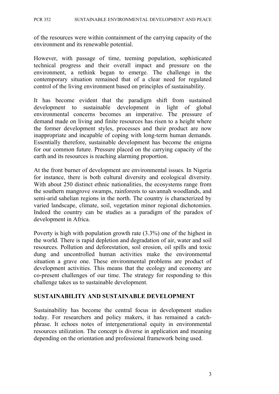of the resources were within containment of the carrying capacity of the environment and its renewable potential.

However, with passage of time, teeming population, sophisticated technical progress and their overall impact and pressure on the environment, a rethink began to emerge. The challenge in the contemporary situation remained that of a clear need for regulated control of the living environment based on principles of sustainability.

It has become evident that the paradigm shift from sustained development to sustainable development in light of global environmental concerns becomes an imperative. The pressure of demand made on living and finite resources has risen to a height where the former development styles, processes and their product are now inappropriate and incapable of coping with long-term human demands. Essentially therefore, sustainable development has become the enigma for our common future. Pressure placed on the carrying capacity of the earth and its resources is reaching alarming proportion.

At the front burner of development are environmental issues. In Nigeria for instance, there is both cultural diversity and ecological diversity. With about 250 distinct ethnic nationalities, the ecosystems range from the southern mangrove swamps, rainforests to savannah woodlands, and semi-arid sahelian regions in the north. The country is characterized by varied landscape, climate, soil, vegetation minor regional dichotomies. Indeed the country can be studies as a paradigm of the paradox of development in Africa.

Poverty is high with population growth rate (3.3%) one of the highest in the world. There is rapid depletion and degradation of air, water and soil resources. Pollution and deforestation, soil erosion, oil spills and toxic dung and uncontrolled human activities make the environmental situation a grave one. These environmental problems are product of development activities. This means that the ecology and economy are co-present challenges of our time. The strategy for responding to this challenge takes us to sustainable development.

#### **SUSTAINABILITY AND SUSTAINABLE DEVELOPMENT**

Sustainability has become the central focus in development studies today. For researchers and policy makers, it has remained a catchphrase. It echoes notes of intergenerational equity in environmental resources utilization. The concept is diverse in application and meaning depending on the orientation and professional framework being used.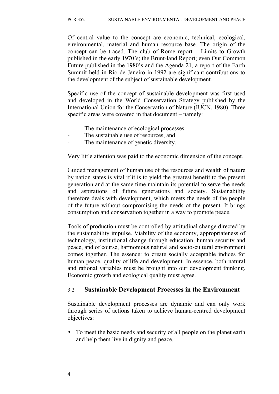Of central value to the concept are economic, technical, ecological, environmental, material and human resource base. The origin of the concept can be traced. The club of Rome report – Limits to Growth published in the early 1970's; the Brunt-land Report; even Our Common Future published in the 1980's and the Agenda 21, a report of the Earth Summit held in Rio de Janeiro in 1992 are significant contributions to the development of the subject of sustainable development.

Specific use of the concept of sustainable development was first used and developed in the World Conservation Strategy published by the International Union for the Conservation of Nature (IUCN, 1980). Three specific areas were covered in that document – namely:

- The maintenance of ecological processes
- The sustainable use of resources, and
- The maintenance of genetic diversity.

Very little attention was paid to the economic dimension of the concept.

Guided management of human use of the resources and wealth of nature by nation states is vital if it is to yield the greatest benefit to the present generation and at the same time maintain its potential to serve the needs and aspirations of future generations and society. Sustainability therefore deals with development, which meets the needs of the people of the future without compromising the needs of the present. It brings consumption and conservation together in a way to promote peace.

Tools of production must be controlled by attitudinal change directed by the sustainability impulse. Viability of the economy, appropriateness of technology, institutional change through education, human security and peace, and of course, harmonious natural and socio-cultural environment comes together. The essence: to create socially acceptable indices for human peace, quality of life and development. In essence, both natural and rational variables must be brought into our development thinking. Economic growth and ecological quality must agree.

#### 3.2 **Sustainable Development Processes in the Environment**

Sustainable development processes are dynamic and can only work through series of actions taken to achieve human-centred development objectives:

• To meet the basic needs and security of all people on the planet earth and help them live in dignity and peace.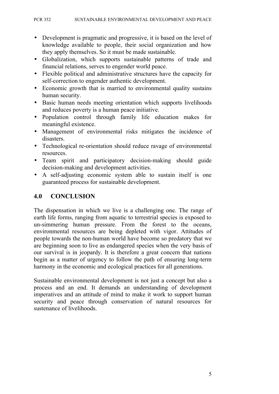- Development is pragmatic and progressive, it is based on the level of knowledge available to people, their social organization and how they apply themselves. So it must be made sustainable.
- Globalization, which supports sustainable patterns of trade and financial relations, serves to engender world peace.
- Flexible political and administrative structures have the capacity for self-correction to engender authentic development.
- Economic growth that is married to environmental quality sustains human security.
- Basic human needs meeting orientation which supports livelihoods and reduces poverty is a human peace initiative.
- Population control through family life education makes for meaningful existence.
- Management of environmental risks mitigates the incidence of disasters.
- Technological re-orientation should reduce ravage of environmental resources.
- Team spirit and participatory decision-making should guide decision-making and development activities.
- A self-adjusting economic system able to sustain itself is one guaranteed process for sustainable development.

#### **4.0 CONCLUSION**

The dispensation in which we live is a challenging one. The range of earth life forms, ranging from aquatic to terrestrial species is exposed to un-simmering human pressure. From the forest to the oceans, environmental resources are being depleted with vigor. Attitudes of people towards the non-human world have become so predatory that we are beginning soon to live as endangered species when the very basis of our survival is in jeopardy. It is therefore a great concern that nations begin as a matter of urgency to follow the path of ensuring long-term harmony in the economic and ecological practices for all generations.

Sustainable environmental development is not just a concept but also a process and an end. It demands an understanding of development imperatives and an attitude of mind to make it work to support human security and peace through conservation of natural resources for sustenance of livelihoods.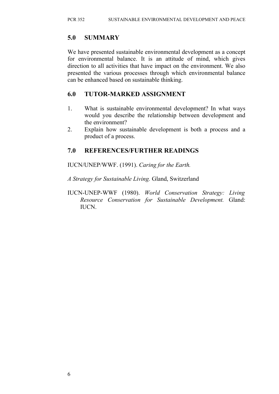#### **5.0 SUMMARY**

We have presented sustainable environmental development as a concept for environmental balance. It is an attitude of mind, which gives direction to all activities that have impact on the environment. We also presented the various processes through which environmental balance can be enhanced based on sustainable thinking.

#### **6.0 TUTOR-MARKED ASSIGNMENT**

- 1. What is sustainable environmental development? In what ways would you describe the relationship between development and the environment?
- 2. Explain how sustainable development is both a process and a product of a process.

#### **7.0 REFERENCES/FURTHER READINGS**

IUCN/UNEP/WWF. (1991). *Caring for the Earth.*

*A Strategy for Sustainable Living.* Gland, Switzerland

IUCN-UNEP-WWF (1980). *World Conservation Strategy: Living Resource Conservation for Sustainable Development.* Gland: IUCN.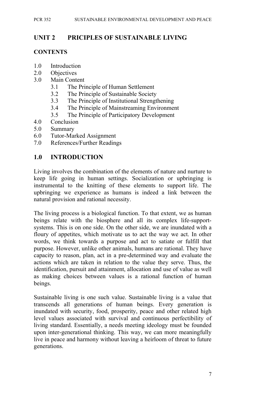## **UNIT 2 PRICIPLES OF SUSTAINABLE LIVING**

#### **CONTENTS**

- 1.0 Introduction
- 2.0 Objectives
- 3.0 Main Content
	- 3.1 The Principle of Human Settlement
	- 3.2 The Principle of Sustainable Society
	- 3.3 The Principle of Institutional Strengthening
	- 3.4 The Principle of Mainstreaming Environment
	- 3.5 The Principle of Participatory Development
- 4.0 Conclusion
- 5.0 Summary
- 6.0 Tutor-Marked Assignment
- 7.0 References/Further Readings

#### **1.0 INTRODUCTION**

Living involves the combination of the elements of nature and nurture to keep life going in human settings. Socialization or upbringing is instrumental to the knitting of these elements to support life. The upbringing we experience as humans is indeed a link between the natural provision and rational necessity.

The living process is a biological function. To that extent, we as human beings relate with the biosphere and all its complex life-supportsystems. This is on one side. On the other side, we are inundated with a floury of appetites, which motivate us to act the way we act. In other words, we think towards a purpose and act to satiate or fulfill that purpose. However, unlike other animals, humans are rational. They have capacity to reason, plan, act in a pre-determined way and evaluate the actions which are taken in relation to the value they serve. Thus, the identification, pursuit and attainment, allocation and use of value as well as making choices between values is a rational function of human beings.

Sustainable living is one such value. Sustainable living is a value that transcends all generations of human beings. Every generation is inundated with security, food, prosperity, peace and other related high level values associated with survival and continuous perfectibility of living standard. Essentially, a needs meeting ideology must be founded upon inter-generational thinking. This way, we can more meaningfully live in peace and harmony without leaving a heirloom of threat to future generations.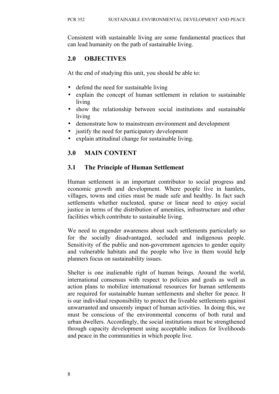Consistent with sustainable living are some fundamental practices that can lead humanity on the path of sustainable living.

## **2.0 OBJECTIVES**

At the end of studying this unit, you should be able to:

- defend the need for sustainable living
- explain the concept of human settlement in relation to sustainable living
- show the relationship between social institutions and sustainable living
- demonstrate how to mainstream environment and development
- justify the need for participatory development
- explain attitudinal change for sustainable living.

## **3.0 MAIN CONTENT**

#### **3.1 The Principle of Human Settlement**

Human settlement is an important contributor to social progress and economic growth and development. Where people live in hamlets, villages, towns and cities must be made safe and healthy. In fact such settlements whether nucleated, sparse or linear need to enjoy social justice in terms of the distribution of amenities, infrastructure and other facilities which contribute to sustainable living.

We need to engender awareness about such settlements particularly so for the socially disadvantaged, secluded and indigenous people. Sensitivity of the public and non-government agencies to gender equity and vulnerable habitats and the people who live in them would help planners focus on sustainability issues.

Shelter is one inalienable right of human beings. Around the world, international consensus with respect to policies and goals as well as action plans to mobilize international resources for human settlements are required for sustainable human settlements and shelter for peace. It is our individual responsibility to protect the liveable settlements against unwarranted and unseemly impact of human activities. In doing this, we must be conscious of the environmental concerns of both rural and urban dwellers. Accordingly, the social institutions must be strengthened through capacity development using acceptable indices for livelihoods and peace in the communities in which people live.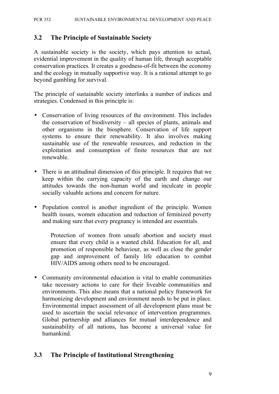#### **3.2 The Principle of Sustainable Society**

A sustainable society is the society, which pays attention to actual, evidential improvement in the quality of human life, through acceptable conservation practices. It creates a goodness-of-fit between the economy and the ecology in mutually supportive way. It is a rational attempt to go beyond gambling for survival.

The principle of sustainable society interlinks a number of indices and strategies. Condensed in this principle is:

- Conservation of living resources of the environment. This includes the conservation of biodiversity – all species of plants, animals and other organisms in the biosphere. Conservation of life support systems to ensure their renewability. It also involves making sustainable use of the renewable resources, and reduction in the exploitation and consumption of finite resources that are not renewable.
- There is an attitudinal dimension of this principle. It requires that we keep within the carrying capacity of the earth and change our attitudes towards the non-human world and inculcate in people socially valuable actions and concern for nature.
- Population control is another ingredient of the principle. Women health issues, women education and reduction of feminized poverty and making sure that every pregnancy is intended are essentials.

Protection of women from unsafe abortion and society must ensure that every child is a wanted child. Education for all, and promotion of responsible behaviour, as well as close the gender gap and improvement of family life education to combat HIV/AIDS among others need to be encouraged.

• Community environmental education is vital to enable communities take necessary actions to care for their liveable communities and environments. This also means that a national policy framework for harmonizing development and environment needs to be put in place. Environmental impact assessment of all development plans must be used to ascertain the social relevance of intervention programmes. Global partnership and alliances for mutual interdependence and sustainability of all nations, has become a universal value for humankind.

#### **3.3 The Principle of Institutional Strengthening**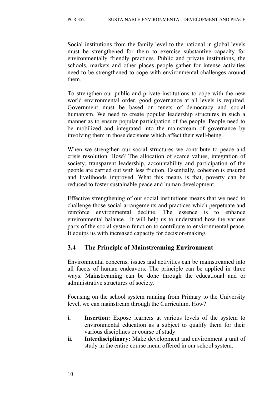Social institutions from the family level to the national in global levels must be strengthened for them to exercise substantive capacity for environmentally friendly practices. Public and private institutions, the schools, markets and other places people gather for intense activities need to be strengthened to cope with environmental challenges around them.

To strengthen our public and private institutions to cope with the new world environmental order, good governance at all levels is required. Government must be based on tenets of democracy and social humanism. We need to create popular leadership structures in such a manner as to ensure popular participation of the people. People need to be mobilized and integrated into the mainstream of governance by involving them in those decisions which affect their well-being.

When we strengthen our social structures we contribute to peace and crisis resolution. How? The allocation of scarce values, integration of society, transparent leadership, accountability and participation of the people are carried out with less friction. Essentially, cohesion is ensured and livelihoods improved. What this means is that, poverty can be reduced to foster sustainable peace and human development.

Effective strengthening of our social institutions means that we need to challenge those social arrangements and practices which perpetuate and reinforce environmental decline. The essence is to enhance environmental balance. It will help us to understand how the various parts of the social system function to contribute to environmental peace. It equips us with increased capacity for decision-making.

#### **3.4 The Principle of Mainstreaming Environment**

Environmental concerns, issues and activities can be mainstreamed into all facets of human endeavors. The principle can be applied in three ways. Mainstreaming can be done through the educational and or administrative structures of society.

Focusing on the school system running from Primary to the University level, we can mainstream through the Curriculum. How?

- **i. Insertion:** Expose learners at various levels of the system to environmental education as a subject to qualify them for their various disciplines or course of study.
- **ii. Interdisciplinary:** Make development and environment a unit of study in the entire course menu offered in our school system.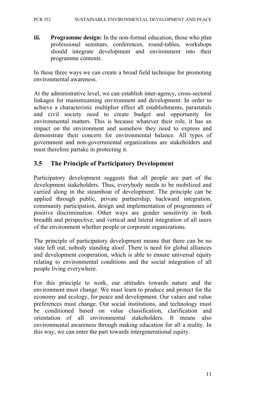#### PCR 352 SUSTAINABLE ENVIRONMENTAL DEVELOPMENT AND PEACE

**iii. Programme design:** In the non-formal education, those who plan professional seminars, conferences, round-tables, workshops should integrate development and environment into their programme contents.

In these three ways we can create a broad field technique for promoting environmental awareness.

At the administrative level, we can establish inter-agency, cross-sectoral linkages for mainstreaming environment and development. In order to achieve a characteristic multiplier effect all establishments, parastatals and civil society need to create budget and opportunity for environmental matters. This is because whatever their role, it has an impact on the environment and somehow they need to express and demonstrate their concern for environmental balance. All types of government and non-governmental organizations are stakeholders and must therefore partake in protecting it.

#### **3.5 The Principle of Participatory Development**

Participatory development suggests that all people are part of the development stakeholders. Thus, everybody needs to be mobilized and carried along in the steamboat of development. The principle can be applied through public, private partnership, backward integration, community participation, design and implementation of programmes of positive discrimination. Other ways are gender sensitivity in both breadth and perspective, and vertical and lateral integration of all users of the environment whether people or corporate organizations.

The principle of participatory development means that there can be no state left out, nobody standing aloof. There is need for global alliances and development cooperation, which is able to ensure universal equity relating to environmental conditions and the social integration of all people living everywhere.

For this principle to work, our attitudes towards nature and the environment must change. We must learn to produce and protect for the economy and ecology, for peace and development. Our values and value preferences must change. Our social institutions, and technology must be conditioned based on value classification clarification and orientation of all environmental stakeholders. It means also environmental awareness through making education for all a reality. In this way, we can enter the part towards intergenerational equity.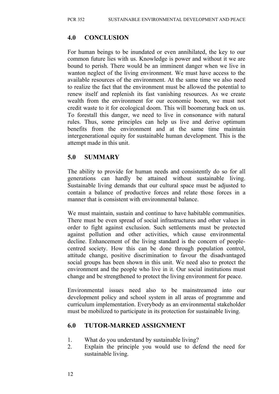#### **4.0 CONCLUSION**

For human beings to be inundated or even annihilated, the key to our common future lies with us. Knowledge is power and without it we are bound to perish. There would be an imminent danger when we live in wanton neglect of the living environment. We must have access to the available resources of the environment. At the same time we also need to realize the fact that the environment must be allowed the potential to renew itself and replenish its fast vanishing resources. As we create wealth from the environment for our economic boom, we must not credit waste to it for ecological doom. This will boomerang back on us. To forestall this danger, we need to live in consonance with natural rules. Thus, some principles can help us live and derive optimum benefits from the environment and at the same time maintain intergenerational equity for sustainable human development. This is the attempt made in this unit.

#### **5.0 SUMMARY**

The ability to provide for human needs and consistently do so for all generations can hardly be attained without sustainable living. Sustainable living demands that our cultural space must be adjusted to contain a balance of productive forces and relate those forces in a manner that is consistent with environmental balance.

We must maintain, sustain and continue to have habitable communities. There must be even spread of social infrastructures and other values in order to fight against exclusion. Such settlements must be protected against pollution and other activities, which cause environmental decline. Enhancement of the living standard is the concern of peoplecentred society. How this can be done through population control, attitude change, positive discrimination to favour the disadvantaged social groups has been shown in this unit. We need also to protect the environment and the people who live in it. Our social institutions must change and be strengthened to protect the living environment for peace.

Environmental issues need also to be mainstreamed into our development policy and school system in all areas of programme and curriculum implementation. Everybody as an environmental stakeholder must be mobilized to participate in its protection for sustainable living.

#### **6.0 TUTOR-MARKED ASSIGNMENT**

- 1. What do you understand by sustainable living?
- 2. Explain the principle you would use to defend the need for sustainable living.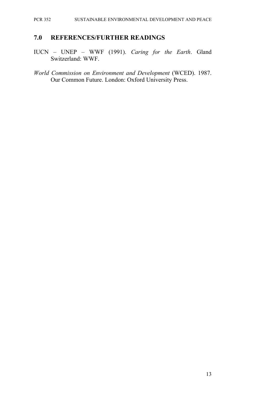#### PCR 352 SUSTAINABLE ENVIRONMENTAL DEVELOPMENT AND PEACE

#### **7.0 REFERENCES/FURTHER READINGS**

- IUCN UNEP WWF (1991). *Caring for the Earth*. Gland Switzerland: WWF.
- *World Commission on Environment and Development* (WCED). 1987. Our Common Future. London: Oxford University Press.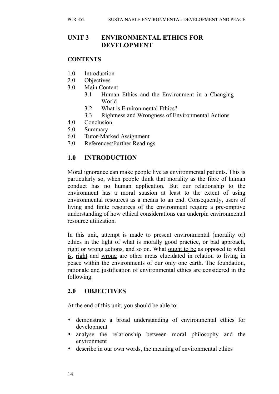#### **UNIT 3 ENVIRONMENTAL ETHICS FOR DEVELOPMENT**

#### **CONTENTS**

- 1.0 Introduction
- 2.0 Objectives
- 3.0 Main Content
	- 3.1 Human Ethics and the Environment in a Changing World
	- 3.2 What is Environmental Ethics?
	- 3.3 Rightness and Wrongness of Environmental Actions
- 4.0 Conclusion
- 5.0 Summary
- 6.0 Tutor-Marked Assignment
- 7.0 References/Further Readings

#### **1.0 INTRODUCTION**

Moral ignorance can make people live as environmental patients. This is particularly so, when people think that morality as the fibre of human conduct has no human application. But our relationship to the environment has a moral suasion at least to the extent of using environmental resources as a means to an end. Consequently, users of living and finite resources of the environment require a pre-emptive understanding of how ethical considerations can underpin environmental resource utilization.

In this unit, attempt is made to present environmental (morality or) ethics in the light of what is morally good practice, or bad approach, right or wrong actions, and so on. What ought to be as opposed to what is, right and wrong are other areas elucidated in relation to living in peace within the environments of our only one earth. The foundation, rationale and justification of environmental ethics are considered in the following.

## **2.0 OBJECTIVES**

At the end of this unit, you should be able to:

- demonstrate a broad understanding of environmental ethics for development
- analyse the relationship between moral philosophy and the environment
- describe in our own words, the meaning of environmental ethics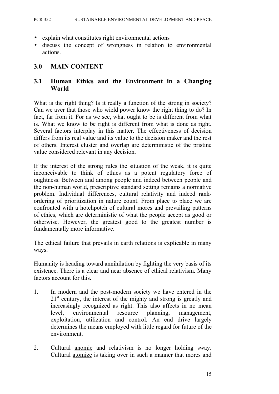- explain what constitutes right environmental actions
- discuss the concept of wrongness in relation to environmental actions.

#### **3.0 MAIN CONTENT**

#### **3.1 Human Ethics and the Environment in a Changing World**

What is the right thing? Is it really a function of the strong in society? Can we aver that those who wield power know the right thing to do? In fact, far from it. For as we see, what ought to be is different from what is. What we know to be right is different from what is done as right. Several factors interplay in this matter. The effectiveness of decision differs from its real value and its value to the decision maker and the rest of others. Interest cluster and overlap are deterministic of the pristine value considered relevant in any decision.

If the interest of the strong rules the situation of the weak, it is quite inconceivable to think of ethics as a potent regulatory force of oughtness. Between and among people and indeed between people and the non-human world, prescriptive standard setting remains a normative problem. Individual differences, cultural relativity and indeed rankordering of prioritization in nature count. From place to place we are confronted with a hotchpotch of cultural mores and prevailing patterns of ethics, which are deterministic of what the people accept as good or otherwise. However, the greatest good to the greatest number is fundamentally more informative.

The ethical failure that prevails in earth relations is explicable in many ways.

Humanity is heading toward annihilation by fighting the very basis of its existence. There is a clear and near absence of ethical relativism. Many factors account for this.

- 1. In modern and the post-modern society we have entered in the  $21<sup>st</sup>$  century, the interest of the mighty and strong is greatly and increasingly recognized as right. This also affects in no mean level, environmental resource planning, management, exploitation, utilization and control. An end drive largely determines the means employed with little regard for future of the environment.
- 2. Cultural anomie and relativism is no longer holding sway. Cultural atomize is taking over in such a manner that mores and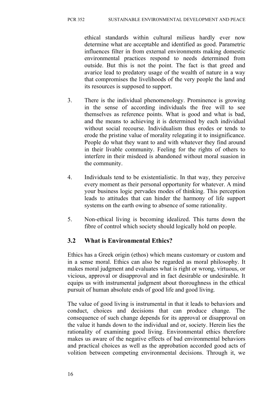ethical standards within cultural milieus hardly ever now determine what are acceptable and identified as good. Parametric influences filter in from external environments making domestic environmental practices respond to needs determined from outside. But this is not the point. The fact is that greed and avarice lead to predatory usage of the wealth of nature in a way that compromises the livelihoods of the very people the land and its resources is supposed to support.

- 3. There is the individual phenomenology. Prominence is growing in the sense of according individuals the free will to see themselves as reference points. What is good and what is bad, and the means to achieving it is determined by each individual without social recourse. Individualism thus erodes or tends to erode the pristine value of morality relegating it to insignificance. People do what they want to and with whatever they find around in their livable community. Feeling for the rights of others to interfere in their misdeed is abandoned without moral suasion in the community.
- 4. Individuals tend to be existentialistic. In that way, they perceive every moment as their personal opportunity for whatever. A mind your business logic pervades modes of thinking. This perception leads to attitudes that can hinder the harmony of life support systems on the earth owing to absence of some rationality.
- 5. Non-ethical living is becoming idealized. This turns down the fibre of control which society should logically hold on people.

## **3.2 What is Environmental Ethics?**

Ethics has a Greek origin (ethos) which means customary or custom and in a sense moral. Ethics can also be regarded as moral philosophy. It makes moral judgment and evaluates what is right or wrong, virtuous, or vicious, approval or disapproval and in fact desirable or undesirable. It equips us with instrumental judgment about thoroughness in the ethical pursuit of human absolute ends of good life and good living.

The value of good living is instrumental in that it leads to behaviors and conduct, choices and decisions that can produce change. The consequence of such change depends for its approval or disapproval on the value it hands down to the individual and or, society. Herein lies the rationality of examining good living. Environmental ethics therefore makes us aware of the negative effects of bad environmental behaviors and practical choices as well as the approbation accorded good acts of volition between competing environmental decisions. Through it, we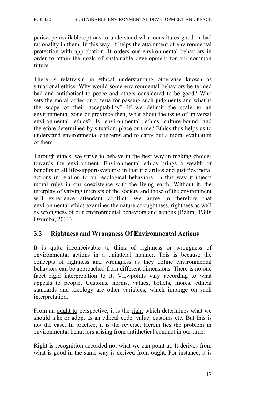PCR 352 SUSTAINABLE ENVIRONMENTAL DEVELOPMENT AND PEACE

periscope available options to understand what constitutes good or bad rationality in them. In this way, it helps the attainment of environmental protection with approbation. It orders our environmental behaviors in order to attain the goals of sustainable development for our common future.

There is relativism in ethical understanding otherwise known as situational ethics. Why would some environmental behaviors be termed bad and antithetical to peace and others considered to be good? Who sets the moral codes or criteria for passing such judgments and what is the scope of their acceptability? If we delimit the scale to an environmental zone or province then, what about the issue of universal environmental ethics? Is environmental ethics culture-bound and therefore determined by situation, place or time? Ethics thus helps us to understand environmental concerns and to carry out a moral evaluation of them.

Through ethics, we strive to behave in the best way in making choices towards the environment. Environmental ethics brings a wealth of benefits to all life-support-systems; in that it clarifies and justifies moral actions in relation to our ecological behaviors. In this way it injects moral rules in our coexistence with the living earth. Without it, the interplay of varying interests of the society and those of the environment will experience attendant conflict. We agree in therefore that environmental ethics examines the nature of oughtness, rightness as well as wrongness of our environmental behaviors and actions (Bahm, 1980; Ozumba, 2001)

#### **3.3 Rightness and Wrongness Of Environmental Actions**

It is quite inconceivable to think of rightness or wrongness of environmental actions in a unilateral manner. This is because the concepts of rightness and wrongness as they define environmental behaviors can be approached from different dimensions. There is no one facet rigid interpretation to it. Viewpoints vary according to what appeals to people. Customs, norms, values, beliefs, mores, ethical standards and ideology are other variables, which impinge on such interpretation.

From an ought to perspective, it is the right which determines what we should take or adopt as an ethical code, value, customs etc. But this is not the case. In practice, it is the reverse. Herein lies the problem in environmental behaviors arising from antithetical conduct in our time.

Right is recognition accorded not what we can point at. It derives from what is good in the same way is derived from ought. For instance, it is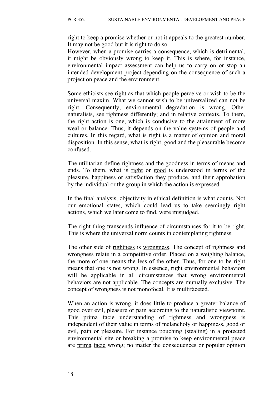right to keep a promise whether or not it appeals to the greatest number. It may not be good but it is right to do so.

However, when a promise carries a consequence, which is detrimental, it might be obviously wrong to keep it. This is where, for instance, environmental impact assessment can help us to carry on or stop an intended development project depending on the consequence of such a project on peace and the environment.

Some ethicists see right as that which people perceive or wish to be the universal maxim. What we cannot wish to be universalized can not be right. Consequently, environmental degradation is wrong. Other naturalists, see rightness differently; and in relative contexts. To them, the right action is one, which is conducive to the attainment of more weal or balance. Thus, it depends on the value systems of people and cultures. In this regard, what is right is a matter of opinion and moral disposition. In this sense, what is right, good and the pleasurable become confused.

The utilitarian define rightness and the goodness in terms of means and ends. To them, what is right or good is understood in terms of the pleasure, happiness or satisfaction they produce, and their approbation by the individual or the group in which the action is expressed.

In the final analysis, objectivity in ethical definition is what counts. Not our emotional states, which could lead us to take seemingly right actions, which we later come to find, were misjudged.

The right thing transcends influence of circumstances for it to be right. This is where the universal norm counts in contemplating rightness.

The other side of rightness is wrongness. The concept of rightness and wrongness relate in a competitive order. Placed on a weighing balance, the more of one means the less of the other. Thus, for one to be right means that one is not wrong. In essence, right environmental behaviors will be applicable in all circumstances that wrong environmental behaviors are not applicable. The concepts are mutually exclusive. The concept of wrongness is not monofocal. It is multifaceted.

When an action is wrong, it does little to produce a greater balance of good over evil, pleasure or pain according to the naturalistic viewpoint. This prima facie understanding of rightness and wrongness is independent of their value in terms of melancholy or happiness, good or evil, pain or pleasure. For instance pouching (stealing) in a protected environmental site or breaking a promise to keep environmental peace are prima facie wrong; no matter the consequences or popular opinion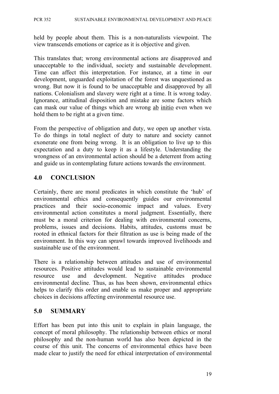held by people about them. This is a non-naturalists viewpoint. The view transcends emotions or caprice as it is objective and given.

This translates that; wrong environmental actions are disapproved and unacceptable to the individual, society and sustainable development. Time can affect this interpretation. For instance, at a time in our development, unguarded exploitation of the forest was unquestioned as wrong. But now it is found to be unacceptable and disapproved by all nations. Colonialism and slavery were right at a time. It is wrong today. Ignorance, attitudinal disposition and mistake are some factors which can mask our value of things which are wrong ab initio even when we hold them to be right at a given time.

From the perspective of obligation and duty, we open up another vista. To do things in total neglect of duty to nature and society cannot exonerate one from being wrong. It is an obligation to live up to this expectation and a duty to keep it as a lifestyle. Understanding the wrongness of an environmental action should be a deterrent from acting and guide us in contemplating future actions towards the environment.

#### **4.0 CONCLUSION**

Certainly, there are moral predicates in which constitute the 'hub' of environmental ethics and consequently guides our environmental practices and their socio-economic impact and values. Every environmental action constitutes a moral judgment. Essentially, there must be a moral criterion for dealing with environmental concerns, problems, issues and decisions. Habits, attitudes, customs must be rooted in ethnical factors for their filtration as use is being made of the environment. In this way can sprawl towards improved livelihoods and sustainable use of the environment.

There is a relationship between attitudes and use of environmental resources. Positive attitudes would lead to sustainable environmental resource use and development. Negative attitudes produce environmental decline. Thus, as has been shown, environmental ethics helps to clarify this order and enable us make proper and appropriate choices in decisions affecting environmental resource use.

#### **5.0 SUMMARY**

Effort has been put into this unit to explain in plain language, the concept of moral philosophy. The relationship between ethics or moral philosophy and the non-human world has also been depicted in the course of this unit. The concerns of environmental ethics have been made clear to justify the need for ethical interpretation of environmental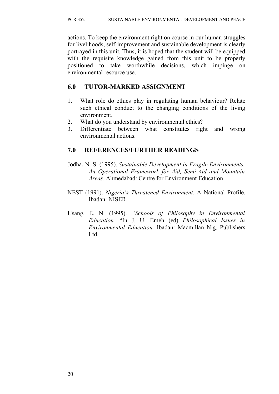actions. To keep the environment right on course in our human struggles for livelihoods, self-improvement and sustainable development is clearly portrayed in this unit. Thus, it is hoped that the student will be equipped with the requisite knowledge gained from this unit to be properly positioned to take worthwhile decisions, which impinge on environmental resource use.

#### **6.0 TUTOR-MARKED ASSIGNMENT**

- 1. What role do ethics play in regulating human behaviour? Relate such ethical conduct to the changing conditions of the living environment.
- 2. What do you understand by environmental ethics?
- 3. Differentiate between what constitutes right and wrong environmental actions.

## **7.0 REFERENCES/FURTHER READINGS**

- Jodha, N. S. (1995)..*Sustainable Development in Fragile Environments. An Operational Framework for Aid, Semi-Aid and Mountain Areas.* Ahmedabad: Centre for Environment Education.
- NEST (1991). *Nigeria's Threatened Environment.* A National Profile. Ibadan: NISER.
- Usang, E. N. (1995). *"Schools of Philosophy in Environmental Education.* "In J. U. Emeh (ed) *Philosophical Issues in Environmental Education.* Ibadan: Macmillan Nig. Publishers Ltd.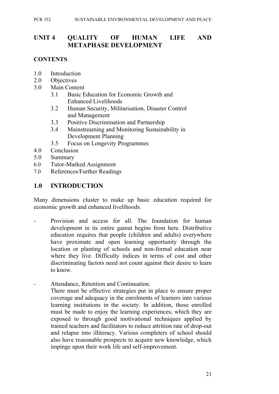## **UNIT 4 QUALITY OF HUMAN LIFE AND METAPHASE DEVELOPMENT**

### **CONTENTS**

- 1.0 Introduction
- 2.0 Objectives
- 3.0 Main Content
	- 3.1 Basic Education for Economic Growth and Enhanced Livelihoods
	- 3.2 Human Security, Militarisation, Disaster Control and Management
	- 3.3 Positive Discrimination and Partnership
	- 3.4 Mainstreaming and Monitoring Sustainability in Development Planning
	- 3.5 Focus on Longevity Programmes
- 4.0 Conclusion
- 5.0 Summary
- 6.0 Tutor-Marked Assignment
- 7.0 References/Further Readings

### **1.0 INTRODUCTION**

Many dimensions cluster to make up basic education required for economic growth and enhanced livelihoods.

- Provision and access for all. The foundation for human development in its entire gamut begins from here. Distributive education requires that people (children and adults) everywhere have proximate and open learning opportunity through the location or planting of schools and non-formal education near where they live. Difficulty indices in terms of cost and other discriminating factors need not count against their desire to learn to know.
- Attendance, Retention and Continuation. There must be effective strategies put in place to ensure proper coverage and adequacy in the enrolments of learners into various learning institutions in the society. In addition, those enrolled must be made to enjoy the learning experiences, which they are exposed to through good motivational techniques applied by trained teachers and facilitators to reduce attrition rate of drop-out and relapse into illiteracy. Various completers of school should also have reasonable prospects to acquire new knowledge, which impinge upon their work life and self-improvement.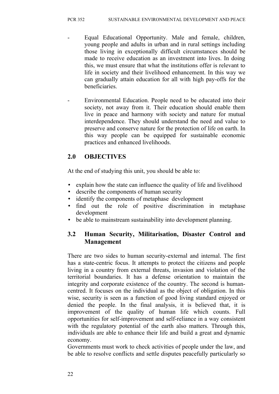- Equal Educational Opportunity. Male and female, children, young people and adults in urban and in rural settings including those living in exceptionally difficult circumstances should be made to receive education as an investment into lives. In doing this, we must ensure that what the institutions offer is relevant to life in society and their livelihood enhancement. In this way we can gradually attain education for all with high pay-offs for the beneficiaries.
- Environmental Education. People need to be educated into their society, not away from it. Their education should enable them live in peace and harmony with society and nature for mutual interdependence. They should understand the need and value to preserve and conserve nature for the protection of life on earth. In this way people can be equipped for sustainable economic practices and enhanced livelihoods.

# **2.0 OBJECTIVES**

At the end of studying this unit, you should be able to:

- explain how the state can influence the quality of life and livelihood
- describe the components of human security
- identify the components of metaphase development
- find out the role of positive discrimination in metaphase development
- be able to mainstream sustainability into development planning.

# **3.2 Human Security, Militarisation, Disaster Control and Management**

There are two sides to human security-external and internal. The first has a state-centric focus. It attempts to protect the citizens and people living in a country from external threats, invasion and violation of the territorial boundaries. It has a defense orientation to maintain the integrity and corporate existence of the country. The second is humancentred. It focuses on the individual as the object of obligation. In this wise, security is seen as a function of good living standard enjoyed or denied the people. In the final analysis, it is believed that, it is improvement of the quality of human life which counts. Full opportunities for self-improvement and self-reliance in a way consistent with the regulatory potential of the earth also matters. Through this, individuals are able to enhance their life and build a great and dynamic economy.

Governments must work to check activities of people under the law, and be able to resolve conflicts and settle disputes peacefully particularly so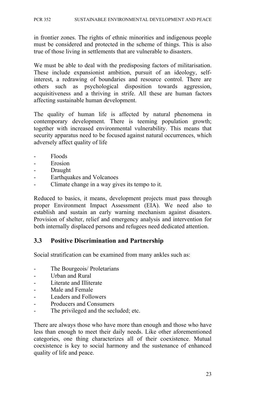in frontier zones. The rights of ethnic minorities and indigenous people must be considered and protected in the scheme of things. This is also true of those living in settlements that are vulnerable to disasters.

We must be able to deal with the predisposing factors of militarisation. These include expansionist ambition, pursuit of an ideology, selfinterest, a redrawing of boundaries and resource control. There are others such as psychological disposition towards aggression, acquisitiveness and a thriving in strife. All these are human factors affecting sustainable human development.

The quality of human life is affected by natural phenomena in contemporary development. There is teeming population growth; together with increased environmental vulnerability. This means that security apparatus need to be focused against natural occurrences, which adversely affect quality of life

- Floods
- Erosion
- Draught
- Earthquakes and Volcanoes
- Climate change in a way gives its tempo to it.

Reduced to basics, it means, development projects must pass through proper Environment Impact Assessment (EIA). We need also to establish and sustain an early warning mechanism against disasters. Provision of shelter, relief and emergency analysis and intervention for both internally displaced persons and refugees need dedicated attention.

### **3.3 Positive Discrimination and Partnership**

Social stratification can be examined from many ankles such as:

- The Bourgeois/ Proletarians
- Urban and Rural
- Literate and Illiterate
- Male and Female
- Leaders and Followers
- Producers and Consumers
- The privileged and the secluded; etc.

There are always those who have more than enough and those who have less than enough to meet their daily needs. Like other aforementioned categories, one thing characterizes all of their coexistence. Mutual coexistence is key to social harmony and the sustenance of enhanced quality of life and peace.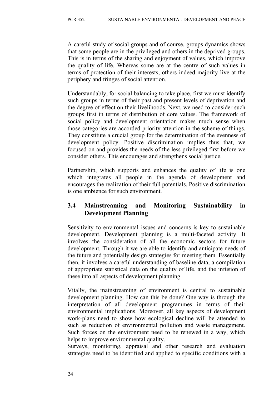A careful study of social groups and of course, groups dynamics shows that some people are in the privileged and others in the deprived groups. This is in terms of the sharing and enjoyment of values, which improve the quality of life. Whereas some are at the centre of such values in terms of protection of their interests, others indeed majority live at the periphery and fringes of social attention.

Understandably, for social balancing to take place, first we must identify such groups in terms of their past and present levels of deprivation and the degree of effect on their livelihoods. Next, we need to consider such groups first in terms of distribution of core values. The framework of social policy and development orientation makes much sense when those categories are accorded priority attention in the scheme of things. They constitute a crucial group for the determination of the evenness of development policy. Positive discrimination implies thus that, we focused on and provides the needs of the less privileged first before we consider others. This encourages and strengthens social justice.

Partnership, which supports and enhances the quality of life is one which integrates all people in the agenda of development and encourages the realization of their full potentials. Positive discrimination is one ambience for such environment.

# **3.4 Mainstreaming and Monitoring Sustainability in Development Planning**

Sensitivity to environmental issues and concerns is key to sustainable development. Development planning is a multi-faceted activity. It involves the consideration of all the economic sectors for future development. Through it we are able to identify and anticipate needs of the future and potentially design strategies for meeting them. Essentially then, it involves a careful understanding of baseline data, a compilation of appropriate statistical data on the quality of life, and the infusion of these into all aspects of development planning.

Vitally, the mainstreaming of environment is central to sustainable development planning. How can this be done? One way is through the interpretation of all development programmes in terms of their environmental implications. Moreover, all key aspects of development work-plans need to show how ecological decline will be attended to such as reduction of environmental pollution and waste management. Such forces on the environment need to be renewed in a way, which helps to improve environmental quality.

Surveys, monitoring, appraisal and other research and evaluation strategies need to be identified and applied to specific conditions with a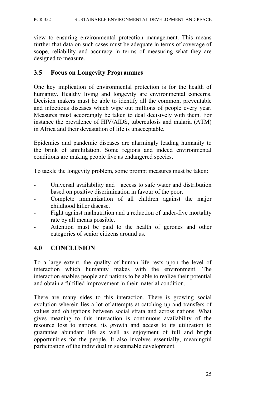view to ensuring environmental protection management. This means further that data on such cases must be adequate in terms of coverage of scope, reliability and accuracy in terms of measuring what they are designed to measure.

### **3.5 Focus on Longevity Programmes**

One key implication of environmental protection is for the health of humanity. Healthy living and longevity are environmental concerns. Decision makers must be able to identify all the common, preventable and infectious diseases which wipe out millions of people every year. Measures must accordingly be taken to deal decisively with them. For instance the prevalence of HIV/AIDS, tuberculosis and malaria (ATM) in Africa and their devastation of life is unacceptable.

Epidemics and pandemic diseases are alarmingly leading humanity to the brink of annihilation. Some regions and indeed environmental conditions are making people live as endangered species.

To tackle the longevity problem, some prompt measures must be taken:

- Universal availability and access to safe water and distribution based on positive discrimination in favour of the poor.
- Complete immunization of all children against the major childhood killer disease.
- Fight against malnutrition and a reduction of under-five mortality rate by all means possible.
- Attention must be paid to the health of gerones and other categories of senior citizens around us.

### **4.0 CONCLUSION**

To a large extent, the quality of human life rests upon the level of interaction which humanity makes with the environment. The interaction enables people and nations to be able to realize their potential and obtain a fulfilled improvement in their material condition.

There are many sides to this interaction. There is growing social evolution wherein lies a lot of attempts at catching up and transfers of values and obligations between social strata and across nations. What gives meaning to this interaction is continuous availability of the resource loss to nations, its growth and access to its utilization to guarantee abundant life as well as enjoyment of full and bright opportunities for the people. It also involves essentially, meaningful participation of the individual in sustainable development.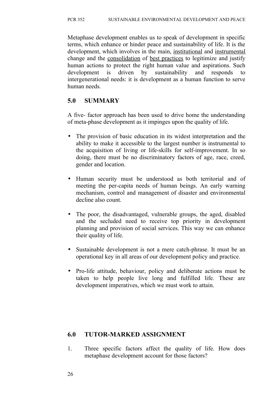Metaphase development enables us to speak of development in specific terms, which enhance or hinder peace and sustainability of life. It is the development, which involves in the main, institutional and instrumental change and the consolidation of best practices to legitimize and justify human actions to protect the right human value and aspirations. Such development is driven by sustainability and responds to intergenerational needs: it is development as a human function to serve human needs.

# **5.0 SUMMARY**

A five- factor approach has been used to drive home the understanding of meta-phase development as it impinges upon the quality of life.

- The provision of basic education in its widest interpretation and the ability to make it accessible to the largest number is instrumental to the acquisition of living or life-skills for self-improvement. In so doing, there must be no discriminatory factors of age, race, creed, gender and location.
- Human security must be understood as both territorial and of meeting the per-capita needs of human beings. An early warning mechanism, control and management of disaster and environmental decline also count.
- The poor, the disadvantaged, vulnerable groups, the aged, disabled and the secluded need to receive top priority in development planning and provision of social services. This way we can enhance their quality of life.
- Sustainable development is not a mere catch-phrase. It must be an operational key in all areas of our development policy and practice.
- Pro-life attitude, behaviour, policy and deliberate actions must be taken to help people live long and fulfilled life. These are development imperatives, which we must work to attain.

# **6.0 TUTOR-MARKED ASSIGNMENT**

1. Three specific factors affect the quality of life. How does metaphase development account for those factors?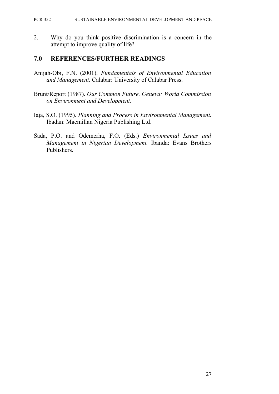#### PCR 352 SUSTAINABLE ENVIRONMENTAL DEVELOPMENT AND PEACE

2. Why do you think positive discrimination is a concern in the attempt to improve quality of life?

### **7.0 REFERENCES/FURTHER READINGS**

- Anijah-Obi, F.N. (2001). *Fundamentals of Environmental Education and Management.* Calabar: University of Calabar Press.
- Brunt/Report (1987). *Our Common Future. Geneva: World Commission on Environment and Development.*
- Iaja, S.O. (1995). *Planning and Process in Environmental Management.* Ibadan: Macmillan Nigeria Publishing Ltd.
- Sada, P.O. and Odemerha, F.O. (Eds.) *Environmental Issues and Management in Nigerian Development.* Ibanda: Evans Brothers Publishers.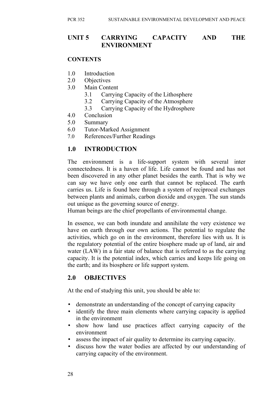### **UNIT 5 CARRYING CAPACITY AND THE ENVIRONMENT**

### **CONTENTS**

- 1.0 Introduction
- 2.0 Objectives
- 3.0 Main Content
	- 3.1 Carrying Capacity of the Lithosphere
	- 3.2 Carrying Capacity of the Atmosphere
	- 3.3 Carrying Capacity of the Hydrosphere
- 4.0 Conclusion
- 5.0 Summary
- 6.0 Tutor-Marked Assignment
- 7.0 References/Further Readings

### **1.0 INTRODUCTION**

The environment is a life-support system with several inter connectedness. It is a haven of life. Life cannot be found and has not been discovered in any other planet besides the earth. That is why we can say we have only one earth that cannot be replaced. The earth carries us. Life is found here through a system of reciprocal exchanges between plants and animals, carbon dioxide and oxygen. The sun stands out unique as the governing source of energy.

Human beings are the chief propellants of environmental change.

In essence, we can both inundate and annihilate the very existence we have on earth through our own actions. The potential to regulate the activities, which go on in the environment, therefore lies with us. It is the regulatory potential of the entire biosphere made up of land, air and water (LAW) in a fair state of balance that is referred to as the carrying capacity. It is the potential index, which carries and keeps life going on the earth; and its biosphere or life support system.

### **2.0 OBJECTIVES**

At the end of studying this unit, you should be able to:

- demonstrate an understanding of the concept of carrying capacity
- identify the three main elements where carrying capacity is applied in the environment
- show how land use practices affect carrying capacity of the environment
- assess the impact of air quality to determine its carrying capacity.
- discuss how the water bodies are affected by our understanding of carrying capacity of the environment.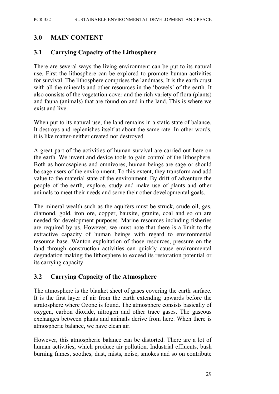## **3.0 MAIN CONTENT**

### **3.1 Carrying Capacity of the Lithosphere**

There are several ways the living environment can be put to its natural use. First the lithosphere can be explored to promote human activities for survival. The lithosphere comprises the landmass. It is the earth crust with all the minerals and other resources in the 'bowels' of the earth. It also consists of the vegetation cover and the rich variety of flora (plants) and fauna (animals) that are found on and in the land. This is where we exist and live.

When put to its natural use, the land remains in a static state of balance. It destroys and replenishes itself at about the same rate. In other words, it is like matter-neither created nor destroyed.

A great part of the activities of human survival are carried out here on the earth. We invent and device tools to gain control of the lithosphere. Both as homosapiens and omnivores, human beings are sage or should be sage users of the environment. To this extent, they transform and add value to the material state of the environment. By drift of adventure the people of the earth, explore, study and make use of plants and other animals to meet their needs and serve their other developmental goals.

The mineral wealth such as the aquifers must be struck, crude oil, gas, diamond, gold, iron ore, copper, bauxite, granite, coal and so on are needed for development purposes. Marine resources including fisheries are required by us. However, we must note that there is a limit to the extractive capacity of human beings with regard to environmental resource base. Wanton exploitation of those resources, pressure on the land through construction activities can quickly cause environmental degradation making the lithosphere to exceed its restoration potential or its carrying capacity.

### **3.2 Carrying Capacity of the Atmosphere**

The atmosphere is the blanket sheet of gases covering the earth surface. It is the first layer of air from the earth extending upwards before the stratosphere where Ozone is found. The atmosphere consists basically of oxygen, carbon dioxide, nitrogen and other trace gases. The gaseous exchanges between plants and animals derive from here. When there is atmospheric balance, we have clean air.

However, this atmospheric balance can be distorted. There are a lot of human activities, which produce air pollution. Industrial effluents, bush burning fumes, soothes, dust, mists, noise, smokes and so on contribute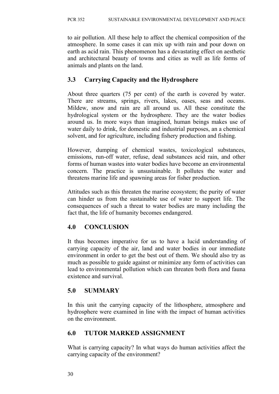to air pollution. All these help to affect the chemical composition of the atmosphere. In some cases it can mix up with rain and pour down on earth as acid rain. This phenomenon has a devastating effect on aesthetic and architectural beauty of towns and cities as well as life forms of animals and plants on the land.

# **3.3 Carrying Capacity and the Hydrosphere**

About three quarters (75 per cent) of the earth is covered by water. There are streams, springs, rivers, lakes, oases, seas and oceans. Mildew, snow and rain are all around us. All these constitute the hydrological system or the hydrosphere. They are the water bodies around us. In more ways than imagined, human beings makes use of water daily to drink, for domestic and industrial purposes, an a chemical solvent, and for agriculture, including fishery production and fishing.

However, dumping of chemical wastes, toxicological substances, emissions, run-off water, refuse, dead substances acid rain, and other forms of human wastes into water bodies have become an environmental concern. The practice is unsustainable. It pollutes the water and threatens marine life and spawning areas for fisher production.

Attitudes such as this threaten the marine ecosystem; the purity of water can hinder us from the sustainable use of water to support life. The consequences of such a threat to water bodies are many including the fact that, the life of humanity becomes endangered.

# **4.0 CONCLUSION**

It thus becomes imperative for us to have a lucid understanding of carrying capacity of the air, land and water bodies in our immediate environment in order to get the best out of them. We should also try as much as possible to guide against or minimize any form of activities can lead to environmental pollution which can threaten both flora and fauna existence and survival.

# **5.0 SUMMARY**

In this unit the carrying capacity of the lithosphere, atmosphere and hydrosphere were examined in line with the impact of human activities on the environment.

### **6.0 TUTOR MARKED ASSIGNMENT**

What is carrying capacity? In what ways do human activities affect the carrying capacity of the environment?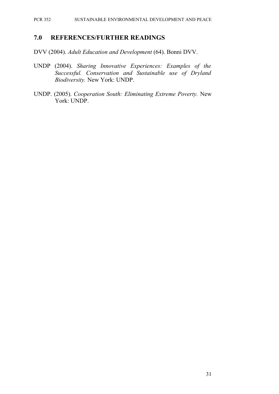#### **7.0 REFERENCES/FURTHER READINGS**

DVV (2004). *Adult Education and Development* (64). Bonni DVV.

- UNDP (2004). *Sharing Innovative Experiences: Examples of the Successful. Conservation and Sustainable use of Dryland Biodiversity.* New York: UNDP.
- UNDP. (2005). *Cooperation South: Eliminating Extreme Poverty.* New York: UNDP.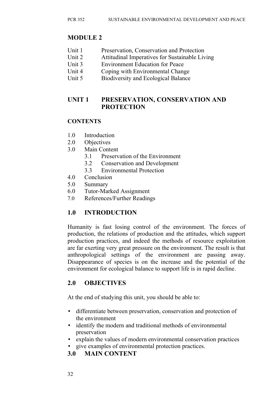# **MODULE 2**

- Unit 1 Preservation, Conservation and Protection
- Unit 2 Attitudinal Imperatives for Sustainable Living
- Unit 3 Environment Education for Peace
- Unit 4 Coping with Environmental Change
- Unit 5 Biodiversity and Ecological Balance

# **UNIT 1 PRESERVATION, CONSERVATION AND PROTECTION**

# **CONTENTS**

- 1.0 Introduction
- 2.0 Objectives
- 3.0 Main Content
	- 3.1 Preservation of the Environment
	- 3.2 Conservation and Development
	- 3.3 Environmental Protection
- 4.0 Conclusion
- 5.0 Summary
- 6.0 Tutor-Marked Assignment
- 7.0 References/Further Readings

# **1.0 INTRODUCTION**

Humanity is fast losing control of the environment. The forces of production, the relations of production and the attitudes, which support production practices, and indeed the methods of resource exploitation are far exerting very great pressure on the environment. The result is that anthropological settings of the environment are passing away. Disappearance of species is on the increase and the potential of the environment for ecological balance to support life is in rapid decline.

# **2.0 OBJECTIVES**

At the end of studying this unit, you should be able to:

- differentiate between preservation, conservation and protection of the environment
- identify the modern and traditional methods of environmental preservation
- explain the values of modern environmental conservation practices
- give examples of environmental protection practices.

# **3.0 MAIN CONTENT**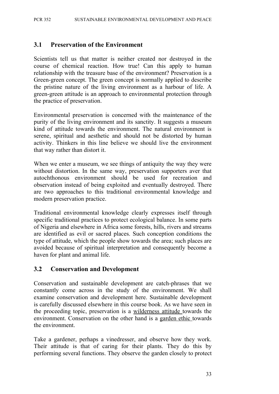### **3.1 Preservation of the Environment**

Scientists tell us that matter is neither created nor destroyed in the course of chemical reaction. How true! Can this apply to human relationship with the treasure base of the environment? Preservation is a Green-green concept. The green concept is normally applied to describe the pristine nature of the living environment as a harbour of life. A green-green attitude is an approach to environmental protection through the practice of preservation.

Environmental preservation is concerned with the maintenance of the purity of the living environment and its sanctity. It suggests a museum kind of attitude towards the environment. The natural environment is serene, spiritual and aesthetic and should not be distorted by human activity. Thinkers in this line believe we should live the environment that way rather than distort it.

When we enter a museum, we see things of antiquity the way they were without distortion. In the same way, preservation supporters aver that autochthonous environment should be used for recreation and observation instead of being exploited and eventually destroyed. There are two approaches to this traditional environmental knowledge and modern preservation practice.

Traditional environmental knowledge clearly expresses itself through specific traditional practices to protect ecological balance. In some parts of Nigeria and elsewhere in Africa some forests, hills, rivers and streams are identified as evil or sacred places. Such conception conditions the type of attitude, which the people show towards the area; such places are avoided because of spiritual interpretation and consequently become a haven for plant and animal life.

### **3.2 Conservation and Development**

Conservation and sustainable development are catch-phrases that we constantly come across in the study of the environment. We shall examine conservation and development here. Sustainable development is carefully discussed elsewhere in this course book. As we have seen in the proceeding topic, preservation is a wilderness attitude towards the environment. Conservation on the other hand is a garden ethic towards the environment.

Take a gardener, perhaps a vinedresser, and observe how they work. Their attitude is that of caring for their plants. They do this by performing several functions. They observe the garden closely to protect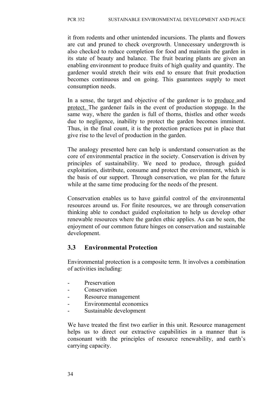it from rodents and other unintended incursions. The plants and flowers are cut and pruned to check overgrowth. Unnecessary undergrowth is also checked to reduce completion for food and maintain the garden in its state of beauty and balance. The fruit bearing plants are given an enabling environment to produce fruits of high quality and quantity. The gardener would stretch their wits end to ensure that fruit production becomes continuous and on going. This guarantees supply to meet consumption needs.

In a sense, the target and objective of the gardener is to produce and protect. The gardener fails in the event of production stoppage. In the same way, where the garden is full of thorns, thistles and other weeds due to negligence, inability to protect the garden becomes imminent. Thus, in the final count, it is the protection practices put in place that give rise to the level of production in the garden.

The analogy presented here can help is understand conservation as the core of environmental practice in the society. Conservation is driven by principles of sustainability. We need to produce, through guided exploitation, distribute, consume and protect the environment, which is the basis of our support. Through conservation, we plan for the future while at the same time producing for the needs of the present.

Conservation enables us to have gainful control of the environmental resources around us. For finite resources, we are through conservation thinking able to conduct guided exploitation to help us develop other renewable resources where the garden ethic applies. As can be seen, the enjoyment of our common future hinges on conservation and sustainable development.

### **3.3 Environmental Protection**

Environmental protection is a composite term. It involves a combination of activities including:

- **Preservation**
- Conservation
- Resource management
- Environmental economics
- Sustainable development

We have treated the first two earlier in this unit. Resource management helps us to direct our extractive capabilities in a manner that is consonant with the principles of resource renewability, and earth's carrying capacity.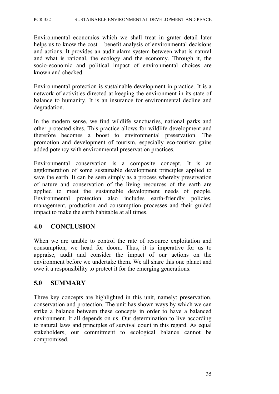#### PCR 352 SUSTAINABLE ENVIRONMENTAL DEVELOPMENT AND PEACE

Environmental economics which we shall treat in grater detail later helps us to know the cost – benefit analysis of environmental decisions and actions. It provides an audit alarm system between what is natural and what is rational, the ecology and the economy. Through it, the socio-economic and political impact of environmental choices are known and checked.

Environmental protection is sustainable development in practice. It is a network of activities directed at keeping the environment in its state of balance to humanity. It is an insurance for environmental decline and degradation.

In the modern sense, we find wildlife sanctuaries, national parks and other protected sites. This practice allows for wildlife development and therefore becomes a boost to environmental preservation. The promotion and development of tourism, especially eco-tourism gains added potency with environmental preservation practices.

Environmental conservation is a composite concept. It is an agglomeration of some sustainable development principles applied to save the earth. It can be seen simply as a process whereby preservation of nature and conservation of the living resources of the earth are applied to meet the sustainable development needs of people. Environmental protection also includes earth-friendly policies, management, production and consumption processes and their guided impact to make the earth habitable at all times.

### **4.0 CONCLUSION**

When we are unable to control the rate of resource exploitation and consumption, we head for doom. Thus, it is imperative for us to appraise, audit and consider the impact of our actions on the environment before we undertake them. We all share this one planet and owe it a responsibility to protect it for the emerging generations.

### **5.0 SUMMARY**

Three key concepts are highlighted in this unit, namely: preservation, conservation and protection. The unit has shown ways by which we can strike a balance between these concepts in order to have a balanced environment. It all depends on us. Our determination to live according to natural laws and principles of survival count in this regard. As equal stakeholders, our commitment to ecological balance cannot be compromised.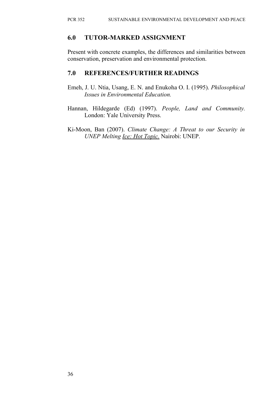### **6.0 TUTOR-MARKED ASSIGNMENT**

Present with concrete examples, the differences and similarities between conservation, preservation and environmental protection.

### **7.0 REFERENCES/FURTHER READINGS**

- Emeh, J. U. Ntia, Usang, E. N. and Enukoha O. I. (1995). *Philosophical Issues in Environmental Education.*
- Hannan, Hildegarde (Ed) (1997). *People, Land and Community.* London: Yale University Press.
- Ki-Moon, Ban (2007). *Climate Change: A Threat to our Security in UNEP Melting Ice: Hot Topic.* Nairobi: UNEP.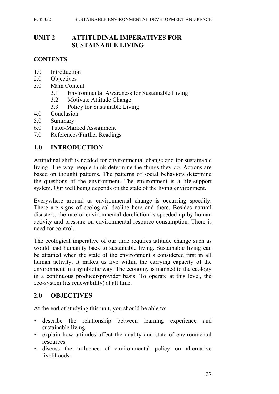#### PCR 352 SUSTAINABLE ENVIRONMENTAL DEVELOPMENT AND PEACE

### **UNIT 2 ATTITUDINAL IMPERATIVES FOR SUSTAINABLE LIVING**

### **CONTENTS**

- 1.0 Introduction
- 2.0 Objectives
- 3.0 Main Content
	- 3.1 Environmental Awareness for Sustainable Living
	- 3.2 Motivate Attitude Change
	- 3.3 Policy for Sustainable Living
- 4.0 Conclusion
- 5.0 Summary
- 6.0 Tutor-Marked Assignment
- 7.0 References/Further Readings

### **1.0 INTRODUCTION**

Attitudinal shift is needed for environmental change and for sustainable living. The way people think determine the things they do. Actions are based on thought patterns. The patterns of social behaviors determine the questions of the environment. The environment is a life-support system. Our well being depends on the state of the living environment.

Everywhere around us environmental change is occurring speedily. There are signs of ecological decline here and there. Besides natural disasters, the rate of environmental dereliction is speeded up by human activity and pressure on environmental resource consumption. There is need for control.

The ecological imperative of our time requires attitude change such as would lead humanity back to sustainable living. Sustainable living can be attained when the state of the environment s considered first in all human activity. It makes us live within the carrying capacity of the environment in a symbiotic way. The economy is manned to the ecology in a continuous producer-provider basis. To operate at this level, the eco-system (its renewability) at all time.

### **2.0 OBJECTIVES**

At the end of studying this unit, you should be able to:

- describe the relationship between learning experience and sustainable living
- explain how attitudes affect the quality and state of environmental resources.
- discuss the influence of environmental policy on alternative livelihoods.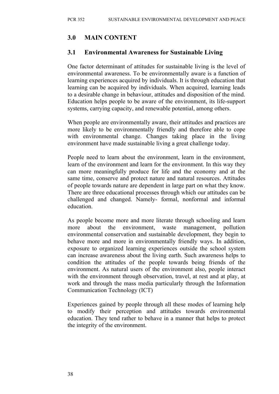## **3.0 MAIN CONTENT**

### **3.1 Environmental Awareness for Sustainable Living**

One factor determinant of attitudes for sustainable living is the level of environmental awareness. To be environmentally aware is a function of learning experiences acquired by individuals. It is through education that learning can be acquired by individuals. When acquired, learning leads to a desirable change in behaviour, attitudes and disposition of the mind. Education helps people to be aware of the environment, its life-support systems, carrying capacity, and renewable potential, among others.

When people are environmentally aware, their attitudes and practices are more likely to be environmentally friendly and therefore able to cope with environmental change. Changes taking place in the living environment have made sustainable living a great challenge today.

People need to learn about the environment, learn in the environment, learn of the environment and learn for the environment. In this way they can more meaningfully produce for life and the economy and at the same time, conserve and protect nature and natural resources. Attitudes of people towards nature are dependent in large part on what they know. There are three educational processes through which our attitudes can be challenged and changed. Namely- formal, nonformal and informal education.

As people become more and more literate through schooling and learn more about the environment, waste management, pollution environmental conservation and sustainable development, they begin to behave more and more in environmentally friendly ways. In addition, exposure to organized learning experiences outside the school system can increase awareness about the living earth. Such awareness helps to condition the attitudes of the people towards being friends of the environment. As natural users of the environment also, people interact with the environment through observation, travel, at rest and at play, at work and through the mass media particularly through the Information Communication Technology (ICT)

Experiences gained by people through all these modes of learning help to modify their perception and attitudes towards environmental education. They tend rather to behave in a manner that helps to protect the integrity of the environment.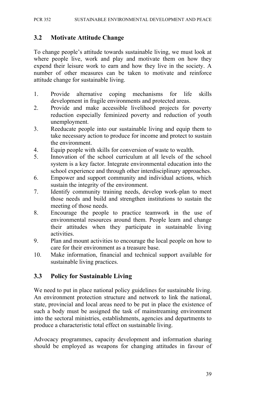### **3.2 Motivate Attitude Change**

To change people's attitude towards sustainable living, we must look at where people live, work and play and motivate them on how they expend their leisure work to earn and how they live in the society. A number of other measures can be taken to motivate and reinforce attitude change for sustainable living.

- 1. Provide alternative coping mechanisms for life skills development in fragile environments and protected areas.
- 2. Provide and make accessible livelihood projects for poverty reduction especially feminized poverty and reduction of youth unemployment.
- 3. Reeducate people into our sustainable living and equip them to take necessary action to produce for income and protect to sustain the environment.
- 4. Equip people with skills for conversion of waste to wealth.
- 5. Innovation of the school curriculum at all levels of the school system is a key factor. Integrate environmental education into the school experience and through other interdisciplinary approaches.
- 6. Empower and support community and individual actions, which sustain the integrity of the environment.
- 7. Identify community training needs, develop work-plan to meet those needs and build and strengthen institutions to sustain the meeting of those needs.
- 8. Encourage the people to practice teamwork in the use of environmental resources around them. People learn and change their attitudes when they participate in sustainable living activities.
- 9. Plan and mount activities to encourage the local people on how to care for their environment as a treasure base.
- 10. Make information, financial and technical support available for sustainable living practices.

### **3.3 Policy for Sustainable Living**

We need to put in place national policy guidelines for sustainable living. An environment protection structure and network to link the national, state, provincial and local areas need to be put in place the existence of such a body must be assigned the task of mainstreaming environment into the sectoral ministries, establishments, agencies and departments to produce a characteristic total effect on sustainable living.

Advocacy programmes, capacity development and information sharing should be employed as weapons for changing attitudes in favour of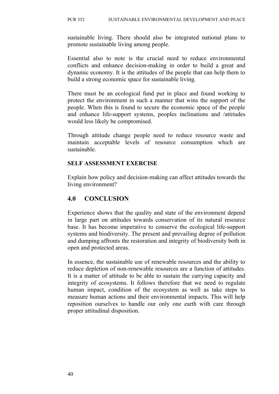sustainable living. There should also be integrated national plans to promote sustainable living among people.

Essential also to note is the crucial need to reduce environmental conflicts and enhance decision-making in order to build a great and dynamic economy. It is the attitudes of the people that can help them to build a strong economic space for sustainable living.

There must be an ecological fund put in place and found working to protect the environment in such a manner that wins the support of the people. When this is found to secure the economic space of the people and enhance life-support systems, peoples inclinations and /attitudes would less likely be compromised.

Through attitude change people need to reduce resource waste and maintain acceptable levels of resource consumption which are sustainable.

#### **SELF ASSESSMENT EXERCISE**

Explain how policy and decision-making can affect attitudes towards the living environment?

### **4.0 CONCLUSION**

Experience shows that the quality and state of the environment depend in large part on attitudes towards conservation of its natural resource base. It has become imperative to conserve the ecological life-support systems and biodiversity. The present and prevailing degree of pollution and dumping affronts the restoration and integrity of biodiversity both in open and protected areas.

In essence, the sustainable use of renewable resources and the ability to reduce depletion of non-renewable resources are a function of attitudes. It is a matter of attitude to be able to sustain the carrying capacity and integrity of ecosystems. It follows therefore that we need to regulate human impact, condition of the ecosystem as well as take steps to measure human actions and their environmental impacts. This will help reposition ourselves to handle our only one earth with care through proper attitudinal disposition.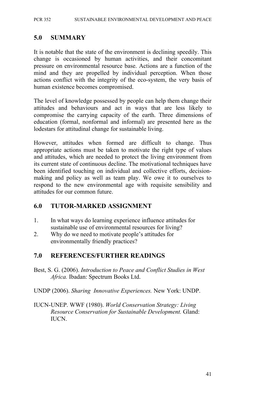### **5.0 SUMMARY**

It is notable that the state of the environment is declining speedily. This change is occasioned by human activities, and their concomitant pressure on environmental resource base. Actions are a function of the mind and they are propelled by individual perception. When those actions conflict with the integrity of the eco-system, the very basis of human existence becomes compromised.

The level of knowledge possessed by people can help them change their attitudes and behaviours and act in ways that are less likely to compromise the carrying capacity of the earth. Three dimensions of education (formal, nonformal and informal) are presented here as the lodestars for attitudinal change for sustainable living.

However, attitudes when formed are difficult to change. Thus appropriate actions must be taken to motivate the right type of values and attitudes, which are needed to protect the living environment from its current state of continuous decline. The motivational techniques have been identified touching on individual and collective efforts, decisionmaking and policy as well as team play. We owe it to ourselves to respond to the new environmental age with requisite sensibility and attitudes for our common future.

### **6.0 TUTOR-MARKED ASSIGNMENT**

- 1. In what ways do learning experience influence attitudes for sustainable use of environmental resources for living?
- 2. Why do we need to motivate people's attitudes for environmentally friendly practices?

### **7.0 REFERENCES/FURTHER READINGS**

- Best, S. G. (2006). *Introduction to Peace and Conflict Studies in West Africa.* Ibadan: Spectrum Books Ltd.
- UNDP (2006). *Sharing Innovative Experiences.* New York: UNDP.
- IUCN-UNEP. WWF (1980). *World Conservation Strategy: Living Resource Conservation for Sustainable Development.* Gland: IUCN.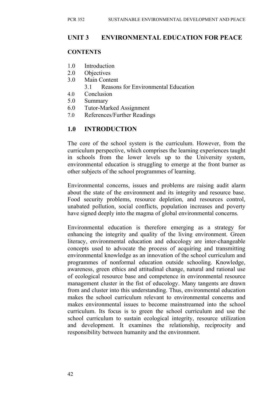# **UNIT 3 ENVIRONMENTAL EDUCATION FOR PEACE**

### **CONTENTS**

- 1.0 Introduction
- 2.0 Objectives
- 3.0 Main Content
	- 3.1 Reasons for Environmental Education
- 4.0 Conclusion
- 5.0 Summary
- 6.0 Tutor-Marked Assignment
- 7.0 References/Further Readings

# **1.0 INTRODUCTION**

The core of the school system is the curriculum. However, from the curriculum perspective, which comprises the learning experiences taught in schools from the lower levels up to the University system, environmental education is struggling to emerge at the front burner as other subjects of the school programmes of learning.

Environmental concerns, issues and problems are raising audit alarm about the state of the environment and its integrity and resource base. Food security problems, resource depletion, and resources control, unabated pollution, social conflicts, population increases and poverty have signed deeply into the magma of global environmental concerns.

Environmental education is therefore emerging as a strategy for enhancing the integrity and quality of the living environment. Green literacy, environmental education and educology are inter-changeable concepts used to advocate the process of acquiring and transmitting environmental knowledge as an innovation of the school curriculum and programmes of nonformal education outside schooling. Knowledge, awareness, green ethics and attitudinal change, natural and rational use of ecological resource base and competence in environmental resource management cluster in the fist of educology. Many tangents are drawn from and cluster into this understanding. Thus, environmental education makes the school curriculum relevant to environmental concerns and makes environmental issues to become mainstreamed into the school curriculum. Its focus is to green the school curriculum and use the school curriculum to sustain ecological integrity, resource utilization and development. It examines the relationship, reciprocity and responsibility between humanity and the environment.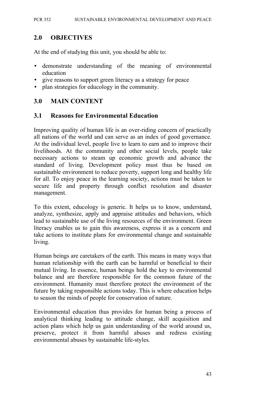### **2.0 OBJECTIVES**

At the end of studying this unit, you should be able to:

- demonstrate understanding of the meaning of environmental education
- give reasons to support green literacy as a strategy for peace
- plan strategies for educology in the community.

### **3.0 MAIN CONTENT**

#### **3.1 Reasons for Environmental Education**

Improving quality of human life is an over-riding concern of practically all nations of the world and can serve as an index of good governance. At the individual level, people live to learn to earn and to improve their livelihoods. At the community and other social levels, people take necessary actions to steam up economic growth and advance the standard of living. Development policy must thus be based on sustainable environment to reduce poverty, support long and healthy life for all. To enjoy peace in the learning society, actions must be taken to secure life and property through conflict resolution and disaster management.

To this extent, educology is generic. It helps us to know, understand, analyze, synthesize, apply and appraise attitudes and behaviors, which lead to sustainable use of the living resources of the environment. Green literacy enables us to gain this awareness, express it as a concern and take actions to institute plans for environmental change and sustainable living.

Human beings are caretakers of the earth. This means in many ways that human relationship with the earth can be harmful or beneficial to their mutual living. In essence, human beings hold the key to environmental balance and are therefore responsible for the common future of the environment. Humanity must therefore protect the environment of the future by taking responsible actions today. This is where education helps to season the minds of people for conservation of nature.

Environmental education thus provides for human being a process of analytical thinking leading to attitude change, skill acquisition and action plans which help us gain understanding of the world around us, preserve, protect it from harmful abuses and redress existing environmental abuses by sustainable life-styles.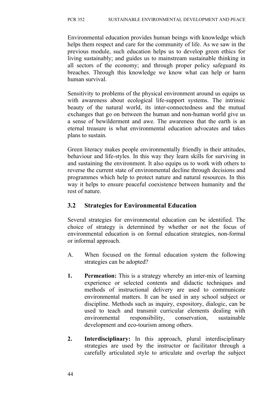Environmental education provides human beings with knowledge which helps them respect and care for the community of life. As we saw in the previous module, such education helps us to develop green ethics for living sustainably; and guides us to mainstream sustainable thinking in all sectors of the economy; and through proper policy safeguard its breaches. Through this knowledge we know what can help or harm human survival.

Sensitivity to problems of the physical environment around us equips us with awareness about ecological life-support systems. The intrinsic beauty of the natural world, its inter-connectedness and the mutual exchanges that go on between the human and non-human world give us a sense of bewilderment and awe. The awareness that the earth is an eternal treasure is what environmental education advocates and takes plans to sustain.

Green literacy makes people environmentally friendly in their attitudes, behaviour and life-styles. In this way they learn skills for surviving in and sustaining the environment. It also equips us to work with others to reverse the current state of environmental decline through decisions and programmes which help to protect nature and natural resources. In this way it helps to ensure peaceful coexistence between humanity and the rest of nature.

### **3.2 Strategies for Environmental Education**

Several strategies for environmental education can be identified. The choice of strategy is determined by whether or not the focus of environmental education is on formal education strategies, non-formal or informal approach.

- A. When focused on the formal education system the following strategies can be adopted?
- **1. Permeation:** This is a strategy whereby an inter-mix of learning experience or selected contents and didactic techniques and methods of instructional delivery are used to communicate environmental matters. It can be used in any school subject or discipline. Methods such as inquiry, expository, dialogic, can be used to teach and transmit curricular elements dealing with environmental responsibility, conservation, sustainable development and eco-tourism among others.
- **2. Interdisciplinary:** In this approach, plural interdisciplinary strategies are used by the instructor or facilitator through a carefully articulated style to articulate and overlap the subject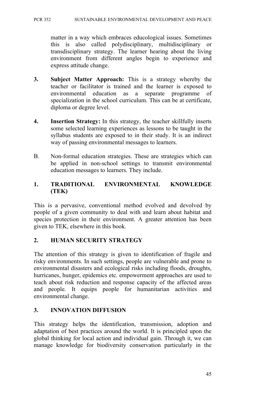matter in a way which embraces educological issues. Sometimes this is also called polydisciplinary, multidisciplinary or transdisciplinary strategy. The learner hearing about the living environment from different angles begin to experience and express attitude change.

- **3. Subject Matter Approach:** This is a strategy whereby the teacher or facilitator is trained and the learner is exposed to environmental education as a separate programme of specialization in the school curriculum. This can be at certificate, diploma or degree level.
- **4. Insertion Strategy:** In this strategy, the teacher skillfully inserts some selected learning experiences as lessons to be taught in the syllabus students are exposed to in their study. It is an indirect way of passing environmental messages to learners.
- B. Non-formal education strategies. These are strategies which can be applied in non-school settings to transmit environmental education messages to learners. They include.

### **1. TRADITIONAL ENVIRONMENTAL KNOWLEDGE (TEK)**

This is a pervasive, conventional method evolved and devolved by people of a given community to deal with and learn about habitat and species protection in their environment. A greater attention has been given to TEK, elsewhere in this book.

### **2. HUMAN SECURITY STRATEGY**

The attention of this strategy is given to identification of fragile and risky environments. In such settings, people are vulnerable and prone to environmental disasters and ecological risks including floods, droughts, hurricanes, hunger, epidemics etc. empowerment approaches are used to teach about risk reduction and response capacity of the affected areas and people. It equips people for humanitarian activities and environmental change.

# **3. INNOVATION DIFFUSION**

This strategy helps the identification, transmission, adoption and adaptation of best practices around the world. It is principled upon the global thinking for local action and individual gain. Through it, we can manage knowledge for biodiversity conservation particularly in the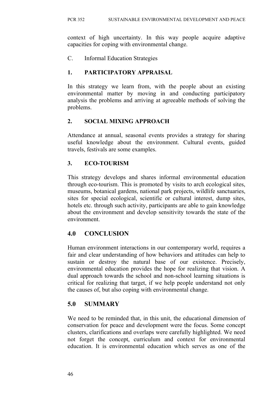context of high uncertainty. In this way people acquire adaptive capacities for coping with environmental change.

C. Informal Education Strategies

# **1. PARTICIPATORY APPRAISAL**

In this strategy we learn from, with the people about an existing environmental matter by moving in and conducting participatory analysis the problems and arriving at agreeable methods of solving the problems.

# **2. SOCIAL MIXING APPROACH**

Attendance at annual, seasonal events provides a strategy for sharing useful knowledge about the environment. Cultural events, guided travels, festivals are some examples.

# **3. ECO-TOURISM**

This strategy develops and shares informal environmental education through eco-tourism. This is promoted by visits to arch ecological sites, museums, botanical gardens, national park projects, wildlife sanctuaries, sites for special ecological, scientific or cultural interest, dump sites, hotels etc. through such activity, participants are able to gain knowledge about the environment and develop sensitivity towards the state of the environment.

# **4.0 CONCLUSION**

Human environment interactions in our contemporary world, requires a fair and clear understanding of how behaviors and attitudes can help to sustain or destroy the natural base of our existence. Precisely, environmental education provides the hope for realizing that vision. A dual approach towards the school and non-school learning situations is critical for realizing that target, if we help people understand not only the causes of, but also coping with environmental change.

# **5.0 SUMMARY**

We need to be reminded that, in this unit, the educational dimension of conservation for peace and development were the focus. Some concept clusters, clarifications and overlaps were carefully highlighted. We need not forget the concept, curriculum and context for environmental education. It is environmental education which serves as one of the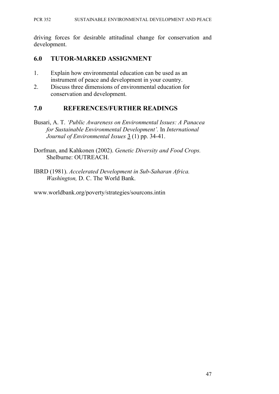#### PCR 352 SUSTAINABLE ENVIRONMENTAL DEVELOPMENT AND PEACE

driving forces for desirable attitudinal change for conservation and development.

### **6.0 TUTOR-MARKED ASSIGNMENT**

- 1. Explain how environmental education can be used as an instrument of peace and development in your country.
- 2. Discuss three dimensions of environmental education for conservation and development.

### **7.0 REFERENCES/FURTHER READINGS**

- Busari, A. T. *'Public Awareness on Environmental Issues: A Panacea for Sustainable Environmental Development'.* In *International Journal of Environmental Issues* 3 (1) pp. 34-41.
- Dorfman, and Kahkonen (2002). *Genetic Diversity and Food Crops.* Shelburne: OUTREACH.
- IBRD (1981). *Accelerated Development in Sub-Saharan Africa. Washington,* D. C. The World Bank.

www.worldbank.org/poverty/strategies/sourcons.intin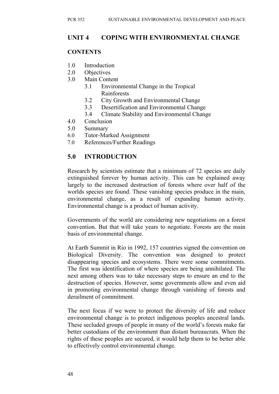# **UNIT 4 COPING WITH ENVIRONMENTAL CHANGE**

### **CONTENTS**

- 1.0 Introduction
- 2.0 Objectives
- 3.0 Main Content
	- 3.1 Environmental Change in the Tropical Rainforests
		- 3.2 City Growth and Environmental Change
		- 3.3 Desertification and Environmental Change
		- 3.4 Climate Stability and Environmental Change
- 4.0 Conclusion
- 5.0 Summary
- 6.0 Tutor-Marked Assignment
- 7.0 References/Further Readings

# **5.0 INTRODUCTION**

Research by scientists estimate that a minimum of 72 species are daily extinguished forever by human activity. This can be explained away largely to the increased destruction of forests where over half of the worlds species are found. These vanishing species produce in the main, environmental change, as a result of expanding human activity. Environmental change is a product of human activity.

Governments of the world are considering new negotiations on a forest convention. But that will take years to negotiate. Forests are the main basis of environmental change.

At Earth Summit in Rio in 1992, 157 countries signed the convention on Biological Diversity. The convention was designed to protect disappearing species and ecosystems. There were some commitments. The first was identification of where species are being annihilated. The next among others was to take necessary steps to ensure an end to the destruction of species. However, some governments allow and even aid in promoting environmental change through vanishing of forests and derailment of commitment.

The next focus if we were to protect the diversity of life and reduce environmental change is to protect indigenous peoples ancestral lands. These secluded groups of people in many of the world's forests make far better custodians of the environment than distant bureaucrats. When the rights of these peoples are secured, it would help them to be better able to effectively control environmental change.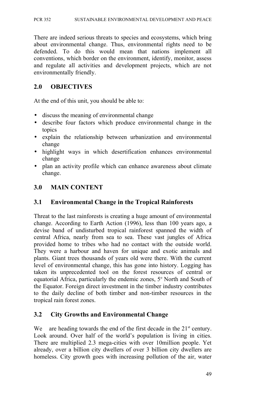There are indeed serious threats to species and ecosystems, which bring about environmental change. Thus, environmental rights need to be defended. To do this would mean that nations implement all conventions, which border on the environment, identify, monitor, assess and regulate all activities and development projects, which are not environmentally friendly.

## **2.0 OBJECTIVES**

At the end of this unit, you should be able to:

- discuss the meaning of environmental change
- describe four factors which produce environmental change in the topics
- explain the relationship between urbanization and environmental change
- highlight ways in which desertification enhances environmental change
- plan an activity profile which can enhance awareness about climate change.

# **3.0 MAIN CONTENT**

# **3.1 Environmental Change in the Tropical Rainforests**

Threat to the last rainforests is creating a huge amount of environmental change. According to Earth Action (1996), less than 100 years ago, a devise band of undisturbed tropical rainforest spanned the width of central Africa, nearly from sea to sea. These vast jungles of Africa provided home to tribes who had no contact with the outside world. They were a harbour and haven for unique and exotic animals and plants. Giant trees thousands of years old were there. With the current level of environmental change, this has gone into history. Logging has taken its unprecedented tool on the forest resources of central or equatorial Africa, particularly the endemic zones, 5° North and South of the Equator. Foreign direct investment in the timber industry contributes to the daily decline of both timber and non-timber resources in the tropical rain forest zones.

### **3.2 City Growths and Environmental Change**

We are heading towards the end of the first decade in the  $21<sup>st</sup>$  century. Look around. Over half of the world's population is living in cities. There are multiplied 2.3 mega-cities with over 10million people. Yet already, over a billion city dwellers of over 3 billion city dwellers are homeless. City growth goes with increasing pollution of the air, water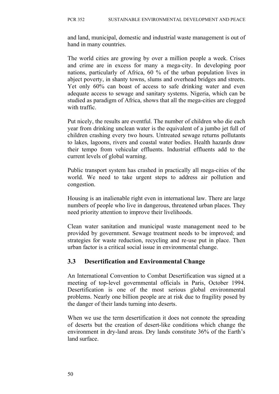and land, municipal, domestic and industrial waste management is out of hand in many countries.

The world cities are growing by over a million people a week. Crises and crime are in excess for many a mega-city. In developing poor nations, particularly of Africa, 60 % of the urban population lives in abject poverty, in shanty towns, slums and overhead bridges and streets. Yet only 60% can boast of access to safe drinking water and even adequate access to sewage and sanitary systems. Nigeria, which can be studied as paradigm of Africa, shows that all the mega-cities are clogged with traffic.

Put nicely, the results are eventful. The number of children who die each year from drinking unclean water is the equivalent of a jumbo jet full of children crashing every two hours. Untreated sewage returns pollutants to lakes, lagoons, rivers and coastal water bodies. Health hazards draw their tempo from vehicular effluents. Industrial effluents add to the current levels of global warning.

Public transport system has crashed in practically all mega-cities of the world. We need to take urgent steps to address air pollution and congestion.

Housing is an inalienable right even in international law. There are large numbers of people who live in dangerous, threatened urban places. They need priority attention to improve their livelihoods.

Clean water sanitation and municipal waste management need to be provided by government. Sewage treatment needs to be improved; and strategies for waste reduction, recycling and re-use put in place. Then urban factor is a critical social issue in environmental change.

### **3.3 Desertification and Environmental Change**

An International Convention to Combat Desertification was signed at a meeting of top-level governmental officials in Paris, October 1994. Desertification is one of the most serious global environmental problems. Nearly one billion people are at risk due to fragility posed by the danger of their lands turning into deserts.

When we use the term desertification it does not connote the spreading of deserts but the creation of desert-like conditions which change the environment in dry-land areas. Dry lands constitute 36% of the Earth's land surface.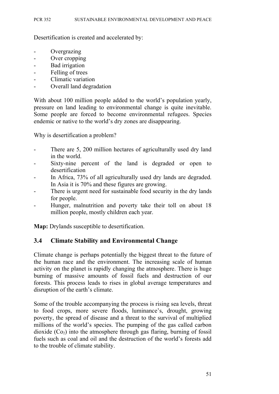Desertification is created and accelerated by:

- Overgrazing
- Over cropping
- Bad irrigation
- Felling of trees
- Climatic variation
- Overall land degradation

With about 100 million people added to the world's population yearly, pressure on land leading to environmental change is quite inevitable. Some people are forced to become environmental refugees. Species endemic or native to the world's dry zones are disappearing.

Why is desertification a problem?

- There are 5, 200 million hectares of agriculturally used dry land in the world.
- Sixty-nine percent of the land is degraded or open to desertification
- In Africa, 73% of all agriculturally used dry lands are degraded. In Asia it is 70% and these figures are growing.
- There is urgent need for sustainable food security in the dry lands for people.
- Hunger, malnutrition and poverty take their toll on about 18 million people, mostly children each year.

**Map:** Drylands susceptible to desertification.

### **3.4 Climate Stability and Environmental Change**

Climate change is perhaps potentially the biggest threat to the future of the human race and the environment. The increasing scale of human activity on the planet is rapidly changing the atmosphere. There is huge burning of massive amounts of fossil fuels and destruction of our forests. This process leads to rises in global average temperatures and disruption of the earth's climate.

Some of the trouble accompanying the process is rising sea levels, threat to food crops, more severe floods, luminance's, drought, growing poverty, the spread of disease and a threat to the survival of multiplied millions of the world's species. The pumping of the gas called carbon dioxide  $(Co<sub>2</sub>)$  into the atmosphere through gas flaring, burning of fossil fuels such as coal and oil and the destruction of the world's forests add to the trouble of climate stability.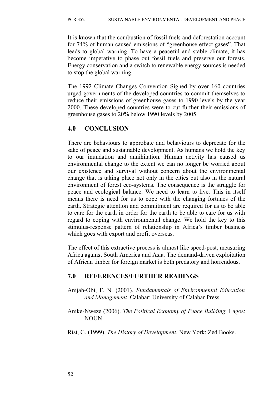It is known that the combustion of fossil fuels and deforestation account for 74% of human caused emissions of "greenhouse effect gases". That leads to global warning. To have a peaceful and stable climate, it has become imperative to phase out fossil fuels and preserve our forests. Energy conservation and a switch to renewable energy sources is needed to stop the global warning.

The 1992 Climate Changes Convention Signed by over 160 countries urged governments of the developed countries to commit themselves to reduce their emissions of greenhouse gases to 1990 levels by the year 2000. These developed countries were to cut further their emissions of greenhouse gases to 20% below 1990 levels by 2005.

# **4.0 CONCLUSION**

There are behaviours to approbate and behaviours to deprecate for the sake of peace and sustainable development. As humans we hold the key to our inundation and annihilation. Human activity has caused us environmental change to the extent we can no longer be worried about our existence and survival without concern about the environmental change that is taking place not only in the cities but also in the natural environment of forest eco-systems. The consequence is the struggle for peace and ecological balance. We need to learn to live. This in itself means there is need for us to cope with the changing fortunes of the earth. Strategic attention and commitment are required for us to be able to care for the earth in order for the earth to be able to care for us with regard to coping with environmental change. We hold the key to this stimulus-response pattern of relationship in Africa's timber business which goes with export and profit overseas.

The effect of this extractive process is almost like speed-post, measuring Africa against South America and Asia. The demand-driven exploitation of African timber for foreign market is both predatory and horrendous.

### **7.0 REFERENCES/FURTHER READINGS**

- Anijah-Obi, F. N. (2001). *Fundamentals of Environmental Education and Management.* Calabar: University of Calabar Press.
- Anike-Nweze (2006). *The Political Economy of Peace Building.* Lagos: NOUN.
- Rist, G. (1999). *The History of Development*. New York: Zed Books.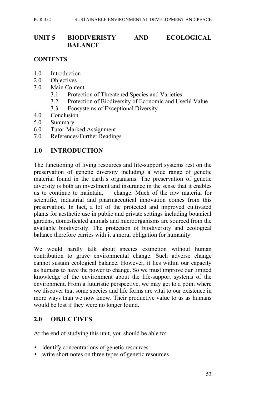# **UNIT 5 BIODIVERISTY AND ECOLOGICAL BALANCE**

## **CONTENTS**

- 1.0 Introduction
- 2.0 Objectives
- 3.0 Main Content
	- 3.1 Protection of Threatened Species and Varieties
	- 3.2 Protection of Biodiversity of Economic and Useful Value
	- 3.3 Ecosystems of Exceptional Diversity
- 4.0 Conclusion
- 5.0 Summary
- 6.0 Tutor-Marked Assignment
- 7.0 References/Further Readings

# **1.0 INTRODUCTION**

The functioning of living resources and life-support systems rest on the preservation of genetic diversity including a wide range of genetic material found in the earth's organisms. The preservation of genetic diversity is both an investment and insurance in the sense that it enables us to continue to maintain, change. Much of the raw material for scientific, industrial and pharmaceutical innovation comes from this preservation. In fact, a lot of the protected and improved cultivated plants for aesthetic use in public and private settings including botanical gardens, domesticated animals and microorganisms are sourced from the available biodiversity. The protection of biodiversity and ecological balance therefore carries with it a moral obligation for humanity.

We would hardly talk about species extinction without human contribution to grave environmental change. Such adverse change cannot sustain ecological balance. However, it lies within our capacity as humans to have the power to change. So we must improve our limited knowledge of the environment about the life-support systems of the environment. From a futuristic perspective, we may get to a point where we discover that some species and life forms are vital to our existence in more ways than we now know. Their productive value to us as humans would be lost if they were no longer found.

# **2.0 OBJECTIVES**

At the end of studying this unit, you should be able to:

- identify concentrations of genetic resources
- write short notes on three types of genetic resources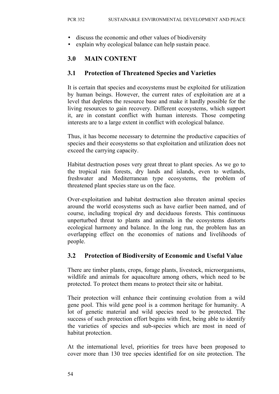- discuss the economic and other values of biodiversity
- explain why ecological balance can help sustain peace.

# **3.0 MAIN CONTENT**

# **3.1 Protection of Threatened Species and Varieties**

It is certain that species and ecosystems must be exploited for utilization by human beings. However, the current rates of exploitation are at a level that depletes the resource base and make it hardly possible for the living resources to gain recovery. Different ecosystems, which support it, are in constant conflict with human interests. Those competing interests are to a large extent in conflict with ecological balance.

Thus, it has become necessary to determine the productive capacities of species and their ecosystems so that exploitation and utilization does not exceed the carrying capacity.

Habitat destruction poses very great threat to plant species. As we go to the tropical rain forests, dry lands and islands, even to wetlands, freshwater and Mediterranean type ecosystems, the problem of threatened plant species stare us on the face.

Over-exploitation and habitat destruction also threaten animal species around the world ecosystems such as have earlier been named, and of course, including tropical dry and deciduous forests. This continuous unperturbed threat to plants and animals in the ecosystems distorts ecological harmony and balance. In the long run, the problem has an overlapping effect on the economies of nations and livelihoods of people.

# **3.2 Protection of Biodiversity of Economic and Useful Value**

There are timber plants, crops, forage plants, livestock, microorganisms, wildlife and animals for aquaculture among others, which need to be protected. To protect them means to protect their site or habitat.

Their protection will enhance their continuing evolution from a wild gene pool. This wild gene pool is a common heritage for humanity. A lot of genetic material and wild species need to be protected. The success of such protection effort begins with first, being able to identify the varieties of species and sub-species which are most in need of habitat protection.

At the international level, priorities for trees have been proposed to cover more than 130 tree species identified for on site protection. The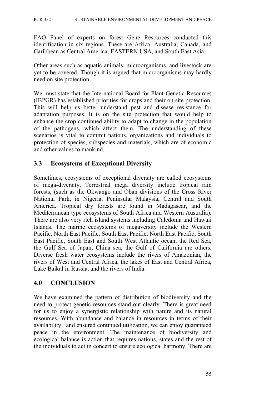FAO Panel of experts on forest Gene Resources conducted this identification in six regions. These are Africa, Australia, Canada, and Caribbean as Central America, EASTERN USA, and South East Asia.

Other areas such as aquatic animals, microorganisms, and livestock are yet to be covered. Though it is argued that microorganisms may hardly need on site protection.

We must state that the International Board for Plant Genetic Resources (IBPGR) has established priorities for crops and their on site protection. This will help us better understand pest and disease resistance for adaptation purposes. It is on the site protection that would help to enhance the crop continued ability to adapt to change in the population of the pathogens, which affect them. The understanding of these scenarios is vital to commit nations, organizations and individuals to protection of species, subspecies and materials, which are of economic and other values to mankind.

# **3.3 Ecosystems of Exceptional Diversity**

Sometimes, ecosystems of exceptional diversity are called ecosystems of mega-diversity. Terrestrial mega diversity include tropical rain forests, (such as the Okwango and Oban divisions of the Cross River National Park, in Nigeria, Peninsular Malaysia, Central and South America. Tropical dry forests are found in Madagascar, and the Mediterranean type ecosystems of South Africa and Western Australia). There are also very rich island systems including Caledonia and Hawaii Islands. The marine ecosystems of megaversity include the Western Pacific, North East Pacific, South East Pacific, North East Pacific, South East Pacific, South East and South West Atlantic ocean, the Red Sea, the Gulf Sea of Japan, China sea, the Gulf of California are others. Diverse fresh water ecosystems include the rivers of Amazonian, the rivers of West and Central Africa, the lakes of East and Central Africa, Lake Baikal in Russia, and the rivers of India.

### **4.0 CONCLUSION**

We have examined the pattern of distribution of biodiversity and the need to protect genetic resources stand out clearly. There is great need for us to enjoy a synergistic relationship with nature and its natural resources. With abundance and balance in resources in terms of their availability and ensured continued utilization, we can enjoy guaranteed peace in the environment. The maintenance of biodiversity and ecological balance is action that requires nations, states and the rest of the individuals to act in concert to ensure ecological harmony. There are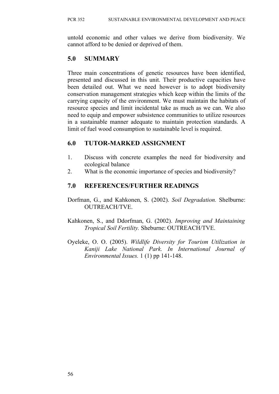untold economic and other values we derive from biodiversity. We cannot afford to be denied or deprived of them.

# **5.0 SUMMARY**

Three main concentrations of genetic resources have been identified, presented and discussed in this unit. Their productive capacities have been detailed out. What we need however is to adopt biodiversity conservation management strategies which keep within the limits of the carrying capacity of the environment. We must maintain the habitats of resource species and limit incidental take as much as we can. We also need to equip and empower subsistence communities to utilize resources in a sustainable manner adequate to maintain protection standards. A limit of fuel wood consumption to sustainable level is required.

# **6.0 TUTOR-MARKED ASSIGNMENT**

- 1. Discuss with concrete examples the need for biodiversity and ecological balance
- 2. What is the economic importance of species and biodiversity?

# **7.0 REFERENCES/FURTHER READINGS**

- Dorfman, G., and Kahkonen, S. (2002). *Soil Degradation.* Shelburne: OUTREACH/TVE.
- Kahkonen, S., and Ddorfman, G. (2002). *Improving and Maintaining Tropical Soil Fertility.* Sheburne: OUTREACH/TVE.
- Oyeleke, O. O. (2005). *Wildlife Diversity for Tourism Utilization in Kaniji Lake National Park. In International Journal of Environmental Issues.* 1 (1) pp 141-148.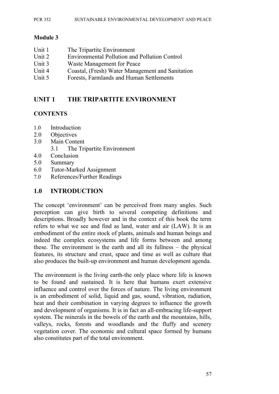#### PCR 352 SUSTAINABLE ENVIRONMENTAL DEVELOPMENT AND PEACE

### **Module 3**

| Unit 1 | The Tripartite Environment                           |
|--------|------------------------------------------------------|
| Unit 2 | <b>Environmental Pollution and Pollution Control</b> |
| Unit 3 | Waste Management for Peace                           |
| Unit 4 | Coastal, (Fresh) Water Management and Sanitation     |
| Unit 5 | Forests, Farmlands and Human Settlements             |

# **UNIT 1 THE TRIPARTITE ENVIRONMENT**

### **CONTENTS**

- 1.0 Introduction
- 2.0 Objectives
- 3.0 Main Content
	- 3.1 The Tripartite Environment
- 4.0 Conclusion
- 5.0 Summary
- 6.0 Tutor-Marked Assignment
- 7.0 References/Further Readings

### **1.0 INTRODUCTION**

The concept 'environment' can be perceived from many angles. Such perception can give birth to several competing definitions and descriptions. Broadly however and in the context of this book the term refers to what we see and find as land, water and air (LAW). It is an embodiment of the entire stock of plants, animals and human beings and indeed the complex ecosystems and life forms between and among these. The environment is the earth and all its fullness – the physical features, its structure and crust, space and time as well as culture that also produces the built-up environment and human development agenda.

The environment is the living earth-the only place where life is known to be found and sustained. It is here that humans exert extensive influence and control over the forces of nature. The living environment is an embodiment of solid, liquid and gas, sound, vibration, radiation, heat and their combination in varying degrees to influence the growth and development of organisms. It is in fact an all-embracing life-support system. The minerals in the bowels of the earth and the mountains, hills, valleys, rocks, forests and woodlands and the fluffy and scenery vegetation cover. The economic and cultural space formed by humans also constitutes part of the total environment.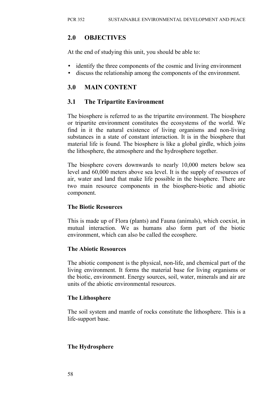# **2.0 OBJECTIVES**

At the end of studying this unit, you should be able to:

- identify the three components of the cosmic and living environment
- discuss the relationship among the components of the environment.

# **3.0 MAIN CONTENT**

# **3.1 The Tripartite Environment**

The biosphere is referred to as the tripartite environment. The biosphere or tripartite environment constitutes the ecosystems of the world. We find in it the natural existence of living organisms and non-living substances in a state of constant interaction. It is in the biosphere that material life is found. The biosphere is like a global girdle, which joins the lithosphere, the atmosphere and the hydrosphere together.

The biosphere covers downwards to nearly 10,000 meters below sea level and 60,000 meters above sea level. It is the supply of resources of air, water and land that make life possible in the biosphere. There are two main resource components in the biosphere-biotic and abiotic component.

### **The Biotic Resources**

This is made up of Flora (plants) and Fauna (animals), which coexist, in mutual interaction. We as humans also form part of the biotic environment, which can also be called the ecosphere.

### **The Abiotic Resources**

The abiotic component is the physical, non-life, and chemical part of the living environment. It forms the material base for living organisms or the biotic, environment. Energy sources, soil, water, minerals and air are units of the abiotic environmental resources.

### **The Lithosphere**

The soil system and mantle of rocks constitute the lithosphere. This is a life-support base.

### **The Hydrosphere**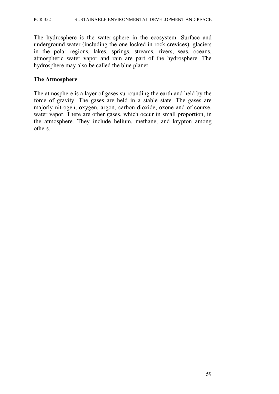The hydrosphere is the water-sphere in the ecosystem. Surface and underground water (including the one locked in rock crevices), glaciers in the polar regions, lakes, springs, streams, rivers, seas, oceans, atmospheric water vapor and rain are part of the hydrosphere. The hydrosphere may also be called the blue planet.

### **The Atmosphere**

The atmosphere is a layer of gases surrounding the earth and held by the force of gravity. The gases are held in a stable state. The gases are majorly nitrogen, oxygen, argon, carbon dioxide, ozone and of course, water vapor. There are other gases, which occur in small proportion, in the atmosphere. They include helium, methane, and krypton among others.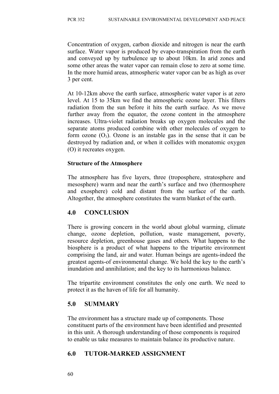Concentration of oxygen, carbon dioxide and nitrogen is near the earth surface. Water vapor is produced by evapo-transpiration from the earth and conveyed up by turbulence up to about 10km. In arid zones and some other areas the water vapor can remain close to zero at some time. In the more humid areas, atmospheric water vapor can be as high as over 3 per cent.

At 10-12km above the earth surface, atmospheric water vapor is at zero level. At 15 to 35km we find the atmospheric ozone layer. This filters radiation from the sun before it hits the earth surface. As we move further away from the equator, the ozone content in the atmosphere increases. Ultra-violet radiation breaks up oxygen molecules and the separate atoms produced combine with other molecules of oxygen to form ozone  $(O_3)$ . Ozone is an instable gas in the sense that it can be destroyed by radiation and, or when it collides with monatomic oxygen (O) it recreates oxygen.

### **Structure of the Atmosphere**

The atmosphere has five layers, three (troposphere, stratosphere and mesosphere) warm and near the earth's surface and two (thermosphere and exosphere) cold and distant from the surface of the earth. Altogether, the atmosphere constitutes the warm blanket of the earth.

# **4.0 CONCLUSION**

There is growing concern in the world about global warming, climate change, ozone depletion, pollution, waste management, poverty, resource depletion, greenhouse gases and others. What happens to the biosphere is a product of what happens to the tripartite environment comprising the land, air and water. Human beings are agents-indeed the greatest agents-of environmental change. We hold the key to the earth's inundation and annihilation; and the key to its harmonious balance.

The tripartite environment constitutes the only one earth. We need to protect it as the haven of life for all humanity.

# **5.0 SUMMARY**

The environment has a structure made up of components. Those constituent parts of the environment have been identified and presented in this unit. A thorough understanding of those components is required to enable us take measures to maintain balance its productive nature.

# **6.0 TUTOR-MARKED ASSIGNMENT**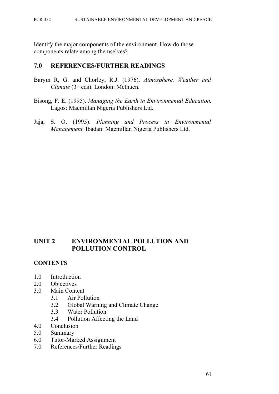Identify the major components of the environment. How do those components relate among themselves?

### **7.0 REFERENCES/FURTHER READINGS**

- Barym R, G. and Chorley, R.J. (1976). *Atmosphere, Weather and Climate* (3<sup>rd</sup> eds). London: Methuen.
- Bisong, F. E. (1995). *Managing the Earth in Environmental Education.* Lagos: Macmillan Nigeria Publishers Ltd.
- Jaja, S. O. (1995). *Planning and Process in Environmental Management.* Ibadan: Macmillan Nigeria Publishers Ltd.

# **UNIT 2 ENVIRONMENTAL POLLUTION AND POLLUTION CONTROL**

### **CONTENTS**

- 1.0 Introduction
- 2.0 Objectives
- 3.0 Main Content
	- 3.1 Air Pollution
	- 3.2 Global Warning and Climate Change
	- 3.3 Water Pollution
	- 3.4 Pollution Affecting the Land
- 4.0 Conclusion
- 5.0 Summary
- 6.0 Tutor-Marked Assignment
- 7.0 References/Further Readings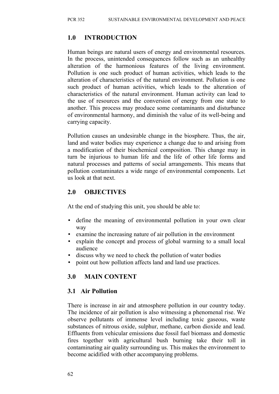### **1.0 INTRODUCTION**

Human beings are natural users of energy and environmental resources. In the process, unintended consequences follow such as an unhealthy alteration of the harmonious features of the living environment. Pollution is one such product of human activities, which leads to the alteration of characteristics of the natural environment. Pollution is one such product of human activities, which leads to the alteration of characteristics of the natural environment. Human activity can lead to the use of resources and the conversion of energy from one state to another. This process may produce some contaminants and disturbance of environmental harmony, and diminish the value of its well-being and carrying capacity.

Pollution causes an undesirable change in the biosphere. Thus, the air, land and water bodies may experience a change due to and arising from a modification of their biochemical composition. This change may in turn be injurious to human life and the life of other life forms and natural processes and patterns of social arrangements. This means that pollution contaminates a wide range of environmental components. Let us look at that next.

### **2.0 OBJECTIVES**

At the end of studying this unit, you should be able to:

- define the meaning of environmental pollution in your own clear way
- examine the increasing nature of air pollution in the environment
- explain the concept and process of global warming to a small local audience
- discuss why we need to check the pollution of water bodies
- point out how pollution affects land and land use practices.

### **3.0 MAIN CONTENT**

### **3.1 Air Pollution**

There is increase in air and atmosphere pollution in our country today. The incidence of air pollution is also witnessing a phenomenal rise. We observe pollutants of immense level including toxic gaseous, waste substances of nitrous oxide, sulphur, methane, carbon dioxide and lead. Effluents from vehicular emissions due fossil fuel biomass and domestic fires together with agricultural bush burning take their toll in contaminating air quality surrounding us. This makes the environment to become acidified with other accompanying problems.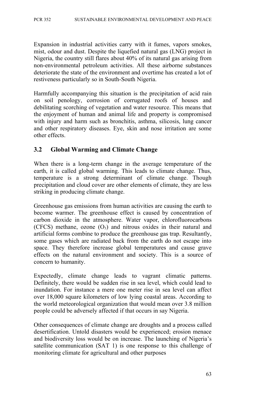Expansion in industrial activities carry with it fumes, vapors smokes, mist, odour and dust. Despite the liquefied natural gas (LNG) project in Nigeria, the country still flares about 40% of its natural gas arising from non-environmental petroleum activities. All these airborne substances deteriorate the state of the environment and overtime has created a lot of restiveness particularly so in South-South Nigeria.

Harmfully accompanying this situation is the precipitation of acid rain on soil penology, corrosion of corrugated roofs of houses and debilitating scorching of vegetation and water resource. This means that the enjoyment of human and animal life and property is compromised with injury and harm such as bronchitis, asthma, silicosis, lung cancer and other respiratory diseases. Eye, skin and nose irritation are some other effects.

# **3.2 Global Warming and Climate Change**

When there is a long-term change in the average temperature of the earth, it is called global warming. This leads to climate change. Thus, temperature is a strong determinant of climate change. Though precipitation and cloud cover are other elements of climate, they are less striking in producing climate change.

Greenhouse gas emissions from human activities are causing the earth to become warmer. The greenhouse effect is caused by concentration of carbon dioxide in the atmosphere. Water vapor, chlorofluorocarbons (CFCS) methane, ozone  $(O_3)$  and nitrous oxides in their natural and artificial forms combine to produce the greenhouse gas trap. Resultantly, some gases which are radiated back from the earth do not escape into space. They therefore increase global temperatures and cause grave effects on the natural environment and society. This is a source of concern to humanity.

Expectedly, climate change leads to vagrant climatic patterns. Definitely, there would be sudden rise in sea level, which could lead to inundation. For instance a mere one meter rise in sea level can affect over 18,000 square kilometers of low lying coastal areas. According to the world meteorological organization that would mean over 3.8 million people could be adversely affected if that occurs in say Nigeria.

Other consequences of climate change are droughts and a process called desertification. Untold disasters would be experienced; erosion menace and biodiversity loss would be on increase. The launching of Nigeria's satellite communication (SAT 1) is one response to this challenge of monitoring climate for agricultural and other purposes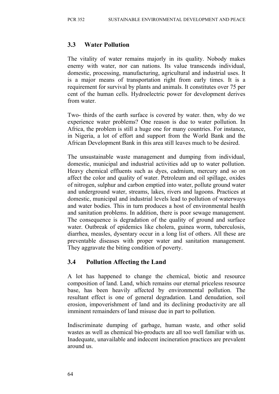# **3.3 Water Pollution**

The vitality of water remains majorly in its quality. Nobody makes enemy with water, nor can nations. Its value transcends individual, domestic, processing, manufacturing, agricultural and industrial uses. It is a major means of transportation right from early times. It is a requirement for survival by plants and animals. It constitutes over 75 per cent of the human cells. Hydroelectric power for development derives from water.

Two- thirds of the earth surface is covered by water. then, why do we experience water problems? One reason is due to water pollution. In Africa, the problem is still a huge one for many countries. For instance, in Nigeria, a lot of effort and support from the World Bank and the African Development Bank in this area still leaves much to be desired.

The unsustainable waste management and dumping from individual, domestic, municipal and industrial activities add up to water pollution. Heavy chemical effluents such as dyes, cadmium, mercury and so on affect the color and quality of water. Petroleum and oil spillage, oxides of nitrogen, sulphur and carbon emptied into water, pollute ground water and underground water, streams, lakes, rivers and lagoons. Practices at domestic, municipal and industrial levels lead to pollution of waterways and water bodies. This in turn produces a host of environmental health and sanitation problems. In addition, there is poor sewage management. The consequence is degradation of the quality of ground and surface water. Outbreak of epidemics like cholera, guinea worm, tuberculosis, diarrhea, measles, dysentary occur in a long list of others. All these are preventable diseases with proper water and sanitation management. They aggravate the biting condition of poverty.

### **3.4 Pollution Affecting the Land**

A lot has happened to change the chemical, biotic and resource composition of land. Land, which remains our eternal priceless resource base, has been heavily affected by environmental pollution. The resultant effect is one of general degradation. Land denudation, soil erosion, impoverishment of land and its declining productivity are all imminent remainders of land misuse due in part to pollution.

Indiscriminate dumping of garbage, human waste, and other solid wastes as well as chemical bio-products are all too well familiar with us. Inadequate, unavailable and indecent incineration practices are prevalent around us.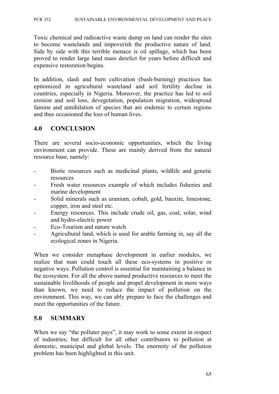Toxic chemical and radioactive waste dump on land can render the sites to become wastelands and impoverish the productive nature of land. Side by side with this terrible menace is oil spillage, which has been proved to render large land mass derelict for years before difficult and expensive restoration begins.

In addition, slash and burn cultivation (bush-burning) practices has epitomized in agricultural wasteland and soil fertility decline in countries, especially in Nigeria. Moreover, the practice has led to soil erosion and soil loss, devegetation, population migration, widespread famine and annihilation of species that are endemic to certain regions and thus occasioned the loss of human lives.

# **4.0 CONCLUSION**

There are several socio-economic opportunities, which the living environment can provide. These are mainly derived from the natural resource base, namely:

- Biotic resources such as medicinal plants, wildlife and genetic resources
- Fresh water resources example of which includes fisheries and marine development
- Solid minerals such as uranium, cobalt, gold, bauxite, limestone, copper, iron and steel etc.
- Energy resources. This include crude oil, gas, coal, solar, wind and hydro-electric power
- Eco-Tourism and nature watch
- Agricultural land, which is used for arable farming in, say all the ecological zones in Nigeria.

When we consider metaphase development in earlier modules, we realize that man could touch all these eco-systems in positive or negative ways. Pollution control is essential for maintaining a balance in the ecosystem. For all the above named productive resources to meet the sustainable livelihoods of people and propel development in more ways than known, we need to reduce the impact of pollution on the environment. This way, we can ably prepare to face the challenges and meet the opportunities of the future.

# **5.0 SUMMARY**

When we say "the polluter pays", it may work to some extent in respect of industries; but difficult for all other contributors to pollution at domestic, municipal and global levels. The enormity of the pollution problem has been highlighted in this unit.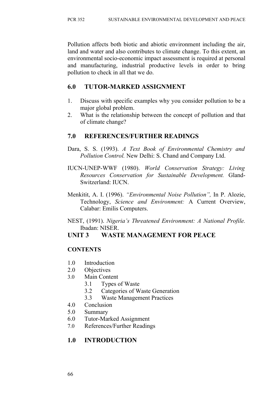Pollution affects both biotic and abiotic environment including the air, land and water and also contributes to climate change. To this extent, an environmental socio-economic impact assessment is required at personal and manufacturing, industrial productive levels in order to bring pollution to check in all that we do.

# **6.0 TUTOR-MARKED ASSIGNMENT**

- 1. Discuss with specific examples why you consider pollution to be a major global problem.
- 2. What is the relationship between the concept of pollution and that of climate change?

# **7.0 REFERENCES/FURTHER READINGS**

- Dara, S. S. (1993). *A Text Book of Environmental Chemistry and Pollution Control.* New Delhi: S. Chand and Company Ltd.
- IUCN-UNEP-WWF (1980). *World Conservation Strategy: Living Resources Conservation for Sustainable Development.* Gland-Switzerland: IUCN.
- Menkitit, A. I. (1996). *"Environmental Noise Pollution",* In P. Alozie, Technology, *Science and Environment:* A Current Overview, Calabar: Emilis Computers.
- NEST, (1991). *Nigeria's Threatened Environment: A National Profile.* Ibadan: NISER.

# **UNIT 3 WASTE MANAGEMENT FOR PEACE**

### **CONTENTS**

- 1.0 Introduction
- 2.0 Objectives
- 3.0 Main Content
	- 3.1 Types of Waste
	- 3.2 Categories of Waste Generation
	- 3.3 Waste Management Practices
- 4.0 Conclusion
- 5.0 Summary
- 6.0 Tutor-Marked Assignment
- 7.0 References/Further Readings

# **1.0 INTRODUCTION**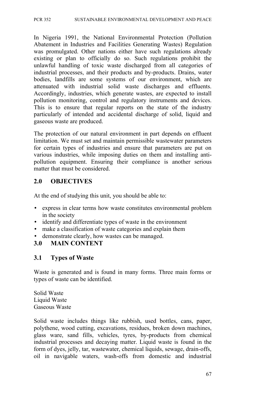PCR 352 SUSTAINABLE ENVIRONMENTAL DEVELOPMENT AND PEACE

In Nigeria 1991, the National Environmental Protection (Pollution Abatement in Industries and Facilities Generating Wastes) Regulation was promulgated. Other nations either have such regulations already existing or plan to officially do so. Such regulations prohibit the unlawful handling of toxic waste discharged from all categories of industrial processes, and their products and by-products. Drains, water bodies, landfills are some systems of our environment, which are attenuated with industrial solid waste discharges and effluents. Accordingly, industries, which generate wastes, are expected to install pollution monitoring, control and regulatory instruments and devices. This is to ensure that regular reports on the state of the industry particularly of intended and accidental discharge of solid, liquid and gaseous waste are produced.

The protection of our natural environment in part depends on effluent limitation. We must set and maintain permissible wastewater parameters for certain types of industries and ensure that parameters are put on various industries, while imposing duties on them and installing antipollution equipment. Ensuring their compliance is another serious matter that must be considered.

### **2.0 OBJECTIVES**

At the end of studying this unit, you should be able to:

- express in clear terms how waste constitutes environmental problem in the society
- identify and differentiate types of waste in the environment
- make a classification of waste categories and explain them
- demonstrate clearly, how wastes can be managed.

### **3.0 MAIN CONTENT**

### **3.1 Types of Waste**

Waste is generated and is found in many forms. Three main forms or types of waste can be identified.

Solid Waste Liquid Waste Gaseous Waste

Solid waste includes things like rubbish, used bottles, cans, paper, polythene, wood cutting, excavations, residues, broken down machines, glass ware, sand fills, vehicles, tyres, by-products from chemical industrial processes and decaying matter. Liquid waste is found in the form of dyes, jelly, tar, wastewater, chemical liquids, sewage, drain-offs, oil in navigable waters, wash-offs from domestic and industrial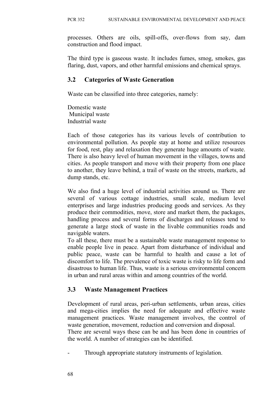processes. Others are oils, spill-offs, over-flows from say, dam construction and flood impact.

The third type is gaseous waste. It includes fumes, smog, smokes, gas flaring, dust, vapors, and other harmful emissions and chemical sprays.

### **3.2 Categories of Waste Generation**

Waste can be classified into three categories, namely:

Domestic waste Municipal waste Industrial waste

Each of those categories has its various levels of contribution to environmental pollution. As people stay at home and utilize resources for food, rest, play and relaxation they generate huge amounts of waste. There is also heavy level of human movement in the villages, towns and cities. As people transport and move with their property from one place to another, they leave behind, a trail of waste on the streets, markets, ad dump stands, etc.

We also find a huge level of industrial activities around us. There are several of various cottage industries, small scale, medium level enterprises and large industries producing goods and services. As they produce their commodities, move, store and market them, the packages, handling process and several forms of discharges and releases tend to generate a large stock of waste in the livable communities roads and navigable waters.

To all these, there must be a sustainable waste management response to enable people live in peace. Apart from disturbance of individual and public peace, waste can be harmful to health and cause a lot of discomfort to life. The prevalence of toxic waste is risky to life form and disastrous to human life. Thus, waste is a serious environmental concern in urban and rural areas within and among countries of the world.

# **3.3 Waste Management Practices**

Development of rural areas, peri-urban settlements, urban areas, cities and mega-cities implies the need for adequate and effective waste management practices. Waste management involves, the control of waste generation, movement, reduction and conversion and disposal.

There are several ways these can be and has been done in countries of the world. A number of strategies can be identified.

Through appropriate statutory instruments of legislation.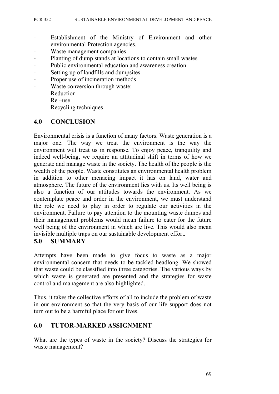- Establishment of the Ministry of Environment and other environmental Protection agencies.
- Waste management companies
- Planting of dump stands at locations to contain small wastes
- Public environmental education and awareness creation
- Setting up of landfills and dumpsites
- Proper use of incineration methods
- Waste conversion through waste:

Reduction

Re –use

Recycling techniques

### **4.0 CONCLUSION**

Environmental crisis is a function of many factors. Waste generation is a major one. The way we treat the environment is the way the environment will treat us in response. To enjoy peace, tranquility and indeed well-being, we require an attitudinal shift in terms of how we generate and manage waste in the society. The health of the people is the wealth of the people. Waste constitutes an environmental health problem in addition to other menacing impact it has on land, water and atmosphere. The future of the environment lies with us. Its well being is also a function of our attitudes towards the environment. As we contemplate peace and order in the environment, we must understand the role we need to play in order to regulate our activities in the environment. Failure to pay attention to the mounting waste dumps and their management problems would mean failure to cater for the future well being of the environment in which are live. This would also mean invisible multiple traps on our sustainable development effort.

### **5.0 SUMMARY**

Attempts have been made to give focus to waste as a major environmental concern that needs to be tackled headlong. We showed that waste could be classified into three categories. The various ways by which waste is generated are presented and the strategies for waste control and management are also highlighted.

Thus, it takes the collective efforts of all to include the problem of waste in our environment so that the very basis of our life support does not turn out to be a harmful place for our lives.

### **6.0 TUTOR-MARKED ASSIGNMENT**

What are the types of waste in the society? Discuss the strategies for waste management?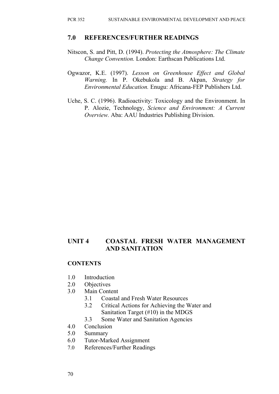#### **7.0 REFERENCES/FURTHER READINGS**

- Nitscon, S. and Pitt, D. (1994). *Protecting the Atmosphere: The Climate Change Convention.* London: Earthscan Publications Ltd.
- Ogwazor, K.E. (1997). *Lesson on Greenhouse Effect and Global Warning.* In P. Okebukola and B. Akpan, *Strategy for Environmental Education.* Enugu: Africana-FEP Publishers Ltd.
- Uche, S. C. (1996). Radioactivity: Toxicology and the Environment. In P. Alozie, Technology, *Science and Environment: A Current Overview.* Aba: AAU Industries Publishing Division.

# **UNIT 4 COASTAL FRESH WATER MANAGEMENT AND SANITATION**

#### **CONTENTS**

- 1.0 Introduction
- 2.0 Objectives
- 3.0 Main Content
	- 3.1 Coastal and Fresh Water Resources
	- 3.2 Critical Actions for Achieving the Water and Sanitation Target (#10) in the MDGS
	- 3.3 Some Water and Sanitation Agencies
- 4.0 Conclusion
- 5.0 Summary
- 6.0 Tutor-Marked Assignment
- 7.0 References/Further Readings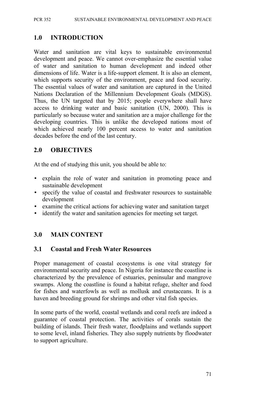PCR 352 SUSTAINABLE ENVIRONMENTAL DEVELOPMENT AND PEACE

### **1.0 INTRODUCTION**

Water and sanitation are vital keys to sustainable environmental development and peace. We cannot over-emphasize the essential value of water and sanitation to human development and indeed other dimensions of life. Water is a life-support element. It is also an element, which supports security of the environment, peace and food security. The essential values of water and sanitation are captured in the United Nations Declaration of the Millennium Development Goals (MDGS). Thus, the UN targeted that by 2015; people everywhere shall have access to drinking water and basic sanitation (UN, 2000). This is particularly so because water and sanitation are a major challenge for the developing countries. This is unlike the developed nations most of which achieved nearly 100 percent access to water and sanitation decades before the end of the last century.

### **2.0 OBJECTIVES**

At the end of studying this unit, you should be able to:

- explain the role of water and sanitation in promoting peace and sustainable development
- specify the value of coastal and freshwater resources to sustainable development
- examine the critical actions for achieving water and sanitation target
- identify the water and sanitation agencies for meeting set target.

### **3.0 MAIN CONTENT**

### **3.1 Coastal and Fresh Water Resources**

Proper management of coastal ecosystems is one vital strategy for environmental security and peace. In Nigeria for instance the coastline is characterized by the prevalence of estuaries, peninsular and mangrove swamps. Along the coastline is found a habitat refuge, shelter and food for fishes and waterfowls as well as mollusk and crustaceans. It is a haven and breeding ground for shrimps and other vital fish species.

In some parts of the world, coastal wetlands and coral reefs are indeed a guarantee of coastal protection. The activities of corals sustain the building of islands. Their fresh water, floodplains and wetlands support to some level, inland fisheries. They also supply nutrients by floodwater to support agriculture.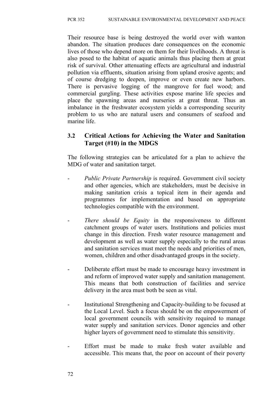Their resource base is being destroyed the world over with wanton abandon. The situation produces dare consequences on the economic lives of those who depend more on them for their livelihoods. A threat is also posed to the habitat of aquatic animals thus placing them at great risk of survival. Other attenuating effects are agricultural and industrial pollution via effluents, situation arising from upland erosive agents; and of course dredging to deepen, improve or even create new harbors. There is pervasive logging of the mangrove for fuel wood; and commercial gurgling. These activities expose marine life species and place the spawning areas and nurseries at great threat. Thus an imbalance in the freshwater ecosystem yields a corresponding security problem to us who are natural users and consumers of seafood and marine life.

### **3.2 Critical Actions for Achieving the Water and Sanitation Target (#10) in the MDGS**

The following strategies can be articulated for a plan to achieve the MDG of water and sanitation target.

- *Public Private Partnership* is required. Government civil society and other agencies, which are stakeholders, must be decisive in making sanitation crisis a topical item in their agenda and programmes for implementation and based on appropriate technologies compatible with the environment.
- *There should be Equity* in the responsiveness to different catchment groups of water users. Institutions and policies must change in this direction. Fresh water resource management and development as well as water supply especially to the rural areas and sanitation services must meet the needs and priorities of men, women, children and other disadvantaged groups in the society.
- Deliberate effort must be made to encourage heavy investment in and reform of improved water supply and sanitation management. This means that both construction of facilities and service delivery in the area must both be seen as vital.
- Institutional Strengthening and Capacity-building to be focused at the Local Level. Such a focus should be on the empowerment of local government councils with sensitivity required to manage water supply and sanitation services. Donor agencies and other higher layers of government need to stimulate this sensitivity.
- Effort must be made to make fresh water available and accessible. This means that, the poor on account of their poverty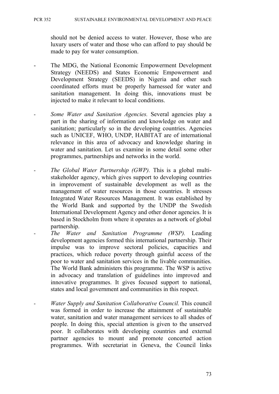should not be denied access to water. However, those who are luxury users of water and those who can afford to pay should be made to pay for water consumption.

- The MDG, the National Economic Empowerment Development Strategy (NEEDS) and States Economic Empowerment and Development Strategy (SEEDS) in Nigeria and other such coordinated efforts must be properly harnessed for water and sanitation management. In doing this, innovations must be injected to make it relevant to local conditions.
- *Some Water and Sanitation Agencies.* Several agencies play a part in the sharing of information and knowledge on water and sanitation; particularly so in the developing countries. Agencies such as UNICEF, WHO, UNDP, HABITAT are of international relevance in this area of advocacy and knowledge sharing in water and sanitation. Let us examine in some detail some other programmes, partnerships and networks in the world.
- The Global Water Partnership (GWP). This is a global multistakeholder agency, which gives support to developing countries in improvement of sustainable development as well as the management of water resources in those countries. It stresses Integrated Water Resources Management. It was established by the World Bank and supported by the UNDP the Swedish International Development Agency and other donor agencies. It is based in Stockholm from where it operates as a network of global partnership.
	- *The Water and Sanitation Programme (WSP).* Leading development agencies formed this international partnership. Their impulse was to improve sectoral policies, capacities and practices, which reduce poverty through gainful access of the poor to water and sanitation services in the livable communities. The World Bank administers this programme. The WSP is active in advocacy and translation of guidelines into improved and innovative programmes. It gives focused support to national, states and local government and communities in this respect.
	- *Water Supply and Sanitation Collaborative Council.* This council was formed in order to increase the attainment of sustainable water, sanitation and water management services to all shades of people. In doing this, special attention is given to the unserved poor. It collaborates with developing countries and external partner agencies to mount and promote concerted action programmes. With secretariat in Geneva, the Council links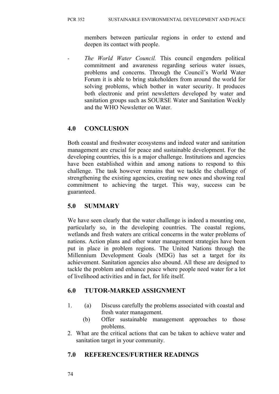members between particular regions in order to extend and deepen its contact with people.

The World Water Council. This council engenders political commitment and awareness regarding serious water issues, problems and concerns. Through the Council's World Water Forum it is able to bring stakeholders from around the world for solving problems, which bother in water security. It produces both electronic and print newsletters developed by water and sanitation groups such as SOURSE Water and Sanitation Weekly and the WHO Newsletter on Water.

# **4.0 CONCLUSION**

Both coastal and freshwater ecosystems and indeed water and sanitation management are crucial for peace and sustainable development. For the developing countries, this is a major challenge. Institutions and agencies have been established within and among nations to respond to this challenge. The task however remains that we tackle the challenge of strengthening the existing agencies, creating new ones and showing real commitment to achieving the target. This way, success can be guaranteed.

### **5.0 SUMMARY**

We have seen clearly that the water challenge is indeed a mounting one, particularly so, in the developing countries. The coastal regions, wetlands and fresh waters are critical concerns in the water problems of nations. Action plans and other water management strategies have been put in place in problem regions. The United Nations through the Millennium Development Goals (MDG) has set a target for its achievement. Sanitation agencies also abound. All these are designed to tackle the problem and enhance peace where people need water for a lot of livelihood activities and in fact, for life itself.

# **6.0 TUTOR-MARKED ASSIGNMENT**

- 1. (a) Discuss carefully the problems associated with coastal and fresh water management.
	- (b) Offer sustainable management approaches to those problems.
- 2. What are the critical actions that can be taken to achieve water and sanitation target in your community.

# **7.0 REFERENCES/FURTHER READINGS**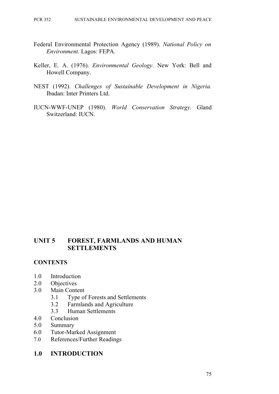- Federal Environmental Protection Agency (1989). *National Policy on Environment.* Lagos: FEPA.
- Keller, E. A. (1976). *Environmental Geology.* New York: Bell and Howell Company.
- NEST (1992). *Challenges of Sustainable Development in Nigeria.* Ibadan: Inter Printers Ltd.
- IUCN-WWF-UNEP (1980). *World Conservation Strategy.* Gland Switzerland: IUCN.

### **UNIT 5 FOREST, FARMLANDS AND HUMAN SETTLEMENTS**

#### **CONTENTS**

- 1.0 Introduction
- 2.0 Objectives
- 3.0 Main Content
	- 3.1 Type of Forests and Settlements
	- 3.2 Farmlands and Agriculture
	- 3.3 Human Settlements
- 4.0 Conclusion
- 5.0 Summary
- 6.0 Tutor-Marked Assignment
- 7.0 References/Further Readings

#### **1.0 INTRODUCTION**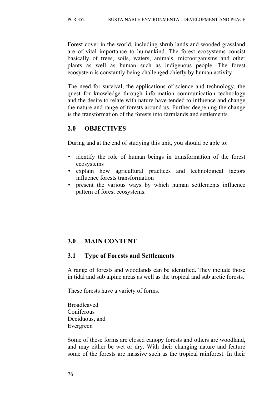Forest cover in the world, including shrub lands and wooded grassland are of vital importance to humankind. The forest ecosystems consist basically of trees, soils, waters, animals, microorganisms and other plants as well as human such as indigenous people. The forest ecosystem is constantly being challenged chiefly by human activity.

The need for survival, the applications of science and technology, the quest for knowledge through information communication technology and the desire to relate with nature have tended to influence and change the nature and range of forests around us. Further deepening the change is the transformation of the forests into farmlands and settlements.

# **2.0 OBJECTIVES**

During and at the end of studying this unit, you should be able to:

- identify the role of human beings in transformation of the forest ecosystems
- explain how agricultural practices and technological factors influence forests transformation
- present the various ways by which human settlements influence pattern of forest ecosystems.

# **3.0 MAIN CONTENT**

### **3.1 Type of Forests and Settlements**

A range of forests and woodlands can be identified. They include those in tidal and sub alpine areas as well as the tropical and sub arctic forests.

These forests have a variety of forms.

Broadleaved **Coniferous** Deciduous, and Evergreen

Some of these forms are closed canopy forests and others are woodland, and may either be wet or dry. With their changing nature and feature some of the forests are massive such as the tropical rainforest. In their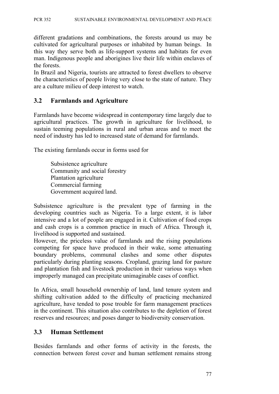different gradations and combinations, the forests around us may be cultivated for agricultural purposes or inhabited by human beings. In this way they serve both as life-support systems and habitats for even man. Indigenous people and aborigines live their life within enclaves of the forests.

In Brazil and Nigeria, tourists are attracted to forest dwellers to observe the characteristics of people living very close to the state of nature. They are a culture milieu of deep interest to watch.

### **3.2 Farmlands and Agriculture**

Farmlands have become widespread in contemporary time largely due to agricultural practices. The growth in agriculture for livelihood, to sustain teeming populations in rural and urban areas and to meet the need of industry has led to increased state of demand for farmlands.

The existing farmlands occur in forms used for

Subsistence agriculture Community and social forestry Plantation agriculture Commercial farming Government acquired land.

Subsistence agriculture is the prevalent type of farming in the developing countries such as Nigeria. To a large extent, it is labor intensive and a lot of people are engaged in it. Cultivation of food crops and cash crops is a common practice in much of Africa. Through it, livelihood is supported and sustained.

However, the priceless value of farmlands and the rising populations competing for space have produced in their wake, some attenuating boundary problems, communal clashes and some other disputes particularly during planting seasons. Cropland, grazing land for pasture and plantation fish and livestock production in their various ways when improperly managed can precipitate unimaginable cases of conflict.

In Africa, small household ownership of land, land tenure system and shifting cultivation added to the difficulty of practicing mechanized agriculture, have tended to pose trouble for farm management practices in the continent. This situation also contributes to the depletion of forest reserves and resources; and poses danger to biodiversity conservation.

### **3.3 Human Settlement**

Besides farmlands and other forms of activity in the forests, the connection between forest cover and human settlement remains strong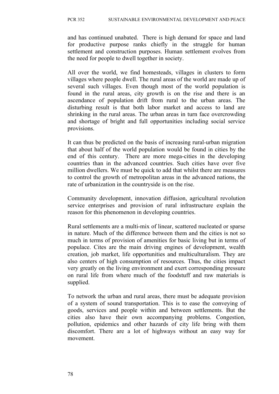and has continued unabated. There is high demand for space and land for productive purpose ranks chiefly in the struggle for human settlement and construction purposes. Human settlement evolves from the need for people to dwell together in society.

All over the world, we find homesteads, villages in clusters to form villages where people dwell. The rural areas of the world are made up of several such villages. Even though most of the world population is found in the rural areas, city growth is on the rise and there is an ascendance of population drift from rural to the urban areas. The disturbing result is that both labor market and access to land are shrinking in the rural areas. The urban areas in turn face overcrowding and shortage of bright and full opportunities including social service provisions.

It can thus be predicted on the basis of increasing rural-urban migration that about half of the world population would be found in cities by the end of this century. There are more mega-cities in the developing countries than in the advanced countries. Such cities have over five million dwellers. We must be quick to add that whilst there are measures to control the growth of metropolitan areas in the advanced nations, the rate of urbanization in the countryside is on the rise.

Community development, innovation diffusion, agricultural revolution service enterprises and provision of rural infrastructure explain the reason for this phenomenon in developing countries.

Rural settlements are a multi-mix of linear, scattered nucleated or sparse in nature. Much of the difference between them and the cities is not so much in terms of provision of amenities for basic living but in terms of populace. Cites are the main driving engines of development, wealth creation, job market, life opportunities and multiculturalism. They are also centers of high consumption of resources. Thus, the cities impact very greatly on the living environment and exert corresponding pressure on rural life from where much of the foodstuff and raw materials is supplied.

To network the urban and rural areas, there must be adequate provision of a system of sound transportation. This is to ease the conveying of goods, services and people within and between settlements. But the cities also have their own accompanying problems. Congestion, pollution, epidemics and other hazards of city life bring with them discomfort. There are a lot of highways without an easy way for movement.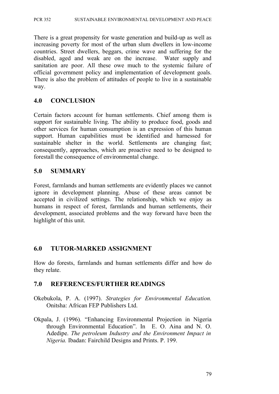There is a great propensity for waste generation and build-up as well as increasing poverty for most of the urban slum dwellers in low-income countries. Street dwellers, beggars, crime wave and suffering for the disabled, aged and weak are on the increase. Water supply and sanitation are poor. All these owe much to the systemic failure of official government policy and implementation of development goals. There is also the problem of attitudes of people to live in a sustainable way.

### **4.0 CONCLUSION**

Certain factors account for human settlements. Chief among them is support for sustainable living. The ability to produce food, goods and other services for human consumption is an expression of this human support. Human capabilities must be identified and harnessed for sustainable shelter in the world. Settlements are changing fast; consequently, approaches, which are proactive need to be designed to forestall the consequence of environmental change.

### **5.0 SUMMARY**

Forest, farmlands and human settlements are evidently places we cannot ignore in development planning. Abuse of these areas cannot be accepted in civilized settings. The relationship, which we enjoy as humans in respect of forest, farmlands and human settlements, their development, associated problems and the way forward have been the highlight of this unit.

### **6.0 TUTOR-MARKED ASSIGNMENT**

How do forests, farmlands and human settlements differ and how do they relate.

### **7.0 REFERENCES/FURTHER READINGS**

- Okebukola, P. A. (1997). *Strategies for Environmental Education.* Onitsha: African FEP Publishers Ltd.
- Okpala, J. (1996). "Enhancing Environmental Projection in Nigeria through Environmental Education". In E. O. Aina and N. O. Adedipe. *The petroleum Industry and the Environment Impact in Nigeria.* Ibadan: Fairchild Designs and Prints. P. 199.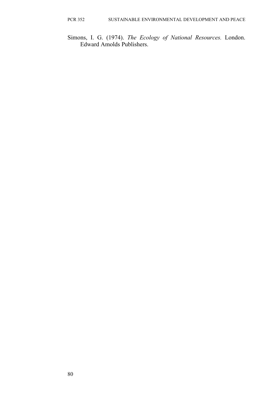Simons, I. G. (1974). *The Ecology of National Resources.* London. Edward Amolds Publishers.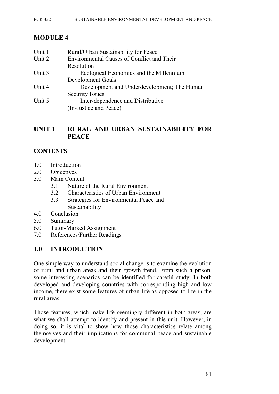# **MODULE 4**

| Unit 1 | Rural/Urban Sustainability for Peace        |
|--------|---------------------------------------------|
| Unit 2 | Environmental Causes of Conflict and Their  |
|        | Resolution                                  |
| Unit 3 | Ecological Economics and the Millennium     |
|        | Development Goals                           |
| Unit 4 | Development and Underdevelopment; The Human |
|        | <b>Security Issues</b>                      |
| Unit 5 | Inter-dependence and Distributive           |
|        | (In-Justice and Peace)                      |

### **UNIT 1 RURAL AND URBAN SUSTAINABILITY FOR PEACE**

### **CONTENTS**

- 1.0 Introduction
- 2.0 Objectives
- 3.0 Main Content
	- 3.1 Nature of the Rural Environment
	- 3.2 Characteristics of Urban Environment
	- 3.3 Strategies for Environmental Peace and Sustainability
- 4.0 Conclusion
- 5.0 Summary
- 6.0 Tutor-Marked Assignment
- 7.0 References/Further Readings

# **1.0 INTRODUCTION**

One simple way to understand social change is to examine the evolution of rural and urban areas and their growth trend. From such a prison, some interesting scenarios can be identified for careful study. In both developed and developing countries with corresponding high and low income, there exist some features of urban life as opposed to life in the rural areas.

Those features, which make life seemingly different in both areas, are what we shall attempt to identify and present in this unit. However, in doing so, it is vital to show how those characteristics relate among themselves and their implications for communal peace and sustainable development.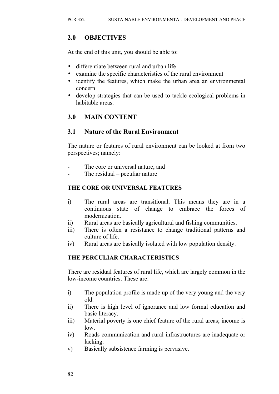# **2.0 OBJECTIVES**

At the end of this unit, you should be able to:

- differentiate between rural and urban life
- examine the specific characteristics of the rural environment
- identify the features, which make the urban area an environmental concern
- develop strategies that can be used to tackle ecological problems in habitable areas.

# **3.0 MAIN CONTENT**

### **3.1 Nature of the Rural Environment**

The nature or features of rural environment can be looked at from two perspectives; namely:

- The core or universal nature, and
- The residual  $-$  peculiar nature

### **THE CORE OR UNIVERSAL FEATURES**

- i) The rural areas are transitional. This means they are in a continuous state of change to embrace the forces of modernization.
- ii) Rural areas are basically agricultural and fishing communities.
- iii) There is often a resistance to change traditional patterns and culture of life.
- iv) Rural areas are basically isolated with low population density.

### **THE PERCULIAR CHARACTERISTICS**

There are residual features of rural life, which are largely common in the low-income countries. These are:

- i) The population profile is made up of the very young and the very old.
- ii) There is high level of ignorance and low formal education and basic literacy.
- iii) Material poverty is one chief feature of the rural areas; income is low.
- iv) Roads communication and rural infrastructures are inadequate or lacking.
- v) Basically subsistence farming is pervasive.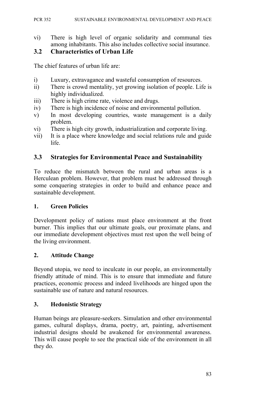vi) There is high level of organic solidarity and communal ties among inhabitants. This also includes collective social insurance.

### **3.2 Characteristics of Urban Life**

The chief features of urban life are:

- i) Luxury, extravagance and wasteful consumption of resources.
- ii) There is crowd mentality, yet growing isolation of people. Life is highly individualized.
- iii) There is high crime rate, violence and drugs.
- iv) There is high incidence of noise and environmental pollution.
- v) In most developing countries, waste management is a daily problem.
- vi) There is high city growth, industrialization and corporate living.
- vii) It is a place where knowledge and social relations rule and guide life.

### **3.3 Strategies for Environmental Peace and Sustainability**

To reduce the mismatch between the rural and urban areas is a Herculean problem. However, that problem must be addressed through some conquering strategies in order to build and enhance peace and sustainable development.

#### **1. Green Policies**

Development policy of nations must place environment at the front burner. This implies that our ultimate goals, our proximate plans, and our immediate development objectives must rest upon the well being of the living environment.

#### **2. Attitude Change**

Beyond utopia, we need to inculcate in our people, an environmentally friendly attitude of mind. This is to ensure that immediate and future practices, economic process and indeed livelihoods are hinged upon the sustainable use of nature and natural resources.

#### **3. Hedonistic Strategy**

Human beings are pleasure-seekers. Simulation and other environmental games, cultural displays, drama, poetry, art, painting, advertisement industrial designs should be awakened for environmental awareness. This will cause people to see the practical side of the environment in all they do.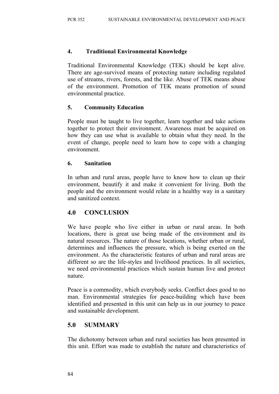### **4. Traditional Environmental Knowledge**

Traditional Environmental Knowledge (TEK) should be kept alive. There are age-survived means of protecting nature including regulated use of streams, rivers, forests, and the like. Abuse of TEK means abuse of the environment. Promotion of TEK means promotion of sound environmental practice.

### **5. Community Education**

People must be taught to live together, learn together and take actions together to protect their environment. Awareness must be acquired on how they can use what is available to obtain what they need. In the event of change, people need to learn how to cope with a changing environment.

### **6. Sanitation**

In urban and rural areas, people have to know how to clean up their environment, beautify it and make it convenient for living. Both the people and the environment would relate in a healthy way in a sanitary and sanitized context.

# **4.0 CONCLUSION**

We have people who live either in urban or rural areas. In both locations, there is great use being made of the environment and its natural resources. The nature of those locations, whether urban or rural, determines and influences the pressure, which is being exerted on the environment. As the characteristic features of urban and rural areas are different so are the life-styles and livelihood practices. In all societies, we need environmental practices which sustain human live and protect nature.

Peace is a commodity, which everybody seeks. Conflict does good to no man. Environmental strategies for peace-building which have been identified and presented in this unit can help us in our journey to peace and sustainable development.

# **5.0 SUMMARY**

The dichotomy between urban and rural societies has been presented in this unit. Effort was made to establish the nature and characteristics of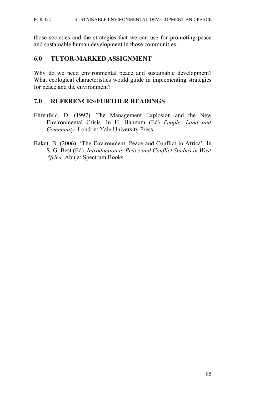those societies and the strategies that we can use for promoting peace and sustainable human development in those communities.

#### **6.0 TUTOR-MARKED ASSIGNMENT**

Why do we need environmental peace and sustainable development? What ecological characteristics would guide in implementing strategies for peace and the environment?

### **7.0 REFERENCES/FURTHER READINGS**

- Ehrenfeld, D. (1997). The Management Explosion and the New Environmental Crisis. In H. Hannum (Ed) *People, Land and Community.* London: Yale University Press.
- Bakut, B. (2006). 'The Environment, Peace and Conflict in Africa'. In S. G. Best (Ed). *Introduction to Peace and Conflict Studies in West Africa.* Abuja: Spectrum Books.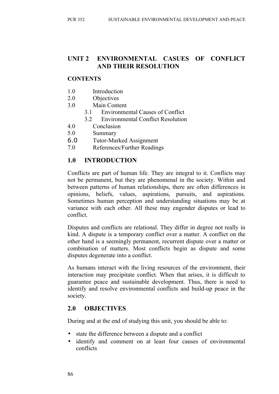# **UNIT 2 ENVIRONMENTAL CASUES OF CONFLICT AND THEIR RESOLUTION**

### **CONTENTS**

- 1.0 Introduction
- 2.0 Objectives
- 3.0 Main Content
	- 3.1 Environmental Causes of Conflict
	- 3.2 Environmental Conflict Resolution
- 4.0 Conclusion
- 5.0 Summary
- 6.0 Tutor-Marked Assignment
- 7.0 References/Further Readings

### **1.0 INTRODUCTION**

Conflicts are part of human life. They are integral to it. Conflicts may not be permanent, but they are phenomenal in the society. Within and between patterns of human relationships, there are often differences in opinions, beliefs, values, aspirations, pursuits, and aspirations. Sometimes human perception and understanding situations may be at variance with each other. All these may engender disputes or lead to conflict.

Disputes and conflicts are relational. They differ in degree not really in kind. A dispute is a temporary conflict over a matter. A conflict on the other hand is a seemingly permanent, recurrent dispute over a matter or combination of matters. Most conflicts begin as dispute and some disputes degenerate into a conflict.

As humans interact with the living resources of the environment, their interaction may precipitate conflict. When that arises, it is difficult to guarantee peace and sustainable development. Thus, there is need to identify and resolve environmental conflicts and build-up peace in the society.

### **2.0 OBJECTIVES**

During and at the end of studying this unit, you should be able to:

- state the difference between a dispute and a conflict
- identify and comment on at least four causes of environmental conflicts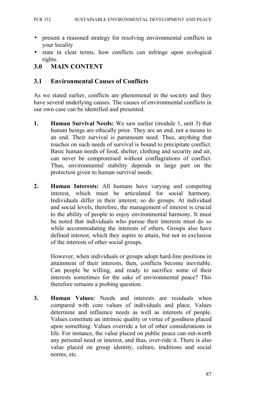- present a reasoned strategy for resolving environmental conflicts in your locality
- state in clear terms, how conflicts can infringe upon ecological rights.

### **3.0 MAIN CONTENT**

### **3.1 Environmental Causes of Conflicts**

As we stated earlier, conflicts are phenomenal in the society and they have several underlying causes. The causes of environmental conflicts in our own case can be identified and presented.

- **1. Human Survival Needs:** We saw earlier (module 1, unit 3) that human beings are ethically prior. They are an end, not a means to an end. Their survival is paramount need. Thus, anything that touches on such needs of survival is bound to precipitate conflict. Basic human needs of food, shelter, clothing and security and air, can never be compromised without conflagrations of conflict. Thus, environmental stability depends in large part on the protection given to human survival needs.
- **2. Human Interests:** All humans have varying and competing interest, which must be articulated for social harmony. Individuals differ in their interest; so do groups. At individual and social levels, therefore, the management of interest is crucial to the ability of people to enjoy environmental harmony. It must be noted that individuals who pursue their interests must do so while accommodating the interests of others. Groups also have defined interest, which they aspire to attain, but not in exclusion of the interests of other social groups.

However, when individuals or groups adopt hard-line positions in attainment of their interests, then, conflicts become inevitable. Can people be willing, and ready to sacrifice some of their interests sometimes for the sake of environmental peace? This therefore remains a probing question.

**3. Human Values:** Needs and interests are residuals when compared with core values of individuals and place. Values determine and influence needs as well as interests of people. Values constitute an intrinsic quality or virtue of goodness placed upon something. Values override a lot of other considerations in life. For instance, the value placed on public peace can out-worth any personal need or interest, and thus, over-ride it. There is also value placed on group identity, culture, traditions and social norms, etc.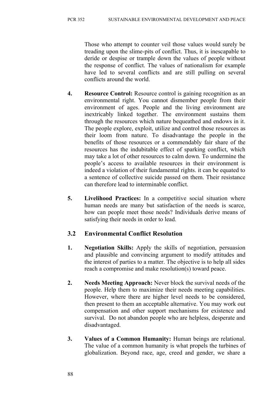Those who attempt to counter veil those values would surely be treading upon the slime-pits of conflict. Thus, it is inescapable to deride or despise or trample down the values of people without the response of conflict. The values of nationalism for example have led to several conflicts and are still pulling on several conflicts around the world.

- **4. Resource Control:** Resource control is gaining recognition as an environmental right. You cannot dismember people from their environment of ages. People and the living environment are inextricably linked together. The environment sustains them through the resources which nature bequeathed and endows in it. The people explore, exploit, utilize and control those resources as their loom from nature. To disadvantage the people in the benefits of those resources or a commendably fair share of the resources has the indubitable effect of sparking conflict, which may take a lot of other resources to calm down. To undermine the people's access to available resources in their environment is indeed a violation of their fundamental rights. it can be equated to a sentence of collective suicide passed on them. Their resistance can therefore lead to interminable conflict.
- **5. Livelihood Practices:** In a competitive social situation where human needs are many but satisfaction of the needs is scarce, how can people meet those needs? Individuals derive means of satisfying their needs in order to lead.

# **3.2 Environmental Conflict Resolution**

- **1. Negotiation Skills:** Apply the skills of negotiation, persuasion and plausible and convincing argument to modify attitudes and the interest of parties to a matter. The objective is to help all sides reach a compromise and make resolution(s) toward peace.
- **2. Needs Meeting Approach:** Never block the survival needs of the people. Help them to maximize their needs meeting capabilities. However, where there are higher level needs to be considered, then present to them an acceptable alternative. You may work out compensation and other support mechanisms for existence and survival. Do not abandon people who are helpless, desperate and disadvantaged.
- **3. Values of a Common Humanity:** Human beings are relational. The value of a common humanity is what propels the turbines of globalization. Beyond race, age, creed and gender, we share a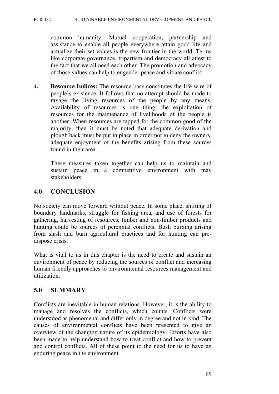common humanity. Mutual cooperation, partnership and assistance to enable all people everywhere attain good life and actualize their set values is the new frontier in the world. Terms like corporate governance, tripartism and democracy all attest to the fact that we all need each other. The promotion and advocacy of those values can help to engender peace and vitiate conflict.

**4. Resource Indices:** The resource base constitutes the life-wire of people's existence. It follows that no attempt should be made to ravage the living resources of the people by any means. Availability of resources is one thing; the exploitation of resources for the maintenance of livelihoods of the people is another. When resources are tapped for the common good of the majority, then it must be noted that adequate derivation and plough back must be put in place in order not to deny the owners, adequate enjoyment of the benefits arising from these sources found in their area.

These measures taken together can help us to maintain and sustain peace in a competitive environment with may stakeholders.

# **4.0 CONCLUSION**

No society can move forward without peace. In some place, shifting of boundary landmarks, struggle for fishing area, and use of forests for gathering, harvesting of resources, timber and non-timber products and hunting could be sources of perennial conflicts. Bush burning arising from slash and burn agricultural practices and for hunting can predispose crisis.

What is vital to us in this chapter is the need to create and sustain an environment of peace by reducing the sources of conflict and increasing human friendly approaches to environmental resources management and utilization.

# **5.0 SUMMARY**

Conflicts are inevitable in human relations. However, it is the ability to manage and resolves the conflicts, which counts. Conflicts were understood as phenomenal and differ only in degree and not in kind. The causes of environmental conflicts have been presented to give an overview of the changing nature of its epidemiology. Efforts have also been made to help understand how to treat conflict and how to prevent and control conflicts. All of these point to the need for us to have an enduring peace in the environment.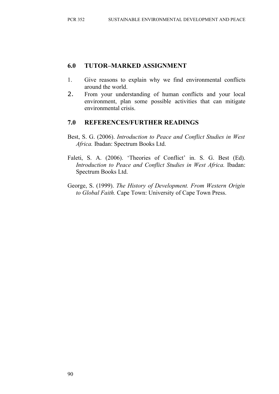### **6.0 TUTOR–MARKED ASSIGNMENT**

- 1. Give reasons to explain why we find environmental conflicts around the world.
- 2. From your understanding of human conflicts and your local environment, plan some possible activities that can mitigate environmental crisis.

### **7.0 REFERENCES/FURTHER READINGS**

- Best, S. G. (2006). *Introduction to Peace and Conflict Studies in West Africa.* Ibadan: Spectrum Books Ltd.
- Faleti, S. A. (2006). 'Theories of Conflict' in. S. G. Best (Ed). *Introduction to Peace and Conflict Studies in West Africa.* Ibadan: Spectrum Books Ltd.
- George, S. (1999). *The History of Development. From Western Origin to Global Faith.* Cape Town: University of Cape Town Press.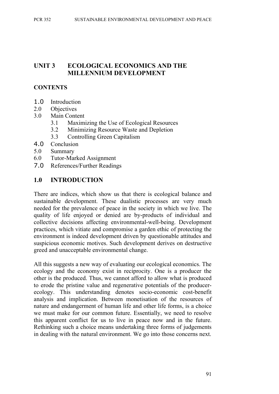### **UNIT 3 ECOLOGICAL ECONOMICS AND THE MILLENNIUM DEVELOPMENT**

### **CONTENTS**

- 1.0 Introduction
- 2.0 Objectives
- 3.0 Main Content
	- 3.1 Maximizing the Use of Ecological Resources
	- 3.2 Minimizing Resource Waste and Depletion
	- 3.3 Controlling Green Capitalism
- 4.0 Conclusion
- 5.0 Summary
- 6.0 Tutor-Marked Assignment
- 7.0 References/Further Readings

### **1.0 INTRODUCTION**

There are indices, which show us that there is ecological balance and sustainable development. These dualistic processes are very much needed for the prevalence of peace in the society in which we live. The quality of life enjoyed or denied are by-products of individual and collective decisions affecting environmental-well-being. Development practices, which vitiate and compromise a garden ethic of protecting the environment is indeed development driven by questionable attitudes and suspicious economic motives. Such development derives on destructive greed and unacceptable environmental change.

All this suggests a new way of evaluating our ecological economics. The ecology and the economy exist in reciprocity. One is a producer the other is the produced. Thus, we cannot afford to allow what is produced to erode the pristine value and regenerative potentials of the producerecology. This understanding denotes socio-economic cost-benefit analysis and implication. Between monetisation of the resources of nature and endangerment of human life and other life forms, is a choice we must make for our common future. Essentially, we need to resolve this apparent conflict for us to live in peace now and in the future. Rethinking such a choice means undertaking three forms of judgements in dealing with the natural environment. We go into those concerns next.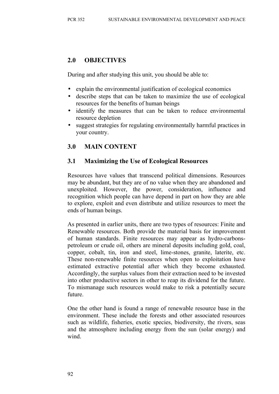### **2.0 OBJECTIVES**

During and after studying this unit, you should be able to:

- explain the environmental justification of ecological economics
- describe steps that can be taken to maximize the use of ecological resources for the benefits of human beings
- identify the measures that can be taken to reduce environmental resource depletion
- suggest strategies for regulating environmentally harmful practices in your country.

# **3.0 MAIN CONTENT**

# **3.1 Maximizing the Use of Ecological Resources**

Resources have values that transcend political dimensions. Resources may be abundant, but they are of no value when they are abandoned and unexploited. However, the power, consideration, influence and recognition which people can have depend in part on how they are able to explore, exploit and even distribute and utilize resources to meet the ends of human beings.

As presented in earlier units, there are two types of resources: Finite and Renewable resources. Both provide the material basis for improvement of human standards. Finite resources may appear as hydro-carbonspetroleum or crude oil, others are mineral deposits including gold, coal, copper, cobalt, tin, iron and steel, lime-stones, granite, laterite, etc. These non-renewable finite resources when open to exploitation have estimated extractive potential after which they become exhausted. Accordingly, the surplus values from their extraction need to be invested into other productive sectors in other to reap its dividend for the future. To mismanage such resources would make to risk a potentially secure future.

One the other hand is found a range of renewable resource base in the environment. These include the forests and other associated resources such as wildlife, fisheries, exotic species, biodiversity, the rivers, seas and the atmosphere including energy from the sun (solar energy) and wind.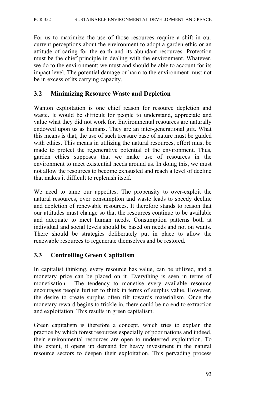For us to maximize the use of those resources require a shift in our current perceptions about the environment to adopt a garden ethic or an attitude of caring for the earth and its abundant resources. Protection must be the chief principle in dealing with the environment. Whatever, we do to the environment; we must and should be able to account for its impact level. The potential damage or harm to the environment must not be in excess of its carrying capacity.

#### **3.2 Minimizing Resource Waste and Depletion**

Wanton exploitation is one chief reason for resource depletion and waste. It would be difficult for people to understand, appreciate and value what they did not work for. Environmental resources are naturally endowed upon us as humans. They are an inter-generational gift. What this means is that, the use of such treasure base of nature must be guided with ethics. This means in utilizing the natural resources, effort must be made to protect the regenerative potential of the environment. Thus, garden ethics supposes that we make use of resources in the environment to meet existential needs around us. In doing this, we must not allow the resources to become exhausted and reach a level of decline that makes it difficult to replenish itself.

We need to tame our appetites. The propensity to over-exploit the natural resources, over consumption and waste leads to speedy decline and depletion of renewable resources. It therefore stands to reason that our attitudes must change so that the resources continue to be available and adequate to meet human needs. Consumption patterns both at individual and social levels should be based on needs and not on wants. There should be strategies deliberately put in place to allow the renewable resources to regenerate themselves and be restored.

#### **3.3 Controlling Green Capitalism**

In capitalist thinking, every resource has value, can be utilized, and a monetary price can be placed on it. Everything is seen in terms of monetisation. The tendency to monetise every available resource encourages people further to think in terms of surplus value. However, the desire to create surplus often tilt towards materialism. Once the monetary reward begins to trickle in, there could be no end to extraction and exploitation. This results in green capitalism.

Green capitalism is therefore a concept, which tries to explain the practice by which forest resources especially of poor nations and indeed, their environmental resources are open to undeterred exploitation. To this extent, it opens up demand for heavy investment in the natural resource sectors to deepen their exploitation. This pervading process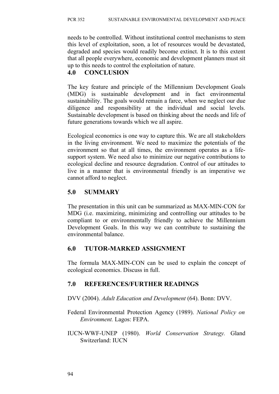needs to be controlled. Without institutional control mechanisms to stem this level of exploitation, soon, a lot of resources would be devastated, degraded and species would readily become extinct. It is to this extent that all people everywhere, economic and development planners must sit up to this needs to control the exploitation of nature.

## **4.0 CONCLUSION**

The key feature and principle of the Millennium Development Goals (MDG) is sustainable development and in fact environmental sustainability. The goals would remain a farce, when we neglect our due diligence and responsibility at the individual and social levels. Sustainable development is based on thinking about the needs and life of future generations towards which we all aspire.

Ecological economics is one way to capture this. We are all stakeholders in the living environment. We need to maximize the potentials of the environment so that at all times, the environment operates as a lifesupport system. We need also to minimize our negative contributions to ecological decline and resource degradation. Control of our attitudes to live in a manner that is environmental friendly is an imperative we cannot afford to neglect.

# **5.0 SUMMARY**

The presentation in this unit can be summarized as MAX-MIN-CON for MDG (i.e. maximizing, minimizing and controlling our attitudes to be compliant to or environmentally friendly to achieve the Millennium Development Goals. In this way we can contribute to sustaining the environmental balance.

## **6.0 TUTOR-MARKED ASSIGNMENT**

The formula MAX-MIN-CON can be used to explain the concept of ecological economics. Discuss in full.

## **7.0 REFERENCES/FURTHER READINGS**

DVV (2004). *Adult Education and Development* (64). Bonn: DVV.

Federal Environmental Protection Agency (1989). *National Policy on Environment.* Lagos: FEPA.

IUCN-WWF-UNEP (1980). *World Conservation Strategy.* Gland Switzerland: IUCN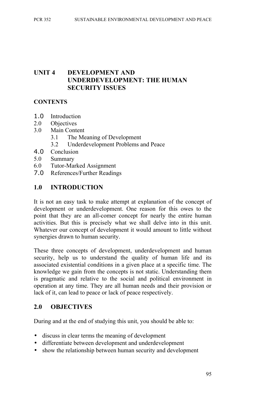#### **UNIT 4 DEVELOPMENT AND UNDERDEVELOPMENT: THE HUMAN SECURITY ISSUES**

#### **CONTENTS**

- 1.0 Introduction
- 2.0 Objectives
- 3.0 Main Content
	- 3.1 The Meaning of Development
	- 3.2 Underdevelopment Problems and Peace
- 4.0 Conclusion
- 5.0 Summary
- 6.0 Tutor-Marked Assignment
- 7.0 References/Further Readings

#### **1.0 INTRODUCTION**

It is not an easy task to make attempt at explanation of the concept of development or underdevelopment. One reason for this owes to the point that they are an all-comer concept for nearly the entire human activities. But this is precisely what we shall delve into in this unit. Whatever our concept of development it would amount to little without synergies drawn to human security.

These three concepts of development, underdevelopment and human security, help us to understand the quality of human life and its associated existential conditions in a given place at a specific time. The knowledge we gain from the concepts is not static. Understanding them is pragmatic and relative to the social and political environment in operation at any time. They are all human needs and their provision or lack of it, can lead to peace or lack of peace respectively.

#### **2.0 OBJECTIVES**

During and at the end of studying this unit, you should be able to:

- discuss in clear terms the meaning of development
- differentiate between development and underdevelopment
- show the relationship between human security and development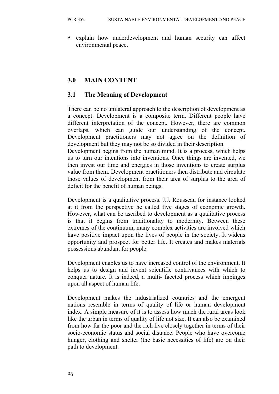• explain how underdevelopment and human security can affect environmental peace.

#### **3.0 MAIN CONTENT**

#### **3.1 The Meaning of Development**

There can be no unilateral approach to the description of development as a concept. Development is a composite term. Different people have different interpretation of the concept. However, there are common overlaps, which can guide our understanding of the concept. Development practitioners may not agree on the definition of development but they may not be so divided in their description.

Development begins from the human mind. It is a process, which helps us to turn our intentions into inventions. Once things are invented, we then invest our time and energies in those inventions to create surplus value from them. Development practitioners then distribute and circulate those values of development from their area of surplus to the area of deficit for the benefit of human beings.

Development is a qualitative process. J.J. Rousseau for instance looked at it from the perspective he called five stages of economic growth. However, what can be ascribed to development as a qualitative process is that it begins from traditionality to modernity. Between these extremes of the continuum, many complex activities are involved which have positive impact upon the lives of people in the society. It widens opportunity and prospect for better life. It creates and makes materials possessions abundant for people.

Development enables us to have increased control of the environment. It helps us to design and invent scientific contrivances with which to conquer nature. It is indeed, a multi- faceted process which impinges upon all aspect of human life.

Development makes the industrialized countries and the emergent nations resemble in terms of quality of life or human development index. A simple measure of it is to assess how much the rural areas look like the urban in terms of quality of life not size. It can also be examined from how far the poor and the rich live closely together in terms of their socio-economic status and social distance. People who have overcome hunger, clothing and shelter (the basic necessities of life) are on their path to development.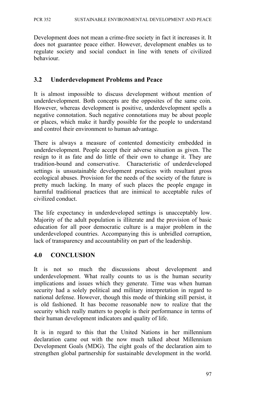Development does not mean a crime-free society in fact it increases it. It does not guarantee peace either. However, development enables us to regulate society and social conduct in line with tenets of civilized behaviour.

#### **3.2 Underdevelopment Problems and Peace**

It is almost impossible to discuss development without mention of underdevelopment. Both concepts are the opposites of the same coin. However, whereas development is positive, underdevelopment spells a negative connotation. Such negative connotations may be about people or places, which make it hardly possible for the people to understand and control their environment to human advantage.

There is always a measure of contented domesticity embedded in underdevelopment. People accept their adverse situation as given. The resign to it as fate and do little of their own to change it. They are tradition-bound and conservative. Characteristic of underdeveloped settings is unsustainable development practices with resultant gross ecological abuses. Provision for the needs of the society of the future is pretty much lacking. In many of such places the people engage in harmful traditional practices that are inimical to acceptable rules of civilized conduct.

The life expectancy in underdeveloped settings is unacceptably low. Majority of the adult population is illiterate and the provision of basic education for all poor democratic culture is a major problem in the underdeveloped countries. Accompanying this is unbridled corruption, lack of transparency and accountability on part of the leadership.

#### **4.0 CONCLUSION**

It is not so much the discussions about development and underdevelopment. What really counts to us is the human security implications and issues which they generate. Time was when human security had a solely political and military interpretation in regard to national defense. However, though this mode of thinking still persist, it is old fashioned. It has become reasonable now to realize that the security which really matters to people is their performance in terms of their human development indicators and quality of life.

It is in regard to this that the United Nations in her millennium declaration came out with the now much talked about Millennium Development Goals (MDG). The eight goals of the declaration aim to strengthen global partnership for sustainable development in the world.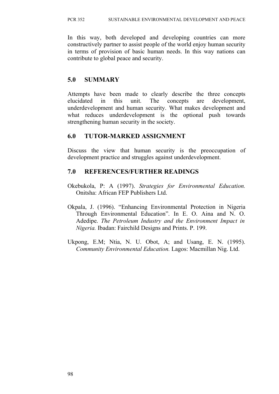In this way, both developed and developing countries can more constructively partner to assist people of the world enjoy human security in terms of provision of basic human needs. In this way nations can contribute to global peace and security.

## **5.0 SUMMARY**

Attempts have been made to clearly describe the three concepts elucidated in this unit. The concepts are development, underdevelopment and human security. What makes development and what reduces underdevelopment is the optional push towards strengthening human security in the society.

#### **6.0 TUTOR-MARKED ASSIGNMENT**

Discuss the view that human security is the preoccupation of development practice and struggles against underdevelopment.

## **7.0 REFERENCES/FURTHER READINGS**

- Okebukola, P: A (1997). *Strategies for Environmental Education.* Onitsha: African FEP Publishers Ltd.
- Okpala, J. (1996). "Enhancing Environmental Protection in Nigeria Through Environmental Education". In E. O. Aina and N. O. Adedipe. *The Petroleum Industry and the Environment Impact in Nigeria.* Ibadan: Fairchild Designs and Prints. P. 199.
- Ukpong, E.M; Ntia, N. U. Obot, A; and Usang, E. N. (1995). *Community Environmental Education.* Lagos: Macmillan Nig. Ltd.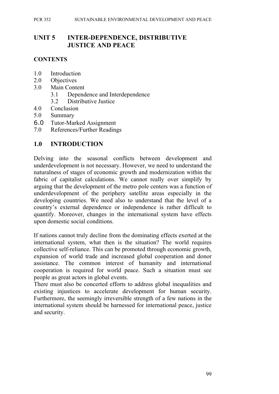#### **UNIT 5 INTER-DEPENDENCE, DISTRIBUTIVE JUSTICE AND PEACE**

#### **CONTENTS**

- 1.0 Introduction
- 2.0 Objectives
- 3.0 Main Content
	- 3.1 Dependence and Interdependence
	- 3.2 Distributive Justice
- 4.0 Conclusion
- 5.0 Summary
- 6.0 Tutor-Marked Assignment
- 7.0 References/Further Readings

## **1.0 INTRODUCTION**

Delving into the seasonal conflicts between development and underdevelopment is not necessary. However, we need to understand the naturalness of stages of economic growth and modernization within the fabric of capitalist calculations. We cannot really over simplify by arguing that the development of the metro pole centers was a function of underdevelopment of the periphery satellite areas especially in the developing countries. We need also to understand that the level of a country's external dependence or independence is rather difficult to quantify. Moreover, changes in the international system have effects upon domestic social conditions.

If nations cannot truly decline from the dominating effects exerted at the international system, what then is the situation? The world requires collective self-reliance. This can be promoted through economic growth, expansion of world trade and increased global cooperation and donor assistance. The common interest of humanity and international cooperation is required for world peace. Such a situation must see people as great actors in global events.

There must also be concerted efforts to address global inequalities and existing injustices to accelerate development for human security. Furthermore, the seemingly irreversible strength of a few nations in the international system should be harnessed for international peace, justice and security.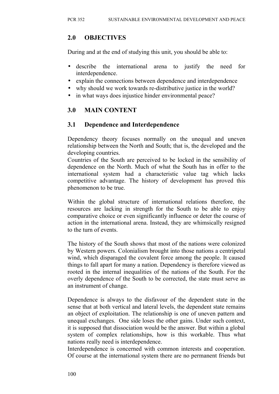## **2.0 OBJECTIVES**

During and at the end of studying this unit, you should be able to:

- describe the international arena to justify the need for interdependence.
- explain the connections between dependence and interdependence
- why should we work towards re-distributive justice in the world?
- in what ways does injustice hinder environmental peace?

## **3.0 MAIN CONTENT**

## **3.1 Dependence and Interdependence**

Dependency theory focuses normally on the unequal and uneven relationship between the North and South; that is, the developed and the developing countries.

Countries of the South are perceived to be locked in the sensibility of dependence on the North. Much of what the South has in offer to the international system had a characteristic value tag which lacks competitive advantage. The history of development has proved this phenomenon to be true.

Within the global structure of international relations therefore, the resources are lacking in strength for the South to be able to enjoy comparative choice or even significantly influence or deter the course of action in the international arena. Instead, they are whimsically resigned to the turn of events.

The history of the South shows that most of the nations were colonized by Western powers. Colonialism brought into those nations a centripetal wind, which disparaged the covalent force among the people. It caused things to fall apart for many a nation. Dependency is therefore viewed as rooted in the internal inequalities of the nations of the South. For the overly dependence of the South to be corrected, the state must serve as an instrument of change.

Dependence is always to the disfavour of the dependent state in the sense that at both vertical and lateral levels, the dependent state remains an object of exploitation. The relationship is one of uneven pattern and unequal exchanges. One side loses the other gains. Under such context, it is supposed that dissociation would be the answer. But within a global system of complex relationships, how is this workable. Thus what nations really need is interdependence.

Interdependence is concerned with common interests and cooperation. Of course at the international system there are no permanent friends but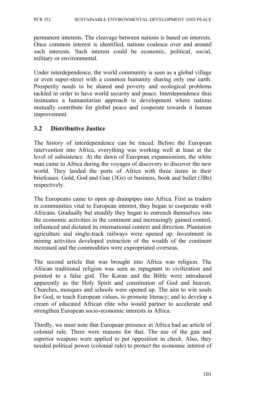permanent interests. The cleavage between nations is based on interests. Once common interest is identified, nations coalesce over and around such interests. Such interest could be economic, political, social, military or environmental.

Under interdependence, the world community is seen as a global village or even super-street with a common humanity sharing only one earth. Prosperity needs to be shared and poverty and ecological problems tackled in order to have world security and peace. Interdependence thus insinuates a humanitarian approach to development where nations mutually contribute for global peace and cooperate towards it human improvement.

#### **3.2 Distributive Justice**

The history of interdependence can be traced. Before the European intervention into Africa, everything was working well at least at the level of subsistence. At the dawn of European expansionism, the white man came to Africa during the voyages of discovery to discover the new world. They landed the ports of Africa with three items in their briefcases: Gold, God and Gun (3Gs) or business, book and bullet (3Bs) respectively.

The Europeans came to open up drainpipes into Africa. First as traders in communities vital to European interest, they began to cooperate with Africans. Gradually but steadily they began to entrench themselves into the economic activities in the continent and increasingly gained control, influenced and dictated its international context and direction. Plantation agriculture and single-track railways were opened up. Investment in mining activities developed extraction of the wealth of the continent increased and the commodities were expropriated overseas.

The second article that was brought into Africa was religion. The African traditional religion was seen as repugnant to civilization and pointed to a false god. The Koran and the Bible were introduced apparently as the Holy Spirit and constitution of God and heaven. Churches, mosques and schools were opened up. The aim to win souls for God, to teach European values, to promote literacy; and to develop a cream of educated African elite who would partner to accelerate and strengthen European socio-economic interests in Africa.

Thirdly, we must note that European presence in Africa had an article of colonial rule. There were reasons for that. The use of the gun and superior weapons were applied to put opposition in check. Also, they needed political power (colonial rule) to protect the economic interest of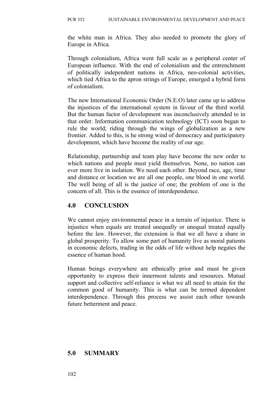the white man in Africa. They also needed to promote the glory of Europe in Africa.

Through colonialism, Africa went full scale as a peripheral center of European influence. With the end of colonialism and the entrenchment of politically independent nations in Africa, neo-colonial activities, which tied Africa to the apron strings of Europe, emerged a hybrid form of colonialism.

The new International Economic Order (N.E.O) later came up to address the injustices of the international system in favour of the third world. But the human factor of development was inconclusively attended to in that order. Information communication technology (ICT) soon began to rule the world; riding through the wings of globalization as a new frontier. Added to this, is he strong wind of democracy and participatory development, which have become the reality of our age.

Relationship, partnership and team play have become the new order to which nations and people must yield themselves. None, no nation can ever more live in isolation. We need each other. Beyond race, age, time and distance or location we are all one people, one blood in one world. The well being of all is the justice of one; the problem of one is the concern of all. This is the essence of interdependence.

#### **4.0 CONCLUSION**

We cannot enjoy environmental peace in a terrain of injustice. There is injustice when equals are treated unequally or unequal treated equally before the law. However, the extension is that we all have a share in global prosperity. To allow some part of humanity live as moral patients in economic defects, trading in the odds of life without help negates the essence of human hood.

Human beings everywhere are ethnically prior and must be given opportunity to express their innermost talents and resources. Mutual support and collective self-reliance is what we all need to attain for the common good of humanity. This is what can be termed dependent interdependence. Through this process we assist each other towards future betterment and peace.

#### **5.0 SUMMARY**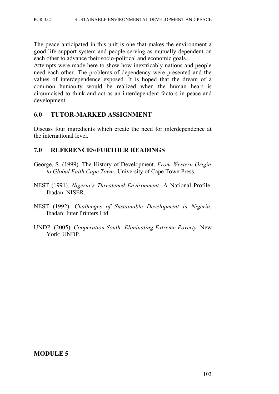The peace anticipated in this unit is one that makes the environment a good life-support system and people serving as mutually dependent on each other to advance their socio-political and economic goals.

Attempts were made here to show how inextricably nations and people need each other. The problems of dependency were presented and the values of interdependence exposed. It is hoped that the dream of a common humanity would be realized when the human heart is circumcised to think and act as an interdependent factors in peace and development.

#### **6.0 TUTOR-MARKED ASSIGNMENT**

Discuss four ingredients which create the need for interdependence at the international level.

#### **7.0 REFERENCES/FURTHER READINGS**

- George, S. (1999). The History of Development. *From Western Origin to Global Faith Cape Town:* University of Cape Town Press.
- NEST (1991). *Nigeria's Threatened Environment:* A National Profile. Ibadan: NISER.
- NEST (1992). *Challenges of Sustainable Development in Nigeria.* Ibadan: Inter Printers Ltd.
- UNDP. (2005). *Cooperation South: Eliminating Extreme Poverty.* New York: UNDP.

#### **MODULE 5**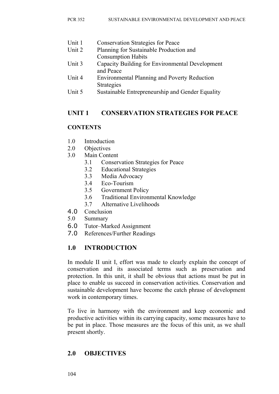| Unit 1 | <b>Conservation Strategies for Peace</b>                                 |
|--------|--------------------------------------------------------------------------|
| Unit 2 | Planning for Sustainable Production and                                  |
|        | <b>Consumption Habits</b>                                                |
| Unit 3 | Capacity Building for Environmental Development<br>and Peace             |
| Unit 4 | <b>Environmental Planning and Poverty Reduction</b><br><b>Strategies</b> |
| Unit 5 | Sustainable Entrepreneurship and Gender Equality                         |

## **UNIT 1 CONSERVATION STRATEGIES FOR PEACE**

#### **CONTENTS**

- 1.0 Introduction
- 2.0 Objectives
- 3.0 Main Content
	- 3.1 Conservation Strategies for Peace
		- 3.2 Educational Strategies
		- 3.3 Media Advocacy
		- 3.4 Eco-Tourism
		- 3.5 Government Policy
		- 3.6 Traditional Environmental Knowledge
		- 3.7 Alternative Livelihoods
- 4.0 Conclusion
- 5.0 Summary
- 6.0 Tutor–Marked Assignment
- 7.0 References/Further Readings

#### **1.0 INTRODUCTION**

In module II unit I, effort was made to clearly explain the concept of conservation and its associated terms such as preservation and protection. In this unit, it shall be obvious that actions must be put in place to enable us succeed in conservation activities. Conservation and sustainable development have become the catch phrase of development work in contemporary times.

To live in harmony with the environment and keep economic and productive activities within its carrying capacity, some measures have to be put in place. Those measures are the focus of this unit, as we shall present shortly.

## **2.0 OBJECTIVES**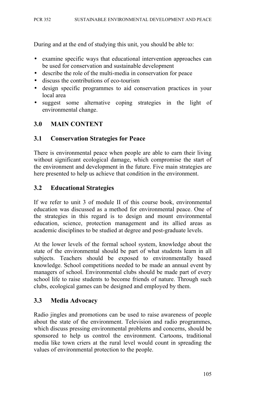During and at the end of studying this unit, you should be able to:

- examine specific ways that educational intervention approaches can be used for conservation and sustainable development
- describe the role of the multi-media in conservation for peace
- discuss the contributions of eco-tourism
- design specific programmes to aid conservation practices in your local area
- suggest some alternative coping strategies in the light of environmental change.

## **3.0 MAIN CONTENT**

#### **3.1 Conservation Strategies for Peace**

There is environmental peace when people are able to earn their living without significant ecological damage, which compromise the start of the environment and development in the future. Five main strategies are here presented to help us achieve that condition in the environment.

#### **3.2 Educational Strategies**

If we refer to unit 3 of module II of this course book, environmental education was discussed as a method for environmental peace. One of the strategies in this regard is to design and mount environmental education, science, protection management and its allied areas as academic disciplines to be studied at degree and post-graduate levels.

At the lower levels of the formal school system, knowledge about the state of the environmental should be part of what students learn in all subjects. Teachers should be exposed to environmentally based knowledge. School competitions needed to be made an annual event by managers of school. Environmental clubs should be made part of every school life to raise students to become friends of nature. Through such clubs, ecological games can be designed and employed by them.

#### **3.3 Media Advocacy**

Radio jingles and promotions can be used to raise awareness of people about the state of the environment. Television and radio programmes, which discuss pressing environmental problems and concerns, should be sponsored to help us control the environment. Cartoons, traditional media like town criers at the rural level would count in spreading the values of environmental protection to the people.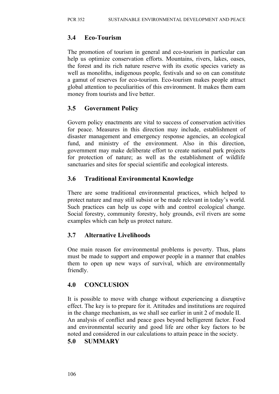#### **3.4 Eco-Tourism**

The promotion of tourism in general and eco-tourism in particular can help us optimize conservation efforts. Mountains, rivers, lakes, oases, the forest and its rich nature reserve with its exotic species variety as well as monoliths, indigenous people, festivals and so on can constitute a gamut of reserves for eco-tourism. Eco-tourism makes people attract global attention to peculiarities of this environment. It makes them earn money from tourists and live better.

## **3.5 Government Policy**

Govern policy enactments are vital to success of conservation activities for peace. Measures in this direction may include, establishment of disaster management and emergency response agencies, an ecological fund, and ministry of the environment. Also in this direction, government may make deliberate effort to create national park projects for protection of nature; as well as the establishment of wildlife sanctuaries and sites for special scientific and ecological interests.

## **3.6 Traditional Environmental Knowledge**

There are some traditional environmental practices, which helped to protect nature and may still subsist or be made relevant in today's world. Such practices can help us cope with and control ecological change. Social forestry, community forestry, holy grounds, evil rivers are some examples which can help us protect nature.

## **3.7 Alternative Livelihoods**

One main reason for environmental problems is poverty. Thus, plans must be made to support and empower people in a manner that enables them to open up new ways of survival, which are environmentally friendly.

#### **4.0 CONCLUSION**

It is possible to move with change without experiencing a disruptive effect. The key is to prepare for it. Attitudes and institutions are required in the change mechanism, as we shall see earlier in unit 2 of module II. An analysis of conflict and peace goes beyond belligerent factor. Food and environmental security and good life are other key factors to be noted and considered in our calculations to attain peace in the society.

#### **5.0 SUMMARY**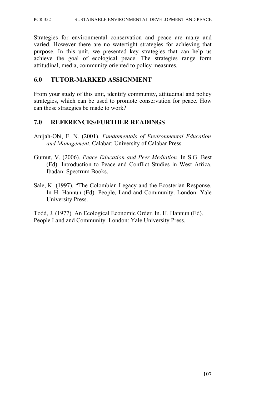Strategies for environmental conservation and peace are many and varied. However there are no watertight strategies for achieving that purpose. In this unit, we presented key strategies that can help us achieve the goal of ecological peace. The strategies range form attitudinal, media, community oriented to policy measures.

#### **6.0 TUTOR-MARKED ASSIGNMENT**

From your study of this unit, identify community, attitudinal and policy strategies, which can be used to promote conservation for peace. How can those strategies be made to work?

## **7.0 REFERENCES/FURTHER READINGS**

- Anijah-Obi, F. N. (2001). *Fundamentals of Environmental Education and Management.* Calabar: University of Calabar Press.
- Gumut, V. (2006). *Peace Education and Peer Mediation.* In S.G. Best (Ed). Introduction to Peace and Conflict Studies in West Africa. Ibadan: Spectrum Books.
- Sale, K. (1997). "The Colombian Legacy and the Ecosterian Response. In H. Hannun (Ed). People, Land and Community. London: Yale University Press.

Todd, J. (1977). An Ecological Economic Order. In. H. Hannun (Ed). People Land and Community. London: Yale University Press.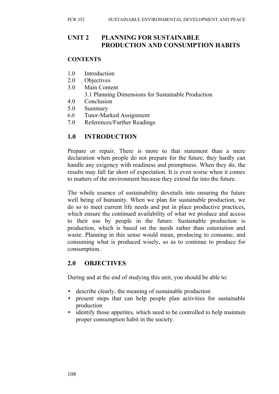#### **UNIT 2 PLANNING FOR SUSTAINABLE PRODUCTION AND CONSUMPTION HABITS**

#### **CONTENTS**

- 1.0 Introduction
- 2.0 Objectives
- 3.0 Main Content 3.1 Planning Dimensions for Sustainable Production
- 4.0 Conclusion
- 5.0 Summary
- 6.0 Tutor-Marked Assignment
- 7.0 References/Further Readings

## **1.0 INTRODUCTION**

Prepare or repair. There is more to that statement than a mere declaration when people do not prepare for the future, they hardly can handle any exigency with readiness and promptness. When they do, the results may fall far short of expectation. It is even worse when it comes to matters of the environment because they extend far into the future.

The whole essence of sustainability dovetails into ensuring the future well being of humanity. When we plan for sustainable production, we do so to meet current life needs and put in place productive practices, which ensure the continued availability of what we produce and access to their use by people in the future. Sustainable production is production, which is based on the needs rather than ostentation and waste. Planning in this sense would mean, producing to consume, and consuming what is produced wisely, so as to continue to produce for consumption.

## **2.0 OBJECTIVES**

During and at the end of studying this unit, you should be able to:

- describe clearly, the meaning of sustainable production
- present steps that can help people plan activities for sustainable production
- identify those appetites, which need to be controlled to help maintain proper consumption habit in the society.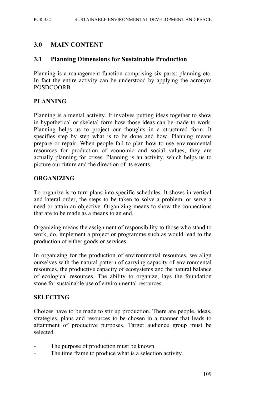#### **3.0 MAIN CONTENT**

#### **3.1 Planning Dimensions for Sustainable Production**

Planning is a management function comprising six parts: planning etc. In fact the entire activity can be understood by applying the acronym POSDCOORB

#### **PLANNING**

Planning is a mental activity. It involves putting ideas together to show in hypothetical or skeletal form how those ideas can be made to work. Planning helps us to project our thoughts in a structured form. It specifies step by step what is to be done and how. Planning means prepare or repair. When people fail to plan how to use environmental resources for production of economic and social values, they are actually planning for crises. Planning is an activity, which helps us to picture our future and the direction of its events.

#### **ORGANIZING**

To organize is to turn plans into specific schedules. It shows in vertical and lateral order, the steps to be taken to solve a problem, or serve a need or attain an objective. Organizing means to show the connections that are to be made as a means to an end.

Organizing means the assignment of responsibility to those who stand to work, do, implement a project or programme such as would lead to the production of either goods or services.

In organizing for the production of environmental resources, we align ourselves with the natural pattern of carrying capacity of environmental resources, the productive capacity of ecosystems and the natural balance of ecological resources. The ability to organize, lays the foundation stone for sustainable use of environmental resources.

#### **SELECTING**

Choices have to be made to stir up production. There are people, ideas, strategies, plans and resources to be chosen in a manner that leads to attainment of productive purposes. Target audience group must be selected.

- The purpose of production must be known.
- The time frame to produce what is a selection activity.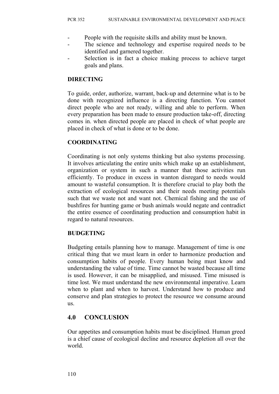- People with the requisite skills and ability must be known.
- The science and technology and expertise required needs to be identified and garnered together.
- Selection is in fact a choice making process to achieve target goals and plans.

#### **DIRECTING**

To guide, order, authorize, warrant, back-up and determine what is to be done with recognized influence is a directing function. You cannot direct people who are not ready, willing and able to perform. When every preparation has been made to ensure production take-off, directing comes in. when directed people are placed in check of what people are placed in check of what is done or to be done.

#### **COORDINATING**

Coordinating is not only systems thinking but also systems processing. It involves articulating the entire units which make up an establishment, organization or system in such a manner that those activities run efficiently. To produce in excess in wanton disregard to needs would amount to wasteful consumption. It is therefore crucial to play both the extraction of ecological resources and their needs meeting potentials such that we waste not and want not. Chemical fishing and the use of bushfires for hunting game or bush animals would negate and contradict the entire essence of coordinating production and consumption habit in regard to natural resources.

#### **BUDGETING**

Budgeting entails planning how to manage. Management of time is one critical thing that we must learn in order to harmonize production and consumption habits of people. Every human being must know and understanding the value of time. Time cannot be wasted because all time is used. However, it can be misapplied, and misused. Time misused is time lost. We must understand the new environmental imperative. Learn when to plant and when to harvest. Understand how to produce and conserve and plan strategies to protect the resource we consume around us.

## **4.0 CONCLUSION**

Our appetites and consumption habits must be disciplined. Human greed is a chief cause of ecological decline and resource depletion all over the world.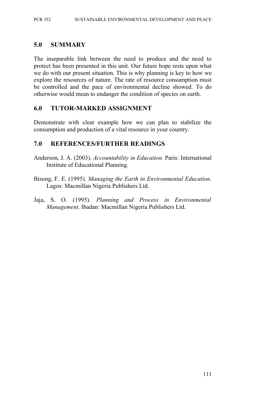#### **5.0 SUMMARY**

The inseparable link between the need to produce and the need to protect has been presented in this unit. Our future hope rests upon what we do with our present situation. This is why planning is key to how we explore the resources of nature. The rate of resource consumption must be controlled and the pace of environmental decline showed. To do otherwise would mean to endanger the condition of species on earth.

#### **6.0 TUTOR-MARKED ASSIGNMENT**

Demonstrate with clear example how we can plan to stabilize the consumption and production of a vital resource in your country.

#### **7.0 REFERENCES/FURTHER READINGS**

- Anderson, J. A. (2003). *Accountability in Education.* Paris: International Institute of Educational Planning.
- Bisong, F. E. (1995). *Managing the Earth in Environmental Education.* Lagos: Macmillan Nigeria Publishers Ltd.
- Jaja, S. O. (1995). *Planning and Process in Environmental Management.* Ibadan: Macmillan Nigeria Publishers Ltd.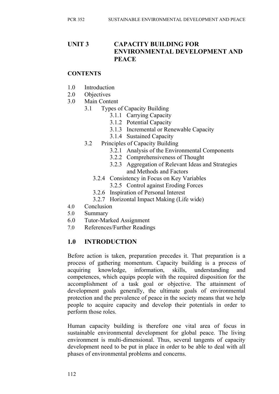## **UNIT 3 CAPACITY BUILDING FOR ENVIRONMENTAL DEVELOPMENT AND PEACE**

#### **CONTENTS**

- 1.0 Introduction
- 2.0 Objectives
- 3.0 Main Content
	- 3.1 Types of Capacity Building
		- 3.1.1 Carrying Capacity
		- 3.1.2 Potential Capacity
		- 3.1.3 Incremental or Renewable Capacity
		- 3.1.4 Sustained Capacity
	- 3.2 Principles of Capacity Building
		- 3.2.1 Analysis of the Environmental Components
		- 3.2.2 Comprehensiveness of Thought
		- 3.2.3 Aggregation of Relevant Ideas and Strategies and Methods and Factors
		- 3.2.4 Consistency in Focus on Key Variables
			- 3.2.5 Control against Eroding Forces
		- 3.2.6 Inspiration of Personal Interest
		- 3.2.7 Horizontal Impact Making (Life wide)
- 4.0 Conclusion
- 5.0 Summary
- 6.0 Tutor-Marked Assignment
- 7.0 References/Further Readings

#### **1.0 INTRODUCTION**

Before action is taken, preparation precedes it. That preparation is a process of gathering momentum. Capacity building is a process of acquiring knowledge, information, skills, understanding and competences, which equips people with the required disposition for the accomplishment of a task goal or objective. The attainment of development goals generally, the ultimate goals of environmental protection and the prevalence of peace in the society means that we help people to acquire capacity and develop their potentials in order to perform those roles.

Human capacity building is therefore one vital area of focus in sustainable environmental development for global peace. The living environment is multi-dimensional. Thus, several tangents of capacity development need to be put in place in order to be able to deal with all phases of environmental problems and concerns.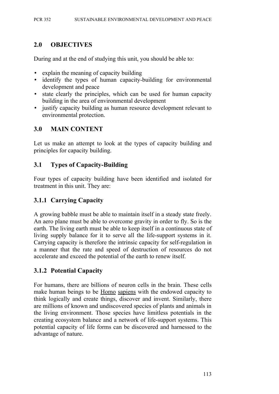## **2.0 OBJECTIVES**

During and at the end of studying this unit, you should be able to:

- explain the meaning of capacity building
- identify the types of human capacity-building for environmental development and peace
- state clearly the principles, which can be used for human capacity building in the area of environmental development
- justify capacity building as human resource development relevant to environmental protection.

## **3.0 MAIN CONTENT**

Let us make an attempt to look at the types of capacity building and principles for capacity building.

## **3.1 Types of Capacity-Building**

Four types of capacity building have been identified and isolated for treatment in this unit. They are:

## **3.1.1 Carrying Capacity**

A growing babble must be able to maintain itself in a steady state freely. An aero plane must be able to overcome gravity in order to fly. So is the earth. The living earth must be able to keep itself in a continuous state of living supply balance for it to serve all the life-support systems in it. Carrying capacity is therefore the intrinsic capacity for self-regulation in a manner that the rate and speed of destruction of resources do not accelerate and exceed the potential of the earth to renew itself.

## **3.1.2 Potential Capacity**

For humans, there are billions of neuron cells in the brain. These cells make human beings to be Homo sapiens with the endowed capacity to think logically and create things, discover and invent. Similarly, there are millions of known and undiscovered species of plants and animals in the living environment. Those species have limitless potentials in the creating ecosystem balance and a network of life-support systems. This potential capacity of life forms can be discovered and harnessed to the advantage of nature.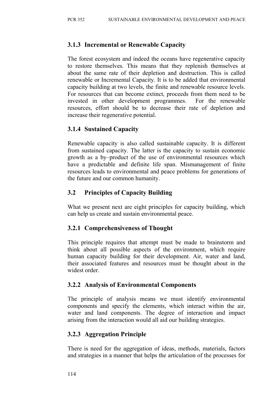## **3.1.3 Incremental or Renewable Capacity**

The forest ecosystem and indeed the oceans have regenerative capacity to restore themselves. This means that they replenish themselves at about the same rate of their depletion and destruction. This is called renewable or Incremental Capacity. It is to be added that environmental capacity building at two levels, the finite and renewable resource levels. For resources that can become extinct, proceeds from them need to be invested in other development programmes. For the renewable resources, effort should be to decrease their rate of depletion and increase their regenerative potential.

## **3.1.4 Sustained Capacity**

Renewable capacity is also called sustainable capacity. It is different from sustained capacity. The latter is the capacity to sustain economic growth as a by–product of the use of environmental resources which have a predictable and definite life span. Mismanagement of finite resources leads to environmental and peace problems for generations of the future and our common humanity.

## **3.2 Principles of Capacity Building**

What we present next are eight principles for capacity building, which can help us create and sustain environmental peace.

#### **3.2.1 Comprehensiveness of Thought**

This principle requires that attempt must be made to brainstorm and think about all possible aspects of the environment, which require human capacity building for their development. Air, water and land, their associated features and resources must be thought about in the widest order

#### **3.2.2 Analysis of Environmental Components**

The principle of analysis means we must identify environmental components and specify the elements, which interact within the air, water and land components. The degree of interaction and impact arising from the interaction would all aid our building strategies.

## **3.2.3 Aggregation Principle**

There is need for the aggregation of ideas, methods, materials, factors and strategies in a manner that helps the articulation of the processes for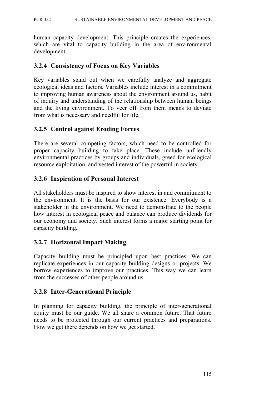human capacity development. This principle creates the experiences, which are vital to capacity building in the area of environmental development.

#### **3.2.4 Consistency of Focus on Key Variables**

Key variables stand out when we carefully analyze and aggregate ecological ideas and factors. Variables include interest in a commitment to improving human awareness about the environment around us, habit of inquiry and understanding of the relationship between human beings and the living environment. To veer off from them means to deviate from what is necessary and needful for life.

## **3.2.5 Control against Eroding Forces**

There are several competing factors, which need to be controlled for proper capacity building to take place. These include unfriendly environmental practices by groups and individuals, greed for ecological resource exploitation, and vested interest of the powerful in society.

#### **3.2.6 Inspiration of Personal Interest**

All stakeholders must be inspired to show interest in and commitment to the environment. It is the basis for our existence. Everybody is a stakeholder in the environment. We need to demonstrate to the people how interest in ecological peace and balance can produce dividends for our economy and society. Such interest forms a major starting point for capacity building.

#### **3.2.7 Horizontal Impact Making**

Capacity building must be principled upon best practices. We can replicate experiences in our capacity building designs or projects. We borrow experiences to improve our practices. This way we can learn from the successes of other people around us.

#### **3.2.8 Inter-Generational Principle**

In planning for capacity building, the principle of inter-generational equity must be our guide. We all share a common future. That future needs to be protected through our current practices and preparations. How we get there depends on how we get started.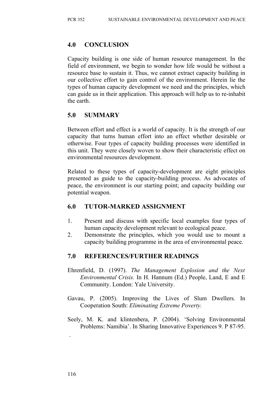#### **4.0 CONCLUSION**

Capacity building is one side of human resource management. In the field of environment, we begin to wonder how life would be without a resource base to sustain it. Thus, we cannot extract capacity building in our collective effort to gain control of the environment. Herein lie the types of human capacity development we need and the principles, which can guide us in their application. This approach will help us to re-inhabit the earth.

## **5.0 SUMMARY**

Between effort and effect is a world of capacity. It is the strength of our capacity that turns human effort into an effect whether desirable or otherwise. Four types of capacity building processes were identified in this unit. They were closely woven to show their characteristic effect on environmental resources development.

Related to these types of capacity-development are eight principles presented as guide to the capacity-building process. As advocates of peace, the environment is our starting point; and capacity building our potential weapon.

## **6.0 TUTOR-MARKED ASSIGNMENT**

- 1. Present and discuss with specific local examples four types of human capacity development relevant to ecological peace.
- 2. Demonstrate the principles, which you would use to mount a capacity building programme in the area of environmental peace.

## **7.0 REFERENCES/FURTHER READINGS**

- Ehrenfield, D. (1997). *The Management Explosion and the Next Environmental Crisis.* In H. Hannum (Ed.) People, Land, E and E Community. London: Yale University.
- Gavau, P. (2005). Improving the Lives of Slum Dwellers. In Cooperation South: *Eliminating Extreme Poverty.*
- Seely, M. K. and klintenbera, P. (2004). 'Solving Environmental Problems: Namibia'. In Sharing Innovative Experiences 9. P 87-95.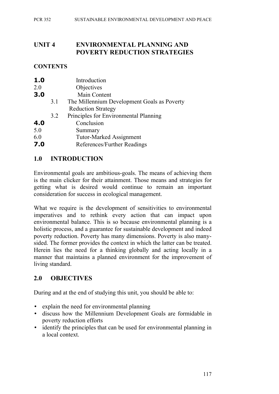## **UNIT 4 ENVIRONMENTAL PLANNING AND POVERTY REDUCTION STRATEGIES**

#### **CONTENTS**

| 1.0     |     | Introduction                                |
|---------|-----|---------------------------------------------|
| $2.0\,$ |     | Objectives                                  |
| 3.0     |     | Main Content                                |
|         | 3.1 | The Millennium Development Goals as Poverty |
|         |     | <b>Reduction Strategy</b>                   |
|         | 3.2 | Principles for Environmental Planning       |
| 4.0     |     | Conclusion                                  |
| 5.0     |     | Summary                                     |
| 6.0     |     | <b>Tutor-Marked Assignment</b>              |
| 7.0     |     | References/Further Readings                 |
|         |     |                                             |

## **1.0 INTRODUCTION**

Environmental goals are ambitious-goals. The means of achieving them is the main clicker for their attainment. Those means and strategies for getting what is desired would continue to remain an important consideration for success in ecological management.

What we require is the development of sensitivities to environmental imperatives and to rethink every action that can impact upon environmental balance. This is so because environmental planning is a holistic process, and a guarantee for sustainable development and indeed poverty reduction. Poverty has many dimensions. Poverty is also manysided. The former provides the context in which the latter can be treated. Herein lies the need for a thinking globally and acting locally in a manner that maintains a planned environment for the improvement of living standard.

## **2.0 OBJECTIVES**

During and at the end of studying this unit, you should be able to:

- explain the need for environmental planning
- discuss how the Millennium Development Goals are formidable in poverty reduction efforts
- identify the principles that can be used for environmental planning in a local context.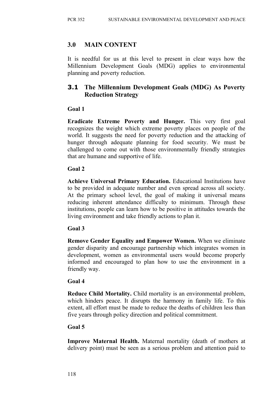#### **3.0 MAIN CONTENT**

It is needful for us at this level to present in clear ways how the Millennium Development Goals (MDG) applies to environmental planning and poverty reduction.

## **3.1 The Millennium Development Goals (MDG) As Poverty Reduction Strategy**

#### **Goal 1**

**Eradicate Extreme Poverty and Hunger.** This very first goal recognizes the weight which extreme poverty places on people of the world. It suggests the need for poverty reduction and the attacking of hunger through adequate planning for food security. We must be challenged to come out with those environmentally friendly strategies that are humane and supportive of life.

#### **Goal 2**

**Achieve Universal Primary Education.** Educational Institutions have to be provided in adequate number and even spread across all society. At the primary school level, the goal of making it universal means reducing inherent attendance difficulty to minimum. Through these institutions, people can learn how to be positive in attitudes towards the living environment and take friendly actions to plan it.

#### **Goal 3**

**Remove Gender Equality and Empower Women.** When we eliminate gender disparity and encourage partnership which integrates women in development, women as environmental users would become properly informed and encouraged to plan how to use the environment in a friendly way.

#### **Goal 4**

**Reduce Child Mortality.** Child mortality is an environmental problem, which hinders peace. It disrupts the harmony in family life. To this extent, all effort must be made to reduce the deaths of children less than five years through policy direction and political commitment.

#### **Goal 5**

**Improve Maternal Health.** Maternal mortality (death of mothers at delivery point) must be seen as a serious problem and attention paid to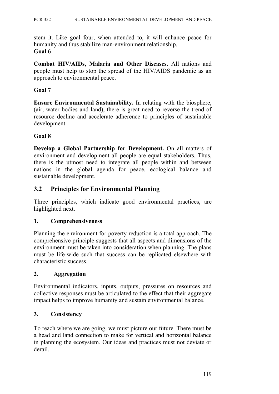stem it. Like goal four, when attended to, it will enhance peace for humanity and thus stabilize man-environment relationship. **Goal 6**

**Combat HIV/AIDs, Malaria and Other Diseases.** All nations and people must help to stop the spread of the HIV/AIDS pandemic as an approach to environmental peace.

#### **Goal 7**

**Ensure Environmental Sustainability.** In relating with the biosphere, (air, water bodies and land), there is great need to reverse the trend of resource decline and accelerate adherence to principles of sustainable development.

#### **Goal 8**

**Develop a Global Partnership for Development.** On all matters of environment and development all people are equal stakeholders. Thus, there is the utmost need to integrate all people within and between nations in the global agenda for peace, ecological balance and sustainable development.

## **3.2 Principles for Environmental Planning**

Three principles, which indicate good environmental practices, are highlighted next.

#### **1. Comprehensiveness**

Planning the environment for poverty reduction is a total approach. The comprehensive principle suggests that all aspects and dimensions of the environment must be taken into consideration when planning. The plans must be life-wide such that success can be replicated elsewhere with characteristic success.

#### **2. Aggregation**

Environmental indicators, inputs, outputs, pressures on resources and collective responses must be articulated to the effect that their aggregate impact helps to improve humanity and sustain environmental balance.

#### **3. Consistency**

To reach where we are going, we must picture our future. There must be a head and land connection to make for vertical and horizontal balance in planning the ecosystem. Our ideas and practices must not deviate or derail.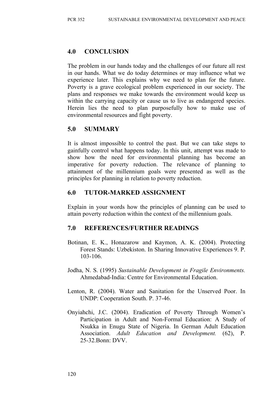## **4.0 CONCLUSION**

The problem in our hands today and the challenges of our future all rest in our hands. What we do today determines or may influence what we experience later. This explains why we need to plan for the future. Poverty is a grave ecological problem experienced in our society. The plans and responses we make towards the environment would keep us within the carrying capacity or cause us to live as endangered species. Herein lies the need to plan purposefully how to make use of environmental resources and fight poverty.

## **5.0 SUMMARY**

It is almost impossible to control the past. But we can take steps to gainfully control what happens today. In this unit, attempt was made to show how the need for environmental planning has become an imperative for poverty reduction. The relevance of planning to attainment of the millennium goals were presented as well as the principles for planning in relation to poverty reduction.

## **6.0 TUTOR-MARKED ASSIGNMENT**

Explain in your words how the principles of planning can be used to attain poverty reduction within the context of the millennium goals.

#### **7.0 REFERENCES/FURTHER READINGS**

- Botinan, E. K., Honazarow and Kaymon, A. K. (2004). Protecting Forest Stands: Uzbekiston. In Sharing Innovative Experiences 9. P. 103-106.
- Jodha, N. S. (1995) *Sustainable Development in Fragile Environments.* Ahmedabad-India: Centre for Environmental Education.
- Lenton, R. (2004). Water and Sanitation for the Unserved Poor. In UNDP: Cooperation South. P. 37-46.
- Onyiahchi, J.C. (2004). Eradication of Poverty Through Women's Participation in Adult and Non-Formal Education: A Study of Nsukka in Enugu State of Nigeria. In German Adult Education Association. *Adult Education and Development.* (62), P. 25-32.Bonn: DVV.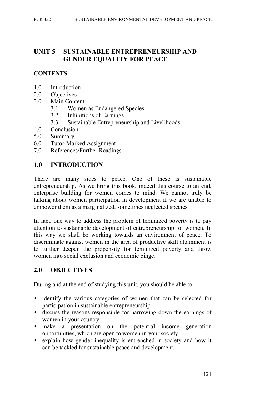## **UNIT 5 SUSTAINABLE ENTREPRENEURSHIP AND GENDER EQUALITY FOR PEACE**

#### **CONTENTS**

- 1.0 Introduction
- 2.0 Objectives
- 3.0 Main Content
	- 3.1 Women as Endangered Species
	- 3.2 Inhibitions of Earnings
	- 3.3 Sustainable Entrepreneurship and Livelihoods
- 4.0 Conclusion
- 5.0 Summary
- 6.0 Tutor-Marked Assignment
- 7.0 References/Further Readings

#### **1.0 INTRODUCTION**

There are many sides to peace. One of these is sustainable entrepreneurship. As we bring this book, indeed this course to an end, enterprise building for women comes to mind. We cannot truly be talking about women participation in development if we are unable to empower them as a marginalized, sometimes neglected species.

In fact, one way to address the problem of feminized poverty is to pay attention to sustainable development of entrepreneurship for women. In this way we shall be working towards an environment of peace. To discriminate against women in the area of productive skill attainment is to further deepen the propensity for feminized poverty and throw women into social exclusion and economic binge.

#### **2.0 OBJECTIVES**

During and at the end of studying this unit, you should be able to:

- identify the various categories of women that can be selected for participation in sustainable entrepreneurship
- discuss the reasons responsible for narrowing down the earnings of women in your country
- make a presentation on the potential income generation opportunities, which are open to women in your society
- explain how gender inequality is entrenched in society and how it can be tackled for sustainable peace and development.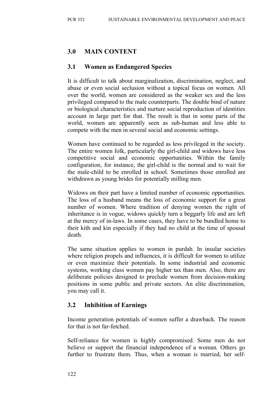# **3.0 MAIN CONTENT**

#### **3.1 Women as Endangered Species**

It is difficult to talk about marginalization, discrimination, neglect, and abuse or even social seclusion without a topical focus on women. All over the world, women are considered as the weaker sex and the less privileged compared to the male counterparts. The double bind of nature or biological characteristics and nurture social reproduction of identities account in large part for that. The result is that in some parts of the world, women are apparently seen as sub-human and less able to compete with the men in several social and economic settings.

Women have continued to be regarded as less privileged in the society. The entire women folk, particularly the girl-child and widows have less competitive social and economic opportunities. Within the family configuration, for instance, the girl-child is the normal and to wait for the male-child to be enrolled in school. Sometimes those enrolled are withdrawn as young brides for potentially milling men.

Widows on their part have a limited number of economic opportunities. The loss of a husband means the loss of economic support for a great number of women. Where tradition of denying women the right of inheritance is in vogue, widows quickly turn a beggarly life and are left at the mercy of in-laws. In some cases, they have to be bundled home to their kith and kin especially if they had no child at the time of spousal death.

The same situation applies to women in purdah. In insular societies where religion propels and influences, it is difficult for women to utilize or even maximize their potentials. In some industrial and economic systems, working class women pay higher tax than men. Also, there are deliberate policies designed to preclude women from decision-making positions in some public and private sectors. An elite discrimination, you may call it.

## **3.2 Inhibition of Earnings**

Income generation potentials of women suffer a drawback. The reason for that is not far-fetched.

Self-reliance for women is highly compromised. Some men do not believe or support the financial independence of a woman. Others go further to frustrate them. Thus, when a woman is married, her self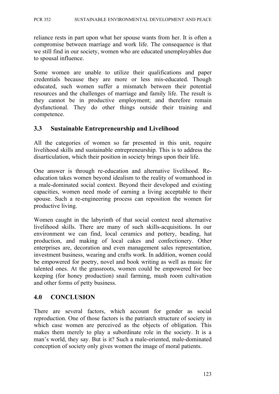reliance rests in part upon what her spouse wants from her. It is often a compromise between marriage and work life. The consequence is that we still find in our society, women who are educated unemployables due to spousal influence.

Some women are unable to utilize their qualifications and paper credentials because they are more or less mis-educated. Though educated, such women suffer a mismatch between their potential resources and the challenges of marriage and family life. The result is they cannot be in productive employment; and therefore remain dysfunctional. They do other things outside their training and competence.

#### **3.3 Sustainable Entrepreneurship and Livelihood**

All the categories of women so far presented in this unit, require livelihood skills and sustainable entrepreneurship. This is to address the disarticulation, which their position in society brings upon their life.

One answer is through re-education and alternative livelihood. Reeducation takes women beyond idealism to the reality of womanhood in a male-dominated social context. Beyond their developed and existing capacities, women need mode of earning a living acceptable to their spouse. Such a re-engineering process can reposition the women for productive living.

Women caught in the labyrinth of that social context need alternative livelihood skills. There are many of such skills-acquisitions. In our environment we can find, local ceramics and pottery, beading, hat production, and making of local cakes and confectionery. Other enterprises are, decoration and even management sales representation, investment business, wearing and crafts work. In addition, women could be empowered for poetry, novel and book writing as well as music for talented ones. At the grassroots, women could be empowered for bee keeping (for honey production) snail farming, mush room cultivation and other forms of petty business.

#### **4.0 CONCLUSION**

There are several factors, which account for gender as social reproduction. One of those factors is the patriarch structure of society in which case women are perceived as the objects of obligation. This makes them merely to play a subordinate role in the society. It is a man's world, they say. But is it? Such a male-oriented, male-dominated conception of society only gives women the image of moral patients.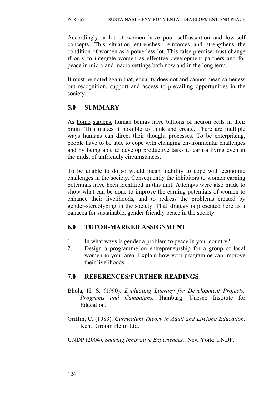Accordingly, a lot of women have poor self-assertion and low-self concepts. This situation entrenches, reinforces and strengthens the condition of women as a powerless lot. This false premise must change if only to integrate women as effective development partners and for peace in micro and macro settings both now and in the long term.

It must be noted again that, equality does not and cannot mean sameness but recognition, support and access to prevailing opportunities in the society.

## **5.0 SUMMARY**

As homo sapiens, human beings have billions of neuron cells in their brain. This makes it possible to think and create. There are multiple ways humans can direct their thought processes. To be enterprising, people have to be able to cope with changing environmental challenges and by being able to develop productive tasks to earn a living even in the midst of unfriendly circumstances.

To be unable to do so would mean inability to cope with economic challenges in the society. Consequently the inhibitors to women earning potentials have been identified in this unit. Attempts were also made to show what can be done to improve the earning potentials of women to enhance their livelihoods, and to redress the problems created by gender-stereotyping in the society. That strategy is presented here as a panacea for sustainable, gender friendly peace in the society.

## **6.0 TUTOR-MARKED ASSIGNMENT**

- 1. In what ways is gender a problem to peace in your country?
- 2. Design a programme on entrepreneurship for a group of local women in your area. Explain how your programme can improve their livelihoods.

#### **7.0 REFERENCES/FURTHER READINGS**

- Bhola, H. S. (1990). *Evaluating Literacy for Development Projects, Programs and Campaigns.* Hamburg: Unesco Institute for Education.
- Griffin, C. (1983). *Curriculum Theory in Adult and Lifelong Education.* Kent: Groom Helm Ltd.
- UNDP (2004). *Sharing Innovative Experiences.*. New York: UNDP.